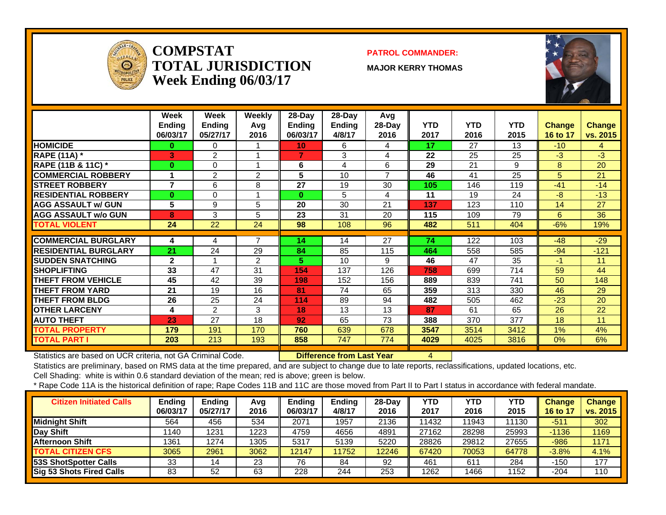

#### **COMPSTATTOTAL JURISDICTIONWeek Ending 06/03/17**

#### **PATROL COMMANDER:**

**MAJOR KERRY THOMAS**



|                             | Week<br><b>Ending</b><br>06/03/17 | Week<br><b>Endina</b><br>05/27/17 | <b>Weekly</b><br>Avg<br>2016 | $28$ -Day<br><b>Endina</b><br>06/03/17 | $28$ -Day<br><b>Ending</b><br>4/8/17 | Avg<br>$28-Day$<br>2016 | <b>YTD</b><br>2017 | <b>YTD</b><br>2016 | <b>YTD</b><br>2015 | <b>Change</b><br>16 to 17 | Change<br>vs. 2015 |
|-----------------------------|-----------------------------------|-----------------------------------|------------------------------|----------------------------------------|--------------------------------------|-------------------------|--------------------|--------------------|--------------------|---------------------------|--------------------|
| <b>HOMICIDE</b>             | $\bf{0}$                          | $\Omega$                          |                              | 10 <sub>1</sub>                        | 6                                    | 4                       | 17                 | 27                 | 13                 | $-10$                     | 4                  |
| <b>RAPE (11A) *</b>         | 3                                 | $\overline{2}$                    |                              | 7                                      | 3                                    | 4                       | 22                 | 25                 | 25                 | $-3$                      | $-3$               |
| RAPE (11B & 11C) *          | $\bf{0}$                          | $\Omega$                          |                              | 6                                      | 4                                    | 6                       | 29                 | 21                 | 9                  | 8                         | 20                 |
| <b>COMMERCIAL ROBBERY</b>   |                                   | 2                                 | 2                            | 5                                      | 10                                   | 7                       | 46                 | 41                 | 25                 | 5                         | 21                 |
| <b>STREET ROBBERY</b>       | 7                                 | 6                                 | 8                            | 27                                     | 19                                   | 30                      | 105                | 146                | 119                | $-41$                     | $-14$              |
| <b>RESIDENTIAL ROBBERY</b>  | $\bf{0}$                          | $\Omega$                          |                              | 0                                      | 5                                    | 4                       | 11                 | 19                 | 24                 | -8                        | $-13$              |
| <b>AGG ASSAULT w/ GUN</b>   | 5                                 | 9                                 | 5                            | 20                                     | 30                                   | 21                      | 137                | 123                | 110                | 14                        | 27                 |
| <b>AGG ASSAULT w/o GUN</b>  | 8                                 | 3                                 | 5                            | 23                                     | 31                                   | 20                      | 115                | 109                | 79                 | 6                         | 36                 |
| <b>TOTAL VIOLENT</b>        | 24                                | 22                                | 24                           | 98                                     | 108                                  | 96                      | 482                | 511                | 404                | $-6%$                     | 19%                |
|                             |                                   |                                   |                              |                                        |                                      |                         |                    |                    |                    |                           |                    |
| <b>COMMERCIAL BURGLARY</b>  | 4                                 | 4                                 | $\overline{7}$               | 14                                     | 14                                   | 27                      | 74                 | 122                | 103                | $-48$                     | $-29$              |
| <b>RESIDENTIAL BURGLARY</b> | 21                                | 24                                | 29                           | 84                                     | 85                                   | 115                     | 464                | 558                | 585                | $-94$                     | $-121$             |
| <b>SUDDEN SNATCHING</b>     | $\mathbf{2}$                      |                                   | $\overline{2}$               | 5.                                     | 10                                   | 9                       | 46                 | 47                 | 35                 | -1                        | 11                 |
| <b>SHOPLIFTING</b>          | 33                                | 47                                | 31                           | 154                                    | 137                                  | 126                     | 758                | 699                | 714                | 59                        | 44                 |
| <b>THEFT FROM VEHICLE</b>   | 45                                | 42                                | 39                           | 198                                    | 152                                  | 156                     | 889                | 839                | 741                | 50                        | 148                |
| <b>THEFT FROM YARD</b>      | 21                                | 19                                | 16                           | 81                                     | 74                                   | 65                      | 359                | 313                | 330                | 46                        | 29                 |
| <b>THEFT FROM BLDG</b>      | 26                                | 25                                | 24                           | 114                                    | 89                                   | 94                      | 482                | 505                | 462                | $-23$                     | 20                 |
| <b>OTHER LARCENY</b>        | 4                                 | 2                                 | 3                            | 18                                     | 13                                   | 13                      | 87                 | 61                 | 65                 | 26                        | 22                 |
| <b>AUTO THEFT</b>           | 23                                | 27                                | 18                           | 92                                     | 65                                   | 73                      | 388                | 370                | 377                | 18                        | 11                 |
| <b>TOTAL PROPERTY</b>       | 179                               | 191                               | 170                          | 760                                    | 639                                  | 678                     | 3547               | 3514               | 3412               | $1\%$                     | 4%                 |
| <b>TOTAL PART I</b>         | 203                               | 213                               | 193                          | 858                                    | 747                                  | 774                     | 4029               | 4025               | 3816               | 0%                        | 6%                 |

Statistics are based on UCR criteria, not GA Criminal Code. **Difference from Last Year** 4

Statistics are preliminary, based on RMS data at the time prepared, and are subject to change due to late reports, reclassifications, updated locations, etc.

Cell Shading: white is within 0.6 standard deviation of the mean; red is above; green is below.

| <b>Citizen Initiated Calls</b>  | Ending<br>06/03/17 | <b>Ending</b><br>05/27/17 | Avg<br>2016 | Ending<br>06/03/17 | <b>Ending</b><br>4/8/17 | $28-Dav$<br>2016 | <b>YTD</b><br>2017 | <b>YTD</b><br>2016 | YTD<br>2015 | <b>Change</b><br>16 to 17 | <b>Change</b><br>vs. 2015 |
|---------------------------------|--------------------|---------------------------|-------------|--------------------|-------------------------|------------------|--------------------|--------------------|-------------|---------------------------|---------------------------|
| Midnight Shift                  | 564                | 456                       | 534         | 2071               | 1957                    | 2136             | 11432              | 1943               | 11130       | $-511$                    | 302                       |
| Day Shift                       | 1140               | 1231                      | 1223        | 4759               | 4656                    | 4891             | 27162              | 28298              | 25993       | $-1136$                   | 1169                      |
| <b>Afternoon Shift</b>          | 1361               | 1274                      | 1305        | 5317               | 5139                    | 5220             | 28826              | 29812              | 27655       | -986                      | 1171                      |
| <b>TOTAL CITIZEN CFS</b>        | 3065               | 2961                      | 3062        | 12147              | 11752                   | 12246            | 67420              | 70053              | 64778       | $-3.8%$                   | 4.1%                      |
| <b>53S ShotSpotter Calls</b>    | 33                 | 14                        | 23          | 76                 | 84                      | 92               | 461                | 611                | 284         | -150                      | 177                       |
| <b>Sig 53 Shots Fired Calls</b> | 83                 | 52                        | 63          | 228                | 244                     | 253              | 1262               | 1466               | 1152        | -204                      | 110                       |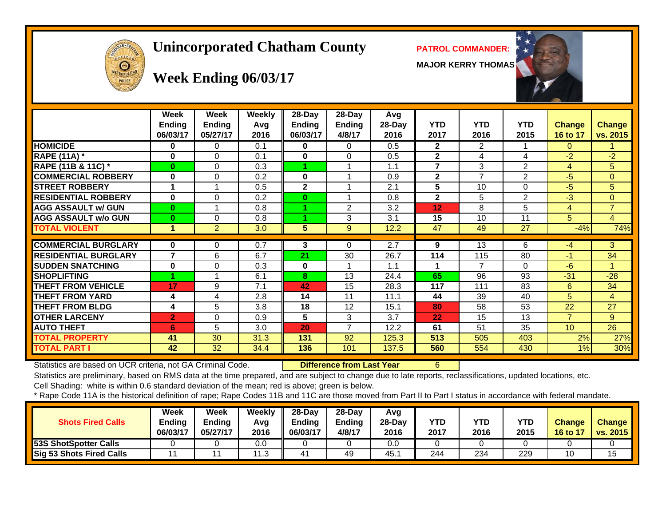# **Unincorporated Chatham County PATROL COMMANDER:**

**MAJOR KERRY THOMAS**





# **Week Ending 06/03/17**

|                             | Week<br><b>Ending</b><br>06/03/17 | Week<br><b>Ending</b><br>05/27/17 | Weekly<br>Avg<br>2016 | 28-Day<br>Ending<br>06/03/17 | 28-Day<br>Ending<br>4/8/17 | Avg<br>28-Day<br>2016 | <b>YTD</b><br>2017 | <b>YTD</b><br>2016       | <b>YTD</b><br>2015 | <b>Change</b><br>16 to 17 | <b>Change</b><br>vs. 2015 |
|-----------------------------|-----------------------------------|-----------------------------------|-----------------------|------------------------------|----------------------------|-----------------------|--------------------|--------------------------|--------------------|---------------------------|---------------------------|
| <b>HOMICIDE</b>             | 0                                 | 0                                 | 0.1                   | 0                            | 0                          | 0.5                   | $\overline{2}$     | $\overline{2}$           |                    | 0                         |                           |
| <b>RAPE (11A) *</b>         | 0                                 | 0                                 | 0.1                   | 0                            | $\Omega$                   | 0.5                   | $\mathbf{2}$       | 4                        | 4                  | $-2$                      | $-2$                      |
| RAPE (11B & 11C) *          | $\bf{0}$                          | 0                                 | 0.3                   |                              |                            | 1.1                   | 7                  | 3                        | $\overline{2}$     | 4                         | 5                         |
| <b>COMMERCIAL ROBBERY</b>   | $\bf{0}$                          | 0                                 | 0.2                   | 0                            |                            | 0.9                   | $\mathbf{2}$       | $\overline{7}$           | $\overline{2}$     | $-5$                      | $\overline{0}$            |
| <b>STREET ROBBERY</b>       |                                   |                                   | 0.5                   | $\overline{2}$               |                            | 2.1                   | 5                  | 10                       | $\Omega$           | $-5$                      | 5                         |
| <b>RESIDENTIAL ROBBERY</b>  | $\bf{0}$                          | 0                                 | 0.2                   | $\bf{0}$                     |                            | 0.8                   | $\mathbf{2}$       | 5                        | $\overline{2}$     | $-3$                      | $\overline{0}$            |
| <b>AGG ASSAULT W/ GUN</b>   | $\bf{0}$                          |                                   | 0.8                   | 4                            | 2                          | 3.2                   | $12 \overline{ }$  | 8                        | 5                  | 4                         | $\overline{7}$            |
| <b>AGG ASSAULT w/o GUN</b>  | $\bf{0}$                          | 0                                 | 0.8                   | 4                            | 3                          | 3.1                   | 15                 | 10                       | 11                 | 5                         | $\overline{4}$            |
| <b>TOTAL VIOLENT</b>        | 1                                 | $\overline{2}$                    | 3.0                   | 5                            | 9                          | 12.2                  | 47                 | 49                       | 27                 | $-4%$                     | 74%                       |
|                             |                                   |                                   |                       |                              |                            |                       |                    |                          |                    |                           |                           |
| <b>COMMERCIAL BURGLARY</b>  | 0                                 | 0                                 | 0.7                   | 3                            | $\Omega$                   | 2.7                   | 9                  | 13                       | 6                  | $-4$                      | 3                         |
| <b>RESIDENTIAL BURGLARY</b> | 7                                 | 6                                 | 6.7                   | 21                           | 30                         | 26.7                  | 114                | 115                      | 80                 | $-1$                      | 34                        |
| <b>SUDDEN SNATCHING</b>     | 0                                 | 0                                 | 0.3                   | $\bf{0}$                     |                            | 1.1                   |                    | $\overline{\phantom{a}}$ | $\Omega$           | $-6$                      |                           |
| <b>SHOPLIFTING</b>          |                                   |                                   | 6.1                   | 8                            | 13                         | 24.4                  | 65                 | 96                       | 93                 | $-31$                     | $-28$                     |
| <b>THEFT FROM VEHICLE</b>   | 17                                | 9                                 | 7.1                   | 42                           | 15                         | 28.3                  | 117                | 111                      | 83                 | 6                         | 34                        |
| <b>THEFT FROM YARD</b>      | 4                                 | 4                                 | 2.8                   | 14                           | 11                         | 11.1                  | 44                 | 39                       | 40                 | 5.                        | $\overline{4}$            |
| <b>THEFT FROM BLDG</b>      | 4                                 | 5                                 | 3.8                   | 18                           | 12                         | 15.1                  | 80                 | 58                       | 53                 | 22                        | 27                        |
| <b>OTHER LARCENY</b>        | $\overline{2}$                    | 0                                 | 0.9                   | 5                            | 3                          | 3.7                   | 22                 | 15                       | 13                 | 7                         | 9                         |
| <b>AUTO THEFT</b>           | 6                                 | 5                                 | 3.0                   | 20                           | $\overline{7}$             | 12.2                  | 61                 | 51                       | 35                 | 10 <sup>°</sup>           | 26                        |
| <b>TOTAL PROPERTY</b>       | 41                                | 30                                | 31.3                  | 131                          | 92                         | 125.3                 | 513                | 505                      | 403                | 2%                        | 27%                       |
| TOTAL PART I                | 42                                | 32                                | 34.4                  | 136                          | 101                        | 137.5                 | 560                | 554                      | 430                | 1%                        | 30%                       |

Statistics are based on UCR criteria, not GA Criminal Code. **Difference from Last Year** 6

Statistics are preliminary, based on RMS data at the time prepared, and are subject to change due to late reports, reclassifications, updated locations, etc.

Cell Shading: white is within 0.6 standard deviation of the mean; red is above; green is below.

| <b>Shots Fired Calls</b>        | Week<br><b>Ending</b><br>06/03/17 | Week<br><b>Ending</b><br>05/27/17 | Weekly<br>Avg<br>2016 | $28-Dav$<br>Ending<br>06/03/17 | $28-Day$<br>Ending<br>4/8/17 | Avg<br>$28-Dav$<br>2016 | <b>YTD</b><br>2017 | YTD<br>2016 | <b>YTD</b><br>2015 | <b>Change</b><br>16 to 17 | <b>Change</b><br><b>vs. 2015</b> |
|---------------------------------|-----------------------------------|-----------------------------------|-----------------------|--------------------------------|------------------------------|-------------------------|--------------------|-------------|--------------------|---------------------------|----------------------------------|
| 53S ShotSpotter Calls           |                                   |                                   | 0.0                   |                                |                              | 0.0                     |                    |             |                    |                           |                                  |
| <b>Sig 53 Shots Fired Calls</b> |                                   |                                   | 11.5                  |                                | 49                           | 45.                     | 244                | 234         | 229                |                           | 15                               |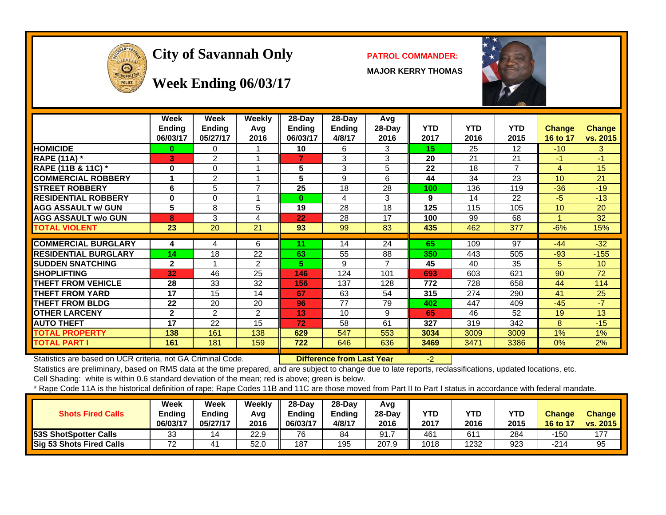

# City of Savannah Only **PATROL COMMANDER:**

**MAJOR KERRY THOMAS**



#### **Week Ending 06/03/17**

|                             | <b>Week</b><br><b>Ending</b><br>06/03/17 | <b>Week</b><br><b>Ending</b><br>05/27/17 | Weekly<br>Avg<br>2016 | 28-Day<br><b>Ending</b><br>06/03/17 | 28-Day<br><b>Ending</b><br>4/8/17 | Avg<br>28-Day<br>2016 | <b>YTD</b><br>2017 | <b>YTD</b><br>2016 | <b>YTD</b><br>2015 | <b>Change</b><br>16 to 17 | <b>Change</b><br>vs. 2015 |
|-----------------------------|------------------------------------------|------------------------------------------|-----------------------|-------------------------------------|-----------------------------------|-----------------------|--------------------|--------------------|--------------------|---------------------------|---------------------------|
| <b>HOMICIDE</b>             | 0                                        | 0                                        |                       | 10                                  | 6                                 | 3                     | 15                 | 25                 | 12                 | $-10$                     | 3                         |
| <b>RAPE (11A)</b> *         | B.                                       | $\overline{2}$                           |                       |                                     | 3                                 | 3                     | 20                 | 21                 | 21                 | $-1$                      | $-1$                      |
| RAPE (11B & 11C) *          | $\bf{0}$                                 | 0                                        |                       | 5                                   | 3                                 | 5                     | 22                 | 18                 | $\overline{7}$     | 4                         | 15                        |
| <b>COMMERCIAL ROBBERY</b>   |                                          | $\overline{2}$                           |                       | 5                                   | 9                                 | 6                     | 44                 | 34                 | 23                 | 10                        | 21                        |
| <b>STREET ROBBERY</b>       | 6                                        | 5                                        | 7                     | 25                                  | 18                                | 28                    | 100                | 136                | 119                | $-36$                     | $-19$                     |
| <b>RESIDENTIAL ROBBERY</b>  | $\bf{0}$                                 | 0                                        |                       | $\bf{0}$                            | 4                                 | 3                     | 9                  | 14                 | 22                 | $-5$                      | $-13$                     |
| <b>AGG ASSAULT w/ GUN</b>   | 5                                        | 8                                        | 5                     | 19                                  | 28                                | 18                    | 125                | 115                | 105                | 10                        | 20                        |
| <b>AGG ASSAULT w/o GUN</b>  | 8                                        | 3                                        | 4                     | 22                                  | 28                                | 17                    | 100                | 99                 | 68                 |                           | 32                        |
| <b>TOTAL VIOLENT</b>        | 23                                       | 20                                       | 21                    | 93                                  | 99                                | 83                    | 435                | 462                | 377                | $-6%$                     | 15%                       |
|                             |                                          |                                          |                       |                                     |                                   |                       |                    |                    |                    |                           |                           |
| <b>COMMERCIAL BURGLARY</b>  | 4                                        | 4                                        | 6                     | 11                                  | 14                                | 24                    | 65                 | 109                | 97                 | $-44$                     | $-32$                     |
| <b>RESIDENTIAL BURGLARY</b> | 14                                       | 18                                       | 22                    | 63                                  | 55                                | 88                    | 350                | 443                | 505                | $-93$                     | $-155$                    |
| <b>SUDDEN SNATCHING</b>     | $\mathbf{2}$                             |                                          | $\mathfrak{p}$        | 5.                                  | 9                                 |                       | 45                 | 40                 | 35                 | 5.                        | 10                        |
| <b>SHOPLIFTING</b>          | 32                                       | 46                                       | 25                    | 146                                 | 124                               | 101                   | 693                | 603                | 621                | 90                        | 72                        |
| <b>THEFT FROM VEHICLE</b>   | 28                                       | 33                                       | 32                    | 156                                 | 137                               | 128                   | 772                | 728                | 658                | 44                        | 114                       |
| <b>THEFT FROM YARD</b>      | 17                                       | 15                                       | 14                    | 67                                  | 63                                | 54                    | 315                | 274                | 290                | 41                        | 25                        |
| <b>THEFT FROM BLDG</b>      | 22                                       | 20                                       | 20                    | 96                                  | 77                                | 79                    | 402                | 447                | 409                | $-45$                     | $-7$                      |
| <b>OTHER LARCENY</b>        | $\mathbf{2}$                             | 2                                        | 2                     | 13                                  | 10                                | 9                     | 65                 | 46                 | 52                 | 19                        | 13                        |
| <b>AUTO THEFT</b>           | 17                                       | 22                                       | 15                    | 72                                  | 58                                | 61                    | 327                | 319                | 342                | 8                         | $-15$                     |
| <b>TOTAL PROPERTY</b>       | 138                                      | 161                                      | 138                   | 629                                 | 547                               | 553                   | 3034               | 3009               | 3009               | $1\%$                     | $1\%$                     |
| <b>TOTAL PART I</b>         | 161                                      | 181                                      | 159                   | 722                                 | 646                               | 636                   | 3469               | 3471               | 3386               | 0%                        | 2%                        |

Statistics are based on UCR criteria, not GA Criminal Code. **Difference from Last Year** -2

Statistics are preliminary, based on RMS data at the time prepared, and are subject to change due to late reports, reclassifications, updated locations, etc.

Cell Shading: white is within 0.6 standard deviation of the mean; red is above; green is below.

| <b>Shots Fired Calls</b>     | Week<br>Ending<br>06/03/17    | Week<br>Ending<br>05/27/17 | Weekly<br>Avg<br>2016 | $28-Dav$<br><b>Endina</b><br>06/03/17 | $28-Dav$<br><b>Ending</b><br>4/8/17 | Avg<br>28-Day<br>2016 | YTD<br>2017 | <b>YTD</b><br>2016 | YTD<br>2015 | <b>Change</b><br>16 to 17 | <b>Change</b><br><b>vs. 2015</b> |
|------------------------------|-------------------------------|----------------------------|-----------------------|---------------------------------------|-------------------------------------|-----------------------|-------------|--------------------|-------------|---------------------------|----------------------------------|
| <b>53S ShotSpotter Calls</b> | 33                            | 14                         | 22.9                  | 76                                    | 84                                  | 91.7                  | 461         | 611                | 284         | -150                      | 177                              |
| Sig 53 Shots Fired Calls     | $\overline{\phantom{a}}$<br>▵ |                            | 52.0                  | 187                                   | 195                                 | 207.9                 | 1018        | 1232               | 923         | -214                      | 95                               |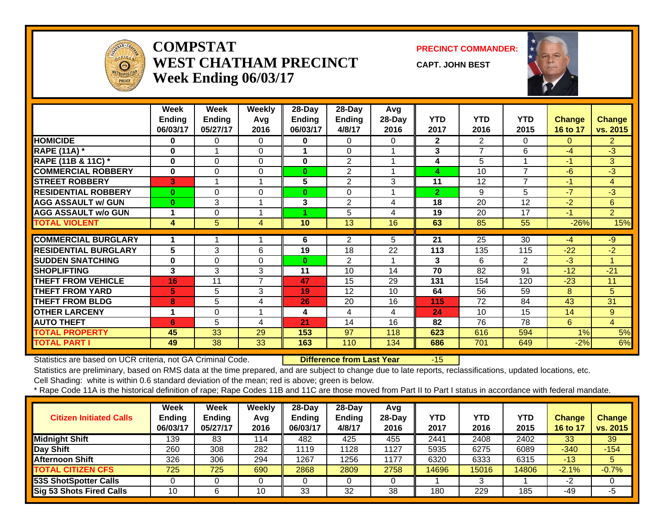

#### **COMPSTATWEST CHATHAM PRECINCTWeek Ending 06/03/17**

**PRECINCT COMMANDER:**

**CAPT. JOHN BEST**



|                             | Week<br><b>Endina</b> | Week<br><b>Ending</b> | <b>Weekly</b><br>Avg | 28-Day<br>Ending | 28-Day<br>Ending | Avg<br>$28-Day$ | YTD            | <b>YTD</b>     | <b>YTD</b>               | <b>Change</b> | <b>Change</b>  |
|-----------------------------|-----------------------|-----------------------|----------------------|------------------|------------------|-----------------|----------------|----------------|--------------------------|---------------|----------------|
|                             | 06/03/17              | 05/27/17              | 2016                 | 06/03/17         | 4/8/17           | 2016            | 2017           | 2016           | 2015                     | 16 to 17      | vs. 2015       |
| <b>HOMICIDE</b>             | 0                     | 0                     | $\Omega$             | 0                | $\Omega$         | $\Omega$        | $\mathbf{2}$   | $\overline{2}$ | $\Omega$                 | $\Omega$      | $\overline{2}$ |
| <b>RAPE (11A) *</b>         | 0                     |                       | 0                    |                  | $\Omega$         |                 | 3              | $\overline{ }$ | 6                        | $-4$          | -3             |
| RAPE (11B & 11C) *          | $\bf{0}$              | 0                     | 0                    | 0                | $\overline{2}$   |                 | 4              | 5              |                          | $-1$          | 3              |
| <b>COMMERCIAL ROBBERY</b>   | $\bf{0}$              | 0                     | $\Omega$             | $\bf{0}$         | $\overline{2}$   |                 | 4              | 10             | $\overline{7}$           | -6            | $-3$           |
| <b>ISTREET ROBBERY</b>      | 3                     |                       | 1                    | 5                | $\overline{2}$   | 3               | 11             | 12             | $\overline{\phantom{a}}$ | $-1$          | $\overline{4}$ |
| <b>RESIDENTIAL ROBBERY</b>  | $\bf{0}$              | 0                     | $\Omega$             | $\bf{0}$         | $\Omega$         |                 | $\overline{2}$ | 9              | 5                        | $-7$          | -3             |
| <b>AGG ASSAULT w/ GUN</b>   | $\bf{0}$              | 3                     | 1                    | 3                | $\overline{2}$   | 4               | 18             | 20             | 12                       | $-2$          | 6              |
| <b>AGG ASSAULT w/o GUN</b>  | 1                     | 0                     | 4                    |                  | 5                | 4               | 19             | 20             | 17                       | $-1$          | $\overline{2}$ |
| <b>TOTAL VIOLENT</b>        | 4                     | 5                     | 4                    | 10               | 13               | 16              | 63             | 85             | 55                       | $-26%$        | 15%            |
|                             |                       |                       |                      |                  |                  |                 |                |                |                          |               |                |
| <b>COMMERCIAL BURGLARY</b>  | 1                     |                       |                      | 6                | 2                | 5.              | 21             | 25             | 30                       | -4            | -9             |
| <b>RESIDENTIAL BURGLARY</b> | 5                     | 3                     | 6                    | 19               | 18               | 22              | 113            | 135            | 115                      | $-22$         | $-2$           |
| <b>SUDDEN SNATCHING</b>     | $\bf{0}$              | 0                     | 0                    | $\bf{0}$         | 2                |                 | 3              | 6              | 2                        | $-3$          | 1              |
| <b>SHOPLIFTING</b>          | 3                     | 3                     | 3                    | 11               | 10               | 14              | 70             | 82             | 91                       | $-12$         | $-21$          |
| <b>THEFT FROM VEHICLE</b>   | 16                    | 11                    | $\overline{7}$       | 47               | 15               | 29              | 131            | 154            | 120                      | $-23$         | 11             |
| <b>THEFT FROM YARD</b>      | 5                     | 5                     | 3                    | 19               | 12               | 10              | 64             | 56             | 59                       | 8             | 5              |
| <b>THEFT FROM BLDG</b>      | 8                     | 5                     | 4                    | 26               | 20               | 16              | 115            | 72             | 84                       | 43            | 31             |
| <b>OTHER LARCENY</b>        | 1                     | 0                     | 1                    | 4                | 4                | 4               | 24             | 10             | 15                       | 14            | 9              |
| <b>AUTO THEFT</b>           | 6                     | 5                     | 4                    | 21               | 14               | 16              | 82             | 76             | 78                       | 6             | $\overline{4}$ |
| <b>TOTAL PROPERTY</b>       | 45                    | 33                    | 29                   | 153              | 97               | 118             | 623            | 616            | 594                      | 1%            | 5%             |
| <b>TOTAL PART I</b>         | 49                    | 38                    | 33                   | 163              | 110              | 134             | 686            | 701            | 649                      | $-2%$         | 6%             |

Statistics are based on UCR criteria, not GA Criminal Code. **Difference from Last Year** -15

Statistics are preliminary, based on RMS data at the time prepared, and are subject to change due to late reports, reclassifications, updated locations, etc.

Cell Shading: white is within 0.6 standard deviation of the mean; red is above; green is below.

| <b>Citizen Initiated Calls</b> | Week<br><b>Ending</b><br>06/03/17 | Week<br><b>Ending</b><br>05/27/17 | Weekly<br>Avg<br>2016 | $28$ -Day<br>Ending<br>06/03/17 | 28-Day<br><b>Ending</b><br>4/8/17 | Avg<br>$28-Day$<br>2016 | YTD<br>2017 | <b>YTD</b><br>2016 | YTD<br>2015 | <b>Change</b><br>16 to 17 | <b>Change</b><br>vs. 2015 |
|--------------------------------|-----------------------------------|-----------------------------------|-----------------------|---------------------------------|-----------------------------------|-------------------------|-------------|--------------------|-------------|---------------------------|---------------------------|
| <b>Midnight Shift</b>          | 139                               | 83                                | 114                   | 482                             | 425                               | 455                     | 2441        | 2408               | 2402        | 33                        | 39                        |
| Day Shift                      | 260                               | 308                               | 282                   | 1119                            | 1128                              | 1127                    | 5935        | 6275               | 6089        | $-340$                    | $-154$                    |
| <b>Afternoon Shift</b>         | 326                               | 306                               | 294                   | 1267                            | 1256                              | 1177                    | 6320        | 6333               | 6315        | $-13$                     | 5                         |
| <b>TOTAL CITIZEN CFS</b>       | 725                               | 725                               | 690                   | 2868                            | 2809                              | 2758                    | 14696       | 15016              | 14806       | $-2.1%$                   | $-0.7%$                   |
| <b>53S ShotSpotter Calls</b>   |                                   |                                   |                       |                                 |                                   |                         |             | 3                  |             | -2                        |                           |
| Sig 53 Shots Fired Calls       | 10                                |                                   | 10                    | 33                              | 32                                | 38                      | 180         | 229                | 185         | -49                       | -5                        |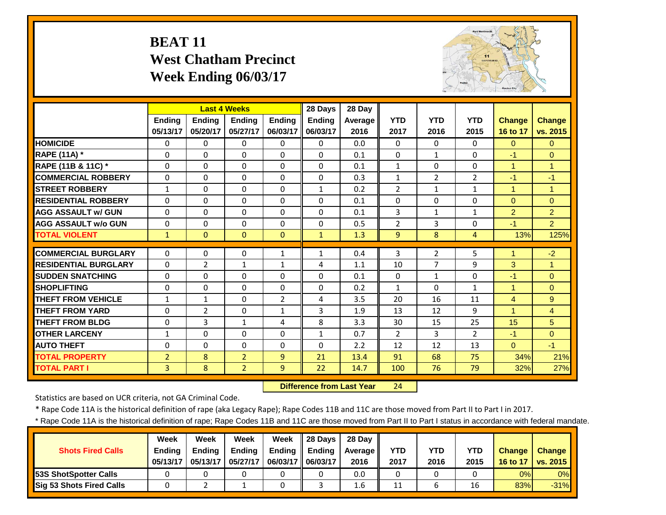# **BEAT 11 West Chatham Precinct Week Ending 06/03/17**



|                             |                | <b>Last 4 Weeks</b> |                |                | 28 Days      | 28 Day  |                |                |                |                      |                |
|-----------------------------|----------------|---------------------|----------------|----------------|--------------|---------|----------------|----------------|----------------|----------------------|----------------|
|                             | <b>Ending</b>  | <b>Ending</b>       | Ending         | <b>Endina</b>  | Ending       | Average | <b>YTD</b>     | <b>YTD</b>     | <b>YTD</b>     | <b>Change</b>        | <b>Change</b>  |
|                             | 05/13/17       | 05/20/17            | 05/27/17       | 06/03/17       | 06/03/17     | 2016    | 2017           | 2016           | 2015           | 16 to 17             | vs. 2015       |
| <b>HOMICIDE</b>             | $\Omega$       | $\Omega$            | $\Omega$       | $\Omega$       | $\Omega$     | 0.0     | $\Omega$       | $\Omega$       | $\Omega$       | $\Omega$             | $\Omega$       |
| RAPE (11A) *                | $\Omega$       | $\Omega$            | $\Omega$       | $\Omega$       | $\Omega$     | 0.1     | $\Omega$       | $\mathbf{1}$   | 0              | $-1$                 | $\Omega$       |
| RAPE (11B & 11C) *          | $\mathbf 0$    | $\Omega$            | $\Omega$       | $\Omega$       | $\Omega$     | 0.1     | $1\,$          | $\Omega$       | $\Omega$       | $\mathbf{1}$         | $\overline{1}$ |
| <b>COMMERCIAL ROBBERY</b>   | $\Omega$       | $\Omega$            | $\Omega$       | $\Omega$       | $\Omega$     | 0.3     | $\mathbf{1}$   | $\overline{2}$ | $\overline{2}$ | $-1$                 | $-1$           |
| <b>STREET ROBBERY</b>       | $\mathbf{1}$   | $\Omega$            | $\Omega$       | $\Omega$       | $\mathbf{1}$ | 0.2     | $\overline{2}$ | $\mathbf{1}$   | $\mathbf{1}$   | $\mathbf{1}$         | $\overline{1}$ |
| <b>RESIDENTIAL ROBBERY</b>  | $\Omega$       | $\Omega$            | $\Omega$       | $\Omega$       | $\Omega$     | 0.1     | $\Omega$       | $\Omega$       | 0              | $\Omega$             | $\Omega$       |
| <b>AGG ASSAULT W/ GUN</b>   | $\Omega$       | $\Omega$            | $\Omega$       | $\Omega$       | $\Omega$     | 0.1     | 3              | 1              | 1              | $\overline{2}$       | $\overline{2}$ |
| <b>AGG ASSAULT w/o GUN</b>  | $\Omega$       | $\Omega$            | $\Omega$       | $\Omega$       | $\Omega$     | 0.5     | $\overline{2}$ | 3              | 0              | $-1$                 | $\overline{2}$ |
| <b>TOTAL VIOLENT</b>        | $\mathbf{1}$   | $\Omega$            | $\Omega$       | $\Omega$       | $\mathbf{1}$ | 1.3     | 9              | 8              | 4              | 13%                  | 125%           |
| <b>COMMERCIAL BURGLARY</b>  | $\Omega$       | $\Omega$            | $\Omega$       | $\mathbf{1}$   | $\mathbf{1}$ | 0.4     | 3              | $\overline{2}$ | 5              | 1                    | $-2$           |
| <b>RESIDENTIAL BURGLARY</b> | $\Omega$       | $\overline{2}$      | $\mathbf{1}$   | $\mathbf{1}$   | 4            | 1.1     | 10             | 7              | 9              | 3                    | 1              |
| <b>SUDDEN SNATCHING</b>     | 0              | $\Omega$            | $\Omega$       | 0              | $\Omega$     | 0.1     | $\Omega$       | $\mathbf{1}$   | 0              | $-1$                 | $\Omega$       |
| <b>SHOPLIFTING</b>          | $\Omega$       | $\Omega$            | $\Omega$       | 0              | $\Omega$     | 0.2     | $\mathbf{1}$   | $\Omega$       | 1              | $\mathbf{1}$         | $\mathbf{0}$   |
| <b>THEFT FROM VEHICLE</b>   | 1              | $\mathbf{1}$        | $\Omega$       | $\overline{2}$ | 4            | 3.5     | 20             | 16             | 11             | 4                    | 9              |
| <b>THEFT FROM YARD</b>      |                | $\overline{2}$      | $\Omega$       |                | 3            | 1.9     | 13             | 12             | 9              | $\blacktriangleleft$ |                |
|                             | 0              | 3                   | $\mathbf{1}$   | $\mathbf{1}$   | 8            | 3.3     | 30             |                | 25             | 15                   | $\overline{4}$ |
| <b>THEFT FROM BLDG</b>      | 0              |                     |                | 4              |              |         |                | 15             |                |                      | 5              |
| <b>OTHER LARCENY</b>        | 1              | $\Omega$            | $\Omega$       | $\Omega$       | $\mathbf{1}$ | 0.7     | $\overline{2}$ | 3              | $\overline{2}$ | $-1$                 | $\Omega$       |
| <b>AUTO THEFT</b>           | $\Omega$       | $\Omega$            | $\Omega$       | $\Omega$       | $\Omega$     | 2.2     | 12             | 12             | 13             | $\Omega$             | $-1$           |
| <b>TOTAL PROPERTY</b>       | $\overline{2}$ | 8                   | $\overline{2}$ | 9              | 21           | 13.4    | 91             | 68             | 75             | 34%                  | 21%            |
| <b>TOTAL PART I</b>         | 3              | 8                   | $\overline{2}$ | 9              | 22           | 14.7    | 100            | 76             | 79             | 32%                  | 27%            |

 **Difference from Last Year**r 24

Statistics are based on UCR criteria, not GA Criminal Code.

\* Rape Code 11A is the historical definition of rape (aka Legacy Rape); Rape Codes 11B and 11C are those moved from Part II to Part I in 2017.

| <b>Shots Fired Calls</b>        | Week<br><b>Endina</b><br>05/13/17 | Week<br><b>Ending</b><br>05/13/17 | Week<br><b>Ending</b><br>05/27/17 | <b>Week</b><br>Ending<br>06/03/17 | 28 Davs<br>Ending<br>06/03/17 | 28 Dav<br>Average II<br>2016 | YTD<br>2017 | YTD<br>2016 | YTD<br>2015 | <b>Change</b><br>16 to 17 | <b>Change</b><br>$\sqrt{vs. 2015}$ |
|---------------------------------|-----------------------------------|-----------------------------------|-----------------------------------|-----------------------------------|-------------------------------|------------------------------|-------------|-------------|-------------|---------------------------|------------------------------------|
| 53S ShotSpotter Calls           |                                   |                                   |                                   |                                   |                               | 0.0                          |             |             |             | 0%                        | 0%                                 |
| <b>Sig 53 Shots Fired Calls</b> |                                   |                                   |                                   |                                   |                               | 1.6                          | 11          |             | 16          | 83%                       | $-31%$                             |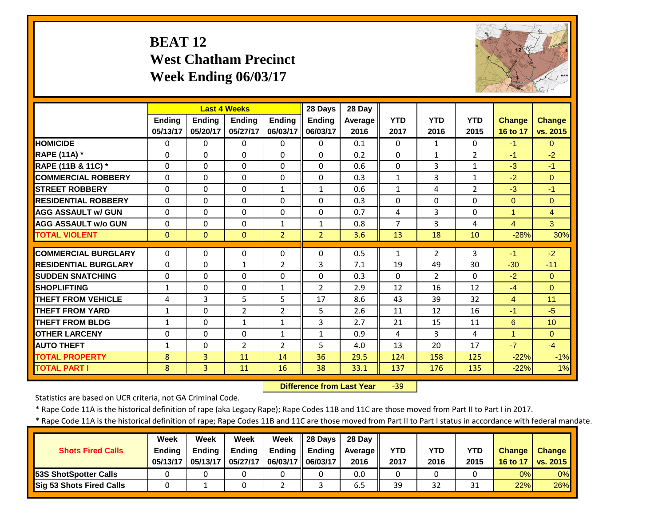# **BEAT 12 West Chatham Precinct Week Ending 06/03/17**



|                             |               | <b>Last 4 Weeks</b> |                |                | 28 Days        | 28 Day  |                |                |                |                      |                |
|-----------------------------|---------------|---------------------|----------------|----------------|----------------|---------|----------------|----------------|----------------|----------------------|----------------|
|                             | <b>Ending</b> | Ending              | <b>Ending</b>  | Ending         | Ending         | Average | <b>YTD</b>     | <b>YTD</b>     | <b>YTD</b>     | <b>Change</b>        | <b>Change</b>  |
|                             | 05/13/17      | 05/20/17            | 05/27/17       | 06/03/17       | 06/03/17       | 2016    | 2017           | 2016           | 2015           | 16 to 17             | vs. 2015       |
| <b>HOMICIDE</b>             | $\Omega$      | 0                   | $\Omega$       | $\Omega$       | $\Omega$       | 0.1     | $\Omega$       | $\mathbf{1}$   | $\Omega$       | $-1$                 | $\Omega$       |
| <b>RAPE (11A) *</b>         | $\Omega$      | $\Omega$            | $\Omega$       | $\Omega$       | $\Omega$       | 0.2     | $\Omega$       | $\mathbf{1}$   | $\overline{2}$ | $-1$                 | $-2$           |
| RAPE (11B & 11C) *          | $\Omega$      | $\Omega$            | $\Omega$       | $\Omega$       | $\Omega$       | 0.6     | $\Omega$       | 3              | $\mathbf{1}$   | $-3$                 | $-1$           |
| <b>COMMERCIAL ROBBERY</b>   | $\Omega$      | 0                   | 0              | 0              | $\Omega$       | 0.3     | $\mathbf{1}$   | 3              | $\mathbf{1}$   | $-2$                 | $\Omega$       |
| <b>STREET ROBBERY</b>       | $\Omega$      | $\Omega$            | $\Omega$       | $\mathbf{1}$   | $\mathbf{1}$   | 0.6     | $\mathbf{1}$   | 4              | $\overline{2}$ | $-3$                 | $-1$           |
| <b>RESIDENTIAL ROBBERY</b>  | $\Omega$      | 0                   | $\Omega$       | $\Omega$       | $\Omega$       | 0.3     | $\Omega$       | $\Omega$       | $\Omega$       | $\Omega$             | $\Omega$       |
| <b>AGG ASSAULT W/ GUN</b>   | $\Omega$      | 0                   | $\Omega$       | $\Omega$       | $\Omega$       | 0.7     | $\overline{4}$ | 3              | $\Omega$       | $\blacktriangleleft$ | $\overline{4}$ |
| <b>AGG ASSAULT w/o GUN</b>  | $\Omega$      | 0                   | $\Omega$       | $\mathbf{1}$   | $\mathbf{1}$   | 0.8     | $\overline{7}$ | 3              | 4              | $\overline{4}$       | $\mathbf{3}$   |
| <b>TOTAL VIOLENT</b>        | $\mathbf{0}$  | $\Omega$            | $\Omega$       | $\overline{2}$ | $\overline{2}$ | 3.6     | 13             | 18             | 10             | $-28%$               | 30%            |
| <b>COMMERCIAL BURGLARY</b>  | $\Omega$      | 0                   | $\Omega$       | $\Omega$       | $\Omega$       | 0.5     | 1              | $\overline{2}$ | 3              | $-1$                 | $-2$           |
| <b>RESIDENTIAL BURGLARY</b> | $\Omega$      | 0                   | $\mathbf{1}$   | $\overline{2}$ | 3              | 7.1     | 19             | 49             | 30             | $-30$                | $-11$          |
| <b>SUDDEN SNATCHING</b>     | $\Omega$      | 0                   | $\Omega$       | $\Omega$       | $\Omega$       | 0.3     | $\Omega$       | $\overline{2}$ | $\Omega$       | $-2$                 | $\overline{0}$ |
| <b>SHOPLIFTING</b>          | $\mathbf{1}$  | 0                   | $\Omega$       | $\mathbf{1}$   | $\overline{2}$ | 2.9     | 12             | 16             | 12             | $-4$                 | $\Omega$       |
| <b>THEFT FROM VEHICLE</b>   | 4             | 3                   | 5              | 5              | 17             | 8.6     | 43             | 39             | 32             | $\overline{4}$       | 11             |
| <b>THEFT FROM YARD</b>      | $\mathbf{1}$  | 0                   | $\overline{2}$ | 2              | 5              | 2.6     | 11             | 12             | 16             | -1                   | $-5$           |
| <b>THEFT FROM BLDG</b>      | $\mathbf{1}$  | 0                   | $\mathbf{1}$   | $\mathbf{1}$   | 3              | 2.7     | 21             | 15             | 11             | 6                    | 10             |
| <b>OTHER LARCENY</b>        | $\Omega$      | 0                   | $\Omega$       | $\mathbf{1}$   | $\mathbf{1}$   | 0.9     | 4              | 3              | 4              | $\mathbf{1}$         | $\Omega$       |
| <b>AUTO THEFT</b>           | 1             | 0                   | $\overline{2}$ | 2              | 5              | 4.0     | 13             | 20             | 17             | $-7$                 | $-4$           |
| <b>TOTAL PROPERTY</b>       | 8             | $\overline{3}$      | 11             | 14             | 36             | 29.5    | 124            | 158            | 125            | $-22%$               | $-1%$          |
| <b>TOTAL PART I</b>         | 8             | $\overline{3}$      | 11             | 16             | 38             | 33.1    | 137            | 176            | 135            | $-22%$               | 1%             |
|                             |               |                     |                |                |                |         |                |                |                |                      |                |

 **Difference from Last Year**‐39

Statistics are based on UCR criteria, not GA Criminal Code.

\* Rape Code 11A is the historical definition of rape (aka Legacy Rape); Rape Codes 11B and 11C are those moved from Part II to Part I in 2017.

|                                 | <b>Week</b>   | Week          | Week          | Week              | $\parallel$ 28 Days | 28 Dav  |            |      |            |               |                   |
|---------------------------------|---------------|---------------|---------------|-------------------|---------------------|---------|------------|------|------------|---------------|-------------------|
| <b>Shots Fired Calls</b>        | <b>Ending</b> | <b>Ending</b> | <b>Ending</b> | <b>Ending</b>     | Ending              | Average | <b>YTD</b> | YTD  | <b>YTD</b> | <b>Change</b> | Change            |
|                                 | 05/13/17      | 05/13/17      | 05/27/17      | 06/03/17 06/03/17 |                     | 2016    | 2017       | 2016 | 2015       | 16 to 17      | $\sqrt{vs. 2015}$ |
| <b>53S ShotSpotter Calls</b>    |               |               |               |                   |                     | 0.0     | 0          |      |            | 0%            | 0%                |
| <b>Sig 53 Shots Fired Calls</b> |               |               |               |                   |                     | 6.5     | 39         | 32   | 31         | 22%           | 26%               |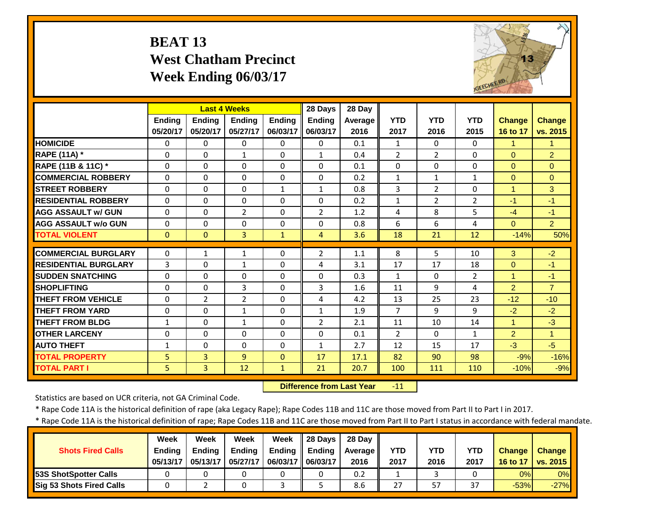# **BEAT 13 West Chatham Precinct Week Ending 06/03/17**



|                             |               |                | <b>Last 4 Weeks</b> |               | 28 Days        | 28 Day  |                |                |                |                |                      |
|-----------------------------|---------------|----------------|---------------------|---------------|----------------|---------|----------------|----------------|----------------|----------------|----------------------|
|                             | <b>Ending</b> | <b>Ending</b>  | <b>Ending</b>       | <b>Endina</b> | <b>Ending</b>  | Average | <b>YTD</b>     | <b>YTD</b>     | <b>YTD</b>     | <b>Change</b>  | <b>Change</b>        |
|                             | 05/20/17      | 05/20/17       | 05/27/17            | 06/03/17      | 06/03/17       | 2016    | 2017           | 2016           | 2015           | 16 to 17       | vs. 2015             |
| <b>HOMICIDE</b>             | 0             | $\Omega$       | $\Omega$            | $\Omega$      | $\Omega$       | 0.1     | $\mathbf{1}$   | $\Omega$       | $\Omega$       | $\mathbf{1}$   | $\blacktriangleleft$ |
| RAPE (11A) *                | $\Omega$      | $\Omega$       | $\mathbf{1}$        | $\Omega$      | $\mathbf{1}$   | 0.4     | $\overline{2}$ | $\overline{2}$ | 0              | $\Omega$       | $\overline{2}$       |
| RAPE (11B & 11C) *          | 0             | $\Omega$       | $\Omega$            | $\Omega$      | $\Omega$       | 0.1     | $\Omega$       | $\Omega$       | $\Omega$       | $\mathbf{0}$   | $\Omega$             |
| <b>COMMERCIAL ROBBERY</b>   | $\Omega$      | $\Omega$       | $\Omega$            | $\Omega$      | $\Omega$       | 0.2     | $\mathbf{1}$   | $\mathbf{1}$   | $\mathbf{1}$   | $\Omega$       | $\Omega$             |
| <b>STREET ROBBERY</b>       | $\Omega$      | $\Omega$       | $\Omega$            | $\mathbf{1}$  | $\mathbf{1}$   | 0.8     | 3              | $\overline{2}$ | $\Omega$       | $\overline{1}$ | 3                    |
| <b>RESIDENTIAL ROBBERY</b>  | $\Omega$      | 0              | $\Omega$            | 0             | $\Omega$       | 0.2     | $\mathbf{1}$   | $\overline{2}$ | $\overline{2}$ | $-1$           | $-1$                 |
| <b>AGG ASSAULT W/ GUN</b>   | $\Omega$      | $\Omega$       | $\overline{2}$      | $\Omega$      | $\overline{2}$ | 1.2     | 4              | 8              | 5              | $-4$           | $-1$                 |
| <b>AGG ASSAULT w/o GUN</b>  | $\Omega$      | $\Omega$       | $\Omega$            | $\Omega$      | $\Omega$       | 0.8     | 6              | 6              | 4              | $\Omega$       | 2 <sup>1</sup>       |
| <b>TOTAL VIOLENT</b>        | $\Omega$      | $\Omega$       | $\overline{3}$      | $\mathbf{1}$  | 4              | 3.6     | 18             | 21             | 12             | $-14%$         | 50%                  |
| <b>COMMERCIAL BURGLARY</b>  | 0             | 1              | $\mathbf{1}$        | 0             | 2              | 1.1     | 8              | 5.             | 10             | 3              | $-2$                 |
| <b>RESIDENTIAL BURGLARY</b> | 3             | $\Omega$       | $\mathbf{1}$        |               | 4              | 3.1     | 17             | 17             | 18             | $\Omega$       | $-1$                 |
|                             |               |                |                     | 0             |                |         |                |                |                |                |                      |
| <b>SUDDEN SNATCHING</b>     | 0             | $\Omega$       | 0                   | $\Omega$      | $\Omega$       | 0.3     | $\mathbf{1}$   | $\Omega$       | $\overline{2}$ |                | $-1$                 |
| <b>SHOPLIFTING</b>          | $\Omega$      | $\Omega$       | 3                   | $\Omega$      | 3              | 1.6     | 11             | 9              | 4              | $\overline{2}$ | $\overline{7}$       |
| <b>THEFT FROM VEHICLE</b>   | $\Omega$      | $\overline{2}$ | $\overline{2}$      | 0             | 4              | 4.2     | 13             | 25             | 23             | $-12$          | $-10$                |
| <b>THEFT FROM YARD</b>      | 0             | $\Omega$       | 1                   | 0             | $\mathbf{1}$   | 1.9     | $\overline{7}$ | 9              | 9              | $-2$           | $-2$                 |
| <b>THEFT FROM BLDG</b>      | 1             | $\Omega$       | $\mathbf{1}$        | 0             | $\overline{2}$ | 2.1     | 11             | 10             | 14             | $\mathbf{1}$   | $-3$                 |
| <b>OTHER LARCENY</b>        | $\Omega$      | $\Omega$       | $\Omega$            | $\Omega$      | $\Omega$       | 0.1     | $\overline{2}$ | $\Omega$       | $\mathbf{1}$   | $\overline{2}$ | $\blacktriangleleft$ |
| <b>AUTO THEFT</b>           | $\mathbf{1}$  | $\Omega$       | $\Omega$            | $\Omega$      | $\mathbf{1}$   | 2.7     | 12             | 15             | 17             | $-3$           | $-5$                 |
| <b>TOTAL PROPERTY</b>       | 5             | $\overline{3}$ | $\overline{9}$      | $\Omega$      | 17             | 17.1    | 82             | 90             | 98             | $-9%$          | $-16%$               |
| <b>TOTAL PART I</b>         | 5             | $\overline{3}$ | 12                  | $\mathbf{1}$  | 21             | 20.7    | 100            | 111            | 110            | $-10%$         | $-9%$                |

 **Difference from Last Year**‐11

Statistics are based on UCR criteria, not GA Criminal Code.

\* Rape Code 11A is the historical definition of rape (aka Legacy Rape); Rape Codes 11B and 11C are those moved from Part II to Part I in 2017.

|                                 | <b>Week</b>   | Week          | Week          | Week              | $\parallel$ 28 Days | 28 Dav  |            |      |            |               |                   |
|---------------------------------|---------------|---------------|---------------|-------------------|---------------------|---------|------------|------|------------|---------------|-------------------|
| <b>Shots Fired Calls</b>        | <b>Ending</b> | <b>Ending</b> | <b>Ending</b> | <b>Ending</b>     | Ending              | Average | <b>YTD</b> | YTD  | <b>YTD</b> | <b>Change</b> | Change            |
|                                 | 05/13/17      | 05/13/17      | 05/27/17      | 06/03/17 06/03/17 |                     | 2016    | 2017       | 2016 | 2017       | 16 to 17      | $\sqrt{vs. 2015}$ |
| <b>53S ShotSpotter Calls</b>    |               |               |               |                   |                     | 0.2     |            |      |            | 0%            | 0%                |
| <b>Sig 53 Shots Fired Calls</b> |               |               |               |                   |                     | 8.6     | 27         | 57   | 37         | $-53%$        | $-27%$            |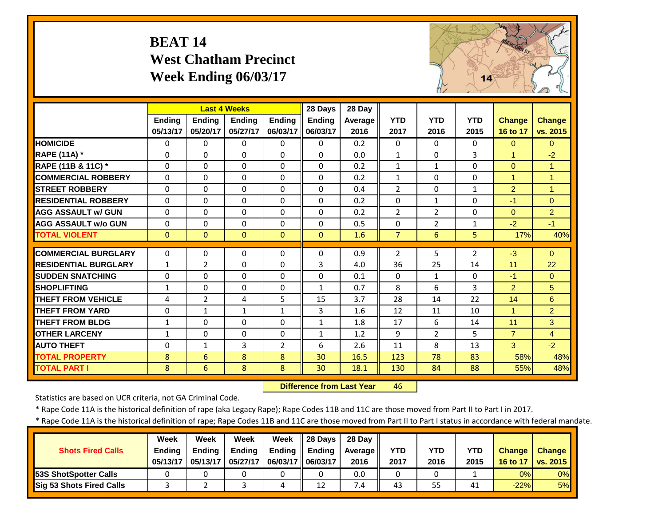# **BEAT 14 West Chatham Precinct Week Ending 06/03/17**



|                             |               | <b>Last 4 Weeks</b> |                |                | 28 Days       | 28 Day  |                |                |                |                |                |
|-----------------------------|---------------|---------------------|----------------|----------------|---------------|---------|----------------|----------------|----------------|----------------|----------------|
|                             | <b>Ending</b> | <b>Endina</b>       | <b>Endina</b>  | <b>Ending</b>  | <b>Ending</b> | Average | <b>YTD</b>     | <b>YTD</b>     | <b>YTD</b>     | <b>Change</b>  | <b>Change</b>  |
|                             | 05/13/17      | 05/20/17            | 05/27/17       | 06/03/17       | 06/03/17      | 2016    | 2017           | 2016           | 2015           | 16 to 17       | vs. 2015       |
| <b>HOMICIDE</b>             | $\Omega$      | 0                   | $\Omega$       | $\Omega$       | $\Omega$      | 0.2     | $\Omega$       | $\Omega$       | 0              | $\Omega$       | $\Omega$       |
| <b>RAPE (11A) *</b>         | $\Omega$      | 0                   | 0              | $\Omega$       | $\Omega$      | 0.0     | $\mathbf{1}$   | $\Omega$       | 3              | $\mathbf{1}$   | $-2$           |
| RAPE (11B & 11C) *          | $\Omega$      | 0                   | $\Omega$       | $\Omega$       | $\Omega$      | 0.2     | $\mathbf{1}$   | $\mathbf{1}$   | $\Omega$       | $\Omega$       | $\overline{1}$ |
| <b>COMMERCIAL ROBBERY</b>   | $\Omega$      | 0                   | $\Omega$       | $\Omega$       | $\Omega$      | 0.2     | $\mathbf{1}$   | $\Omega$       | $\Omega$       | $\overline{1}$ | -1             |
| <b>STREET ROBBERY</b>       | $\Omega$      | 0                   | $\Omega$       | $\Omega$       | $\Omega$      | 0.4     | $\overline{2}$ | $\Omega$       | $\mathbf{1}$   | $\overline{2}$ | $\overline{1}$ |
| <b>RESIDENTIAL ROBBERY</b>  | $\Omega$      | 0                   | $\Omega$       | $\Omega$       | $\Omega$      | 0.2     | $\Omega$       | $\mathbf{1}$   | $\Omega$       | $-1$           | $\Omega$       |
| <b>AGG ASSAULT W/ GUN</b>   | $\Omega$      | 0                   | 0              | $\Omega$       | $\Omega$      | 0.2     | $\overline{2}$ | $\overline{2}$ | $\Omega$       | $\Omega$       | $\overline{2}$ |
| <b>AGG ASSAULT w/o GUN</b>  | $\Omega$      | 0                   | $\Omega$       | $\Omega$       | $\Omega$      | 0.5     | $\Omega$       | $\overline{2}$ | $\mathbf{1}$   | $-2$           | $-1$           |
| <b>TOTAL VIOLENT</b>        | $\mathbf{0}$  | $\Omega$            | $\overline{0}$ | $\Omega$       | $\Omega$      | 1.6     | 7              | 6              | 5              | 17%            | 40%            |
| <b>COMMERCIAL BURGLARY</b>  | $\Omega$      | 0                   | 0              | $\Omega$       | $\Omega$      | 0.9     | $\overline{2}$ | 5              | $\overline{2}$ | $-3$           | $\Omega$       |
| <b>RESIDENTIAL BURGLARY</b> | $\mathbf{1}$  | $\overline{2}$      | $\Omega$       | $\Omega$       | 3             | 4.0     | 36             | 25             | 14             | 11             | 22             |
| <b>SUDDEN SNATCHING</b>     | 0             | 0                   | 0              | $\Omega$       | $\Omega$      | 0.1     | $\Omega$       | $\mathbf{1}$   | $\Omega$       | $-1$           | $\Omega$       |
| <b>SHOPLIFTING</b>          | $\mathbf{1}$  | 0                   | 0              | $\Omega$       | $\mathbf{1}$  | 0.7     | 8              | 6              | 3              | $\overline{2}$ | 5              |
| <b>THEFT FROM VEHICLE</b>   | 4             | $\overline{2}$      | 4              | 5              | 15            | 3.7     | 28             | 14             | 22             | 14             | 6              |
| <b>THEFT FROM YARD</b>      | $\Omega$      | $\mathbf{1}$        | 1              | $\mathbf{1}$   | 3             | 1.6     | 12             | 11             | 10             | 1              | $\overline{2}$ |
| <b>THEFT FROM BLDG</b>      | $\mathbf{1}$  | 0                   | $\Omega$       | $\Omega$       | $\mathbf{1}$  | 1.8     | 17             | 6              | 14             | 11             | 3              |
| <b>OTHER LARCENY</b>        | 1             | 0                   | $\Omega$       | $\Omega$       | $\mathbf{1}$  | 1.2     | 9              | $\overline{2}$ | 5              | $\overline{7}$ | $\overline{4}$ |
| <b>AUTO THEFT</b>           | $\Omega$      | $\mathbf{1}$        | 3              | $\overline{2}$ | 6             | 2.6     | 11             | 8              | 13             | 3              | $-2$           |
| <b>TOTAL PROPERTY</b>       | 8             | 6                   | 8              | 8              | 30            | 16.5    | 123            | 78             | 83             | 58%            | 48%            |
| <b>TOTAL PART I</b>         | 8             | 6                   | 8              | 8              | 30            | 18.1    | 130            | 84             | 88             | 55%            | 48%            |

 **Difference from Last Year**46

Statistics are based on UCR criteria, not GA Criminal Code.

\* Rape Code 11A is the historical definition of rape (aka Legacy Rape); Rape Codes 11B and 11C are those moved from Part II to Part I in 2017.

|                               | <b>Week</b>   | Week          | Week          | Week                | $\parallel$ 28 Davs | 28 Dav  |            |      |            |               |                 |
|-------------------------------|---------------|---------------|---------------|---------------------|---------------------|---------|------------|------|------------|---------------|-----------------|
| <b>Shots Fired Calls</b>      | <b>Ending</b> | <b>Ending</b> | <b>Ending</b> | Ending              | Ending              | Average | <b>YTD</b> | YTD  | <b>YTD</b> | <b>Change</b> | Change          |
|                               | 05/13/17      | 05/13/17      | 05/27/17      | 06/03/17   06/03/17 |                     | 2016    | 2017       | 2016 | 2015       | 16 to 17      | <b>vs. 2015</b> |
| <b>153S ShotSpotter Calls</b> |               |               |               |                     |                     | 0.0     | 0          |      |            | 0%            | 0%              |
| Sig 53 Shots Fired Calls      |               |               |               |                     | 12                  | 7.4     | 43         | 55   | -41        | $-22%$        | 5%              |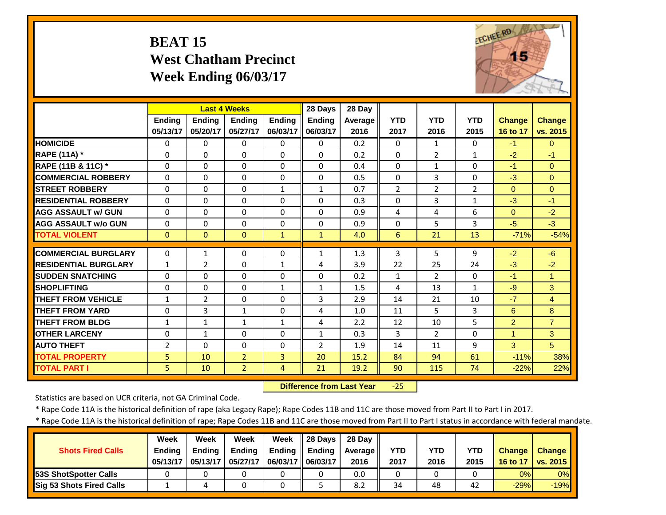# **BEAT 15 West Chatham Precinct Week Ending 06/03/17**



|                             |                | <b>Last 4 Weeks</b> |                |                | 28 Days        | 28 Day         |                 |                |                |                |                |
|-----------------------------|----------------|---------------------|----------------|----------------|----------------|----------------|-----------------|----------------|----------------|----------------|----------------|
|                             | <b>Ending</b>  | Ending              | <b>Endina</b>  | <b>Ending</b>  | <b>Ending</b>  | <b>Average</b> | <b>YTD</b>      | <b>YTD</b>     | <b>YTD</b>     | <b>Change</b>  | <b>Change</b>  |
|                             | 05/13/17       | 05/20/17            | 05/27/17       | 06/03/17       | 06/03/17       | 2016           | 2017            | 2016           | 2015           | 16 to 17       | vs. 2015       |
| <b>HOMICIDE</b>             | $\Omega$       | 0                   | $\Omega$       | 0              | 0              | 0.2            | 0               | 1              | 0              | $-1$           | $\Omega$       |
| <b>RAPE (11A)</b> *         | $\Omega$       | 0                   | $\Omega$       | $\Omega$       | $\Omega$       | 0.2            | $\Omega$        | $\overline{2}$ | $\mathbf{1}$   | $-2$           | $-1$           |
| RAPE (11B & 11C) *          | $\Omega$       | 0                   | $\Omega$       | $\Omega$       | $\Omega$       | 0.4            | $\mathbf{0}$    | $\mathbf{1}$   | $\Omega$       | $-1$           | $\Omega$       |
| <b>COMMERCIAL ROBBERY</b>   | $\Omega$       | 0                   | $\Omega$       | $\Omega$       | $\Omega$       | 0.5            | $\Omega$        | 3              | $\Omega$       | $-3$           | $\Omega$       |
| <b>STREET ROBBERY</b>       | $\Omega$       | 0                   | $\Omega$       | $\mathbf{1}$   | $\mathbf{1}$   | 0.7            | $\overline{2}$  | $\overline{2}$ | $\overline{2}$ | $\Omega$       | $\Omega$       |
| <b>RESIDENTIAL ROBBERY</b>  | $\Omega$       | 0                   | $\Omega$       | $\Omega$       | $\Omega$       | 0.3            | $\Omega$        | 3              | $\mathbf{1}$   | $-3$           | $-1$           |
| <b>AGG ASSAULT w/ GUN</b>   | $\Omega$       | 0                   | $\Omega$       | $\Omega$       | $\Omega$       | 0.9            | 4               | 4              | 6              | $\Omega$       | $-2$           |
| <b>AGG ASSAULT w/o GUN</b>  | $\Omega$       | 0                   | $\Omega$       | $\Omega$       | $\Omega$       | 0.9            | $\Omega$        | 5              | 3              | $-5$           | $-3$           |
| <b>TOTAL VIOLENT</b>        | $\Omega$       | $\overline{0}$      | $\mathbf{0}$   | $\mathbf{1}$   | $\mathbf{1}$   | 4.0            | $6\phantom{1}6$ | 21             | 13             | $-71%$         | $-54%$         |
| <b>COMMERCIAL BURGLARY</b>  | $\Omega$       | 1                   | 0              | 0              | $\mathbf{1}$   | 1.3            | 3               | 5.             | 9              | $-2$           | $-6$           |
| <b>RESIDENTIAL BURGLARY</b> | 1              | $\overline{2}$      | $\Omega$       | $\mathbf{1}$   | 4              | 3.9            | 22              | 25             | 24             | $-3$           | $-2$           |
| <b>SUDDEN SNATCHING</b>     | $\Omega$       | 0                   | $\Omega$       | $\Omega$       | $\Omega$       | 0.2            | $\mathbf{1}$    | $\overline{2}$ | $\Omega$       | $-1$           | $\overline{1}$ |
| <b>SHOPLIFTING</b>          | $\Omega$       | 0                   | 0              | 1              | $\mathbf{1}$   | 1.5            | 4               | 13             | $\mathbf{1}$   | $-9$           | 3              |
| <b>THEFT FROM VEHICLE</b>   | $\mathbf{1}$   | $\overline{2}$      | $\Omega$       | $\Omega$       | 3              | 2.9            | 14              | 21             | 10             | $-7$           | $\overline{4}$ |
| <b>THEFT FROM YARD</b>      | $\Omega$       | $\overline{3}$      | $\mathbf{1}$   | $\Omega$       | 4              | 1.0            | 11              | 5.             | 3              | 6              | 8              |
| <b>THEFT FROM BLDG</b>      | 1              | $\mathbf{1}$        | $\mathbf{1}$   | $\mathbf{1}$   | 4              | 2.2            | 12              | 10             | 5              | $\overline{2}$ | $\overline{7}$ |
| <b>OTHER LARCENY</b>        | $\Omega$       | $\mathbf{1}$        | $\Omega$       | $\Omega$       | $\mathbf{1}$   | 0.3            | 3               | $\overline{2}$ | $\Omega$       | $\mathbf{1}$   | $\mathbf{3}$   |
| <b>AUTO THEFT</b>           | $\overline{2}$ | 0                   | $\Omega$       | $\Omega$       | $\overline{2}$ | 1.9            | 14              | 11             | 9              | 3              | 5              |
| <b>TOTAL PROPERTY</b>       | 5              | 10                  | $\overline{2}$ | 3              | 20             | 15.2           | 84              | 94             | 61             | $-11%$         | 38%            |
| <b>TOTAL PART I</b>         | 5              | 10                  | $\overline{2}$ | $\overline{4}$ | 21             | 19.2           | 90              | 115            | 74             | $-22%$         | 22%            |

 **Difference from Last Year**‐25

Statistics are based on UCR criteria, not GA Criminal Code.

\* Rape Code 11A is the historical definition of rape (aka Legacy Rape); Rape Codes 11B and 11C are those moved from Part II to Part I in 2017.

|                                 | <b>Week</b>   | Week          | Week          | Week              | $\parallel$ 28 Days | 28 Dav  |            |      |            |               |                   |
|---------------------------------|---------------|---------------|---------------|-------------------|---------------------|---------|------------|------|------------|---------------|-------------------|
| <b>Shots Fired Calls</b>        | <b>Ending</b> | <b>Ending</b> | <b>Ending</b> | <b>Ending</b>     | Ending              | Average | <b>YTD</b> | YTD  | <b>YTD</b> | <b>Change</b> | <b>Change</b>     |
|                                 | 05/13/17      | 05/13/17      | 05/27/17      | 06/03/17 06/03/17 |                     | 2016    | 2017       | 2016 | 2015       | 16 to 17      | $\sqrt{vs. 2015}$ |
| <b>53S ShotSpotter Calls</b>    |               |               |               |                   |                     | 0.0     | 0          |      |            | 0%            | 0%                |
| <b>Sig 53 Shots Fired Calls</b> |               |               |               |                   |                     | 8.2     | 34         | 48   | 42         | $-29%$        | $-19%$            |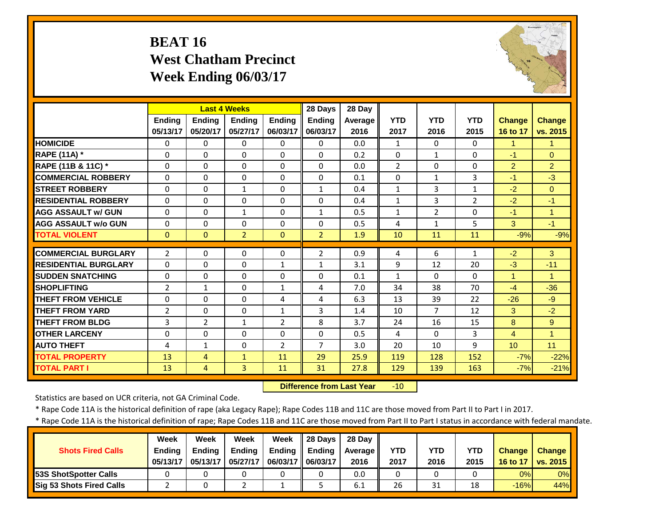# **BEAT 16 West Chatham Precinct Week Ending 06/03/17**



|                             |                |                | <b>Last 4 Weeks</b> |                | 28 Days        | 28 Day  |                |                |                |                |                      |
|-----------------------------|----------------|----------------|---------------------|----------------|----------------|---------|----------------|----------------|----------------|----------------|----------------------|
|                             | Ending         | Ending         | <b>Ending</b>       | <b>Ending</b>  | <b>Ending</b>  | Average | <b>YTD</b>     | <b>YTD</b>     | <b>YTD</b>     | <b>Change</b>  | <b>Change</b>        |
|                             | 05/13/17       | 05/20/17       | 05/27/17            | 06/03/17       | 06/03/17       | 2016    | 2017           | 2016           | 2015           | 16 to 17       | vs. 2015             |
| <b>HOMICIDE</b>             | $\Omega$       | $\Omega$       | $\Omega$            | $\Omega$       | $\Omega$       | 0.0     | $\mathbf{1}$   | $\Omega$       | $\Omega$       | $\mathbf{1}$   | 1                    |
| <b>RAPE (11A) *</b>         | $\Omega$       | $\Omega$       | $\Omega$            | $\Omega$       | $\Omega$       | 0.2     | $\Omega$       | $\mathbf{1}$   | $\Omega$       | $-1$           | $\Omega$             |
| RAPE (11B & 11C) *          | $\Omega$       | $\Omega$       | $\Omega$            | $\Omega$       | $\Omega$       | 0.0     | $\overline{2}$ | $\Omega$       | 0              | $\overline{2}$ | $\overline{2}$       |
| <b>COMMERCIAL ROBBERY</b>   | $\Omega$       | $\Omega$       | $\mathbf 0$         | $\Omega$       | $\Omega$       | 0.1     | $\Omega$       | 1              | 3              | $-1$           | $-3$                 |
| <b>STREET ROBBERY</b>       | $\Omega$       | 0              | $\mathbf{1}$        | $\Omega$       | $\mathbf{1}$   | 0.4     | $\mathbf{1}$   | 3              | $\mathbf{1}$   | $-2$           | $\Omega$             |
| <b>RESIDENTIAL ROBBERY</b>  | $\Omega$       | 0              | $\Omega$            | 0              | $\Omega$       | 0.4     | $\mathbf{1}$   | 3              | $\overline{2}$ | $-2$           | $-1$                 |
| <b>AGG ASSAULT W/ GUN</b>   | $\Omega$       | 0              | $\mathbf{1}$        | 0              | $\mathbf{1}$   | 0.5     | $\mathbf{1}$   | $\overline{2}$ | 0              | $-1$           | $\blacktriangleleft$ |
| <b>AGG ASSAULT w/o GUN</b>  | $\Omega$       | $\Omega$       | $\Omega$            | $\Omega$       | $\Omega$       | 0.5     | 4              | 1              | 5.             | 3              | $-1$                 |
| <b>TOTAL VIOLENT</b>        | $\Omega$       | $\Omega$       | $\overline{2}$      | $\Omega$       | 2              | 1.9     | 10             | 11             | 11             | $-9%$          | $-9%$                |
| <b>COMMERCIAL BURGLARY</b>  | $\overline{2}$ | 0              | 0                   | 0              | $\overline{2}$ | 0.9     | 4              | 6              | 1              | $-2$           | 3                    |
| <b>RESIDENTIAL BURGLARY</b> | $\Omega$       | 0              | 0                   | 1              | $\mathbf{1}$   | 3.1     | 9              | 12             | 20             | $-3$           | $-11$                |
| <b>SUDDEN SNATCHING</b>     | $\Omega$       | 0              | $\Omega$            | $\Omega$       | $\Omega$       | 0.1     | $\mathbf{1}$   | $\Omega$       | $\Omega$       | 1              | 1                    |
| <b>SHOPLIFTING</b>          | 2              | $\mathbf{1}$   | $\Omega$            | 1              | 4              | 7.0     | 34             | 38             | 70             | $-4$           | $-36$                |
| <b>THEFT FROM VEHICLE</b>   | $\Omega$       | $\Omega$       | $\Omega$            | 4              | 4              | 6.3     | 13             | 39             | 22             | $-26$          | $-9$                 |
| <b>THEFT FROM YARD</b>      | $\overline{2}$ | 0              | $\Omega$            | $\mathbf{1}$   | 3              | 1.4     | 10             | 7              | 12             | 3              | $-2$                 |
| <b>THEFT FROM BLDG</b>      | 3              | $\overline{2}$ | $\mathbf{1}$        | $\overline{2}$ | 8              | 3.7     | 24             | 16             | 15             | 8              | 9                    |
| <b>OTHER LARCENY</b>        | $\Omega$       | $\Omega$       | $\Omega$            | $\Omega$       | $\Omega$       | 0.5     | 4              | $\Omega$       | 3              | $\overline{4}$ | $\overline{1}$       |
| <b>AUTO THEFT</b>           | 4              | $\mathbf{1}$   | $\Omega$            | $\overline{2}$ | $\overline{7}$ | 3.0     | 20             | 10             | 9              | 10             | 11                   |
| <b>TOTAL PROPERTY</b>       | 13             | 4              | $\mathbf{1}$        | 11             | 29             | 25.9    | 119            | 128            | 152            | $-7%$          | $-22%$               |
| <b>TOTAL PART I</b>         | 13             | $\overline{4}$ | $\overline{3}$      | 11             | 31             | 27.8    | 129            | 139            | 163            | $-7%$          | $-21%$               |
|                             |                |                |                     |                |                |         |                |                |                |                |                      |

 **Difference from Last Year** $-10$ 

Statistics are based on UCR criteria, not GA Criminal Code.

\* Rape Code 11A is the historical definition of rape (aka Legacy Rape); Rape Codes 11B and 11C are those moved from Part II to Part I in 2017.

|                                 | <b>Week</b>   | Week          | Week          | Week              | $\parallel$ 28 Days | 28 Dav  |            |      |            |               |                   |
|---------------------------------|---------------|---------------|---------------|-------------------|---------------------|---------|------------|------|------------|---------------|-------------------|
| <b>Shots Fired Calls</b>        | <b>Ending</b> | <b>Ending</b> | <b>Ending</b> | <b>Ending</b>     | Ending              | Average | <b>YTD</b> | YTD  | <b>YTD</b> | <b>Change</b> | <b>Change</b>     |
|                                 | 05/13/17      | 05/13/17      | 05/27/17      | 06/03/17 06/03/17 |                     | 2016    | 2017       | 2016 | 2015       | 16 to 17      | $\sqrt{vs. 2015}$ |
| <b>53S ShotSpotter Calls</b>    |               |               |               |                   |                     | 0.0     | 0          |      |            | 0%            | 0%                |
| <b>Sig 53 Shots Fired Calls</b> |               |               |               |                   |                     | 6.1     | 26         | 31   | 18         | $-16%$        | 44%               |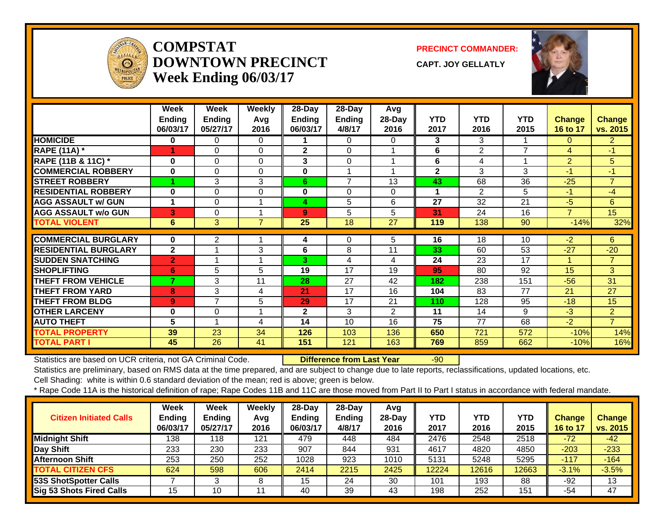

#### **COMPSTATDOWNTOWN PRECINCTWeek Ending 06/03/17**

**PRECINCT COMMANDER:**

**CAPT. JOY GELLATLY**



|                             | Week<br><b>Ending</b><br>06/03/17 | Week<br><b>Ending</b><br>05/27/17 | <b>Weekly</b><br>Avg<br>2016 | $28$ -Day<br><b>Ending</b><br>06/03/17 | 28-Day<br><b>Ending</b><br>4/8/17 | Avg<br>$28-Day$<br>2016 | <b>YTD</b><br>2017 | <b>YTD</b><br>2016 | <b>YTD</b><br>2015 | <b>Change</b><br>16 to 17 | <b>Change</b><br>vs. 2015 |
|-----------------------------|-----------------------------------|-----------------------------------|------------------------------|----------------------------------------|-----------------------------------|-------------------------|--------------------|--------------------|--------------------|---------------------------|---------------------------|
| <b>HOMICIDE</b>             | 0                                 | 0                                 | $\Omega$                     |                                        | $\Omega$                          | 0                       | 3                  | 3                  |                    | $\Omega$                  | $\overline{2}$            |
| <b>RAPE (11A) *</b>         | 4                                 | 0                                 | $\Omega$                     | $\mathbf{2}$                           | $\Omega$                          | 4                       | 6                  | $\overline{2}$     | $\overline{7}$     | 4                         | $-1$                      |
| RAPE (11B & 11C) *          | $\bf{0}$                          | 0                                 | $\Omega$                     | 3                                      | $\Omega$                          |                         | 6                  | 4                  |                    | $\overline{2}$            | 5                         |
| <b>COMMERCIAL ROBBERY</b>   | $\bf{0}$                          | $\Omega$                          | $\Omega$                     | $\bf{0}$                               |                                   |                         | $\overline{2}$     | 3                  | 3                  | $-1$                      | $-1$                      |
| <b>STREET ROBBERY</b>       |                                   | 3                                 | 3                            | 6                                      | $\overline{7}$                    | 13                      | 43                 | 68                 | 36                 | $-25$                     | $\overline{7}$            |
| <b>RESIDENTIAL ROBBERY</b>  | 0                                 | 0                                 | $\Omega$                     | 0                                      | 0                                 | 0                       |                    | $\overline{2}$     | 5                  | $-1$                      | $-4$                      |
| <b>AGG ASSAULT w/ GUN</b>   |                                   | 0                                 |                              | 4                                      | 5                                 | 6                       | 27                 | 32                 | 21                 | $-5$                      | 6                         |
| <b>AGG ASSAULT w/o GUN</b>  | 3                                 | 0                                 |                              | 9                                      | 5                                 | 5                       | 31                 | 24                 | 16                 | $\overline{\phantom{a}}$  | 15                        |
| <b>TOTAL VIOLENT</b>        | 6                                 | 3                                 | $\overline{7}$               | 25                                     | 18                                | 27                      | 119                | 138                | 90                 | $-14%$                    | 32%                       |
| <b>COMMERCIAL BURGLARY</b>  | $\bf{0}$                          | $\overline{2}$                    |                              |                                        | 0                                 | 5                       | 16                 | 18                 | 10                 | $-2$                      | 6                         |
|                             | $\mathbf{2}$                      |                                   |                              | 4                                      |                                   |                         |                    |                    |                    |                           |                           |
| <b>RESIDENTIAL BURGLARY</b> |                                   |                                   | 3                            | 6                                      | 8                                 | 11                      | 33                 | 60                 | 53                 | $-27$                     | $-20$                     |
| <b>SUDDEN SNATCHING</b>     | $\overline{2}$                    |                                   | 1                            | 3                                      | 4                                 | 4                       | 24                 | 23                 | 17                 | $\blacktriangleleft$      | $\overline{7}$            |
| <b>SHOPLIFTING</b>          | 6                                 | 5                                 | 5                            | 19                                     | 17                                | 19                      | 95                 | 80                 | 92                 | 15                        | 3 <sup>1</sup>            |
| <b>THEFT FROM VEHICLE</b>   | 7                                 | 3                                 | 11                           | 28                                     | 27                                | 42                      | 182                | 238                | 151                | $-56$                     | 31                        |
| <b>THEFT FROM YARD</b>      | 8                                 | 3                                 | 4                            | 21                                     | 17                                | 16                      | 104                | 83                 | 77                 | 21                        | 27                        |
| <b>THEFT FROM BLDG</b>      | 9 <sup>°</sup>                    | 7                                 | 5                            | 29                                     | 17                                | 21                      | 110                | 128                | 95                 | $-18$                     | 15                        |
| <b>OTHER LARCENY</b>        | 0                                 | 0                                 | 1                            | $\overline{2}$                         | 3                                 | 2                       | 11                 | 14                 | 9                  | $-3$                      | $\overline{2}$            |
| <b>AUTO THEFT</b>           | 5                                 |                                   | 4                            | 14                                     | 10                                | 16                      | 75                 | 77                 | 68                 | $-2$                      | $\overline{7}$            |
| <b>TOTAL PROPERTY</b>       | 39                                | 23                                | 34                           | 126                                    | 103                               | 136                     | 650                | 721                | 572                | $-10%$                    | 14%                       |
| <b>TOTAL PART I</b>         | 45                                | 26                                | 41                           | 151                                    | 121                               | 163                     | 769                | 859                | 662                | $-10%$                    | 16%                       |

Statistics are based on UCR criteria, not GA Criminal Code. **Difference from Last Year** -90

Statistics are preliminary, based on RMS data at the time prepared, and are subject to change due to late reports, reclassifications, updated locations, etc.

Cell Shading: white is within 0.6 standard deviation of the mean; red is above; green is below.

| <b>Citizen Initiated Calls</b> | Week<br><b>Ending</b><br>06/03/17 | <b>Week</b><br>Ending<br>05/27/17 | Weekly<br>Avq<br>2016 | $28$ -Day<br><b>Ending</b><br>06/03/17 | $28$ -Day<br><b>Ending</b><br>4/8/17 | Avg<br>28-Dav<br>2016 | <b>YTD</b><br>2017 | <b>YTD</b><br>2016 | YTD<br>2015 | <b>Change</b><br>16 to 17 | <b>Change</b><br>vs. 2015 |
|--------------------------------|-----------------------------------|-----------------------------------|-----------------------|----------------------------------------|--------------------------------------|-----------------------|--------------------|--------------------|-------------|---------------------------|---------------------------|
| <b>Midnight Shift</b>          | 138                               | 118                               | 121                   | 479                                    | 448                                  | 484                   | 2476               | 2548               | 2518        | $-72$                     | $-42$                     |
| Day Shift                      | 233                               | 230                               | 233                   | 907                                    | 844                                  | 931                   | 4617               | 4820               | 4850        | $-203$                    | $-233$                    |
| <b>Afternoon Shift</b>         | 253                               | 250                               | 252                   | 1028                                   | 923                                  | 1010                  | 5131               | 5248               | 5295        | $-117$                    | $-164$                    |
| <b>TOTAL CITIZEN CFS</b>       | 624                               | 598                               | 606                   | 2414                                   | 2215                                 | 2425                  | 12224              | 12616              | 12663       | $-3.1%$                   | $-3.5%$                   |
| <b>53S ShotSpotter Calls</b>   |                                   |                                   |                       | 15                                     | 24                                   | 30                    | 101                | 193                | 88          | $-92$                     | 13                        |
| Sig 53 Shots Fired Calls       | 15                                | 10                                |                       | 40                                     | 39                                   | 43                    | 198                | 252                | 151         | -54                       | 47                        |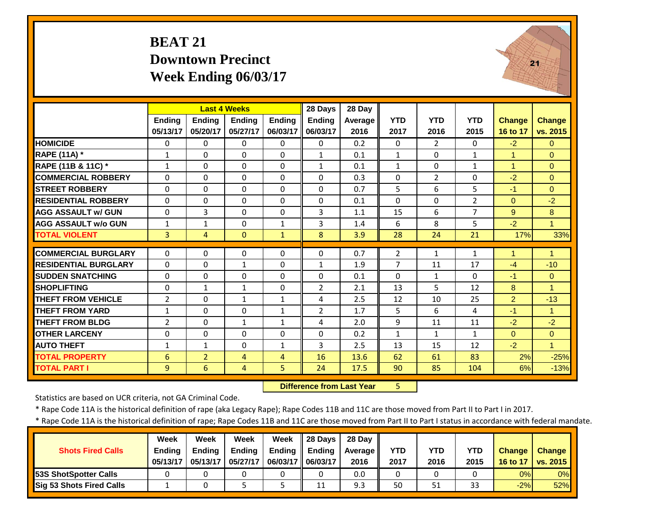#### **BEAT 21 Downtown Precinct Week Ending 06/03/17**



|                             |                | <b>Last 4 Weeks</b> |                |               | 28 Days        | 28 Day  |                |                |                |                |                      |
|-----------------------------|----------------|---------------------|----------------|---------------|----------------|---------|----------------|----------------|----------------|----------------|----------------------|
|                             | Ending         | <b>Ending</b>       | <b>Ending</b>  | <b>Ending</b> | Ending         | Average | <b>YTD</b>     | <b>YTD</b>     | <b>YTD</b>     | <b>Change</b>  | <b>Change</b>        |
|                             | 05/13/17       | 05/20/17            | 05/27/17       | 06/03/17      | 06/03/17       | 2016    | 2017           | 2016           | 2015           | 16 to 17       | vs. 2015             |
| <b>HOMICIDE</b>             | $\Omega$       | $\Omega$            | $\Omega$       | $\Omega$      | $\Omega$       | 0.2     | $\Omega$       | $\overline{2}$ | $\Omega$       | $-2$           | $\Omega$             |
| <b>RAPE (11A)</b> *         | 1              | $\Omega$            | $\Omega$       | $\Omega$      | $\mathbf{1}$   | 0.1     | $\mathbf{1}$   | $\Omega$       | $\mathbf{1}$   | $\mathbf{1}$   | $\Omega$             |
| RAPE (11B & 11C) *          | $\mathbf{1}$   | $\Omega$            | $\Omega$       | $\Omega$      | $\mathbf{1}$   | 0.1     | $\mathbf{1}$   | $\Omega$       | $\mathbf{1}$   | $\mathbf{1}$   | $\mathbf{0}$         |
| <b>COMMERCIAL ROBBERY</b>   | $\Omega$       | $\Omega$            | $\Omega$       | $\Omega$      | $\Omega$       | 0.3     | $\Omega$       | $\overline{2}$ | $\Omega$       | $-2$           | $\Omega$             |
| <b>STREET ROBBERY</b>       | $\Omega$       | $\Omega$            | $\Omega$       | $\Omega$      | $\Omega$       | 0.7     | 5              | 6              | 5              | $-1$           | $\Omega$             |
| <b>RESIDENTIAL ROBBERY</b>  | $\Omega$       | $\Omega$            | $\Omega$       | $\Omega$      | $\Omega$       | 0.1     | $\Omega$       | $\Omega$       | $\overline{2}$ | $\Omega$       | $-2$                 |
| <b>AGG ASSAULT W/ GUN</b>   | $\Omega$       | 3                   | $\Omega$       | $\Omega$      | 3              | 1.1     | 15             | 6              | 7              | 9              | 8                    |
| <b>AGG ASSAULT w/o GUN</b>  | 1              | $\mathbf{1}$        | $\Omega$       | $\mathbf{1}$  | 3              | 1.4     | 6              | 8              | 5              | $-2$           | $\blacktriangleleft$ |
| <b>TOTAL VIOLENT</b>        | 3              | 4                   | $\Omega$       | $\mathbf{1}$  | 8              | 3.9     | 28             | 24             | 21             | 17%            | 33%                  |
| <b>COMMERCIAL BURGLARY</b>  | $\Omega$       | $\Omega$            | $\Omega$       | $\Omega$      | $\Omega$       | 0.7     | $\overline{2}$ | $\mathbf{1}$   | 1              | 1              | 1                    |
| <b>RESIDENTIAL BURGLARY</b> | $\Omega$       | $\Omega$            | 1              | 0             | $\mathbf{1}$   | 1.9     | $\overline{7}$ | 11             | 17             | $-4$           | $-10$                |
| <b>SUDDEN SNATCHING</b>     | $\mathbf 0$    | $\Omega$            | $\Omega$       | $\Omega$      | $\Omega$       | 0.1     | $\Omega$       | $\mathbf{1}$   | 0              | $-1$           | $\Omega$             |
| <b>SHOPLIFTING</b>          | $\Omega$       | $\mathbf{1}$        | 1              | 0             | $\overline{2}$ | 2.1     | 13             | 5              | 12             | 8              | 1                    |
| <b>THEFT FROM VEHICLE</b>   | $\overline{2}$ | $\Omega$            | $\mathbf{1}$   | $\mathbf{1}$  | 4              | 2.5     | 12             | 10             | 25             | $\overline{2}$ | $-13$                |
| <b>THEFT FROM YARD</b>      | 1              | $\Omega$            | $\Omega$       | 1             | $\overline{2}$ | 1.7     | 5              | 6              | 4              | $-1$           | 1                    |
| <b>THEFT FROM BLDG</b>      | $\overline{2}$ | $\Omega$            | $\mathbf{1}$   | $\mathbf{1}$  | 4              | 2.0     | 9              | 11             | 11             | $-2$           | $-2$                 |
| <b>OTHER LARCENY</b>        | $\Omega$       | $\Omega$            | $\Omega$       | $\Omega$      | 0              | 0.2     | $\mathbf{1}$   | 1              | 1              | $\Omega$       | $\Omega$             |
| <b>AUTO THEFT</b>           | $\mathbf{1}$   | $\mathbf{1}$        | $\Omega$       | $\mathbf{1}$  | 3              | 2.5     | 13             | 15             | 12             | $-2$           | 1                    |
| <b>TOTAL PROPERTY</b>       | 6              | $\overline{2}$      | 4              | 4             | 16             | 13.6    | 62             | 61             | 83             | 2%             | $-25%$               |
| <b>TOTAL PART I</b>         | 9              | 6                   | $\overline{4}$ | 5             | 24             | 17.5    | 90             | 85             | 104            | 6%             | $-13%$               |

 **Difference from Last Year**5

Statistics are based on UCR criteria, not GA Criminal Code.

\* Rape Code 11A is the historical definition of rape (aka Legacy Rape); Rape Codes 11B and 11C are those moved from Part II to Part I in 2017.

|                               | <b>Week</b>   | Week          | Week          | Week                | 28 Days | 28 Dav  |            |      |            |               |               |
|-------------------------------|---------------|---------------|---------------|---------------------|---------|---------|------------|------|------------|---------------|---------------|
| <b>Shots Fired Calls</b>      | <b>Ending</b> | <b>Ending</b> | <b>Ending</b> | Ending              | Ending  | Average | <b>YTD</b> | YTD  | <b>YTD</b> | <b>Change</b> | <b>Change</b> |
|                               | 05/13/17      | 05/13/17      | 05/27/17      | 06/03/17   06/03/17 |         | 2016    | 2017       | 2016 | 2015       | 16 to 17      | vs. 2015      |
| <b>153S ShotSpotter Calls</b> |               |               |               |                     |         | 0.0     | $\Omega$   |      |            | 0%            | 0%            |
| Sig 53 Shots Fired Calls      |               |               |               |                     | 11      | 9.3     | 50         | 51   | 33         | $-2%$         | 52%           |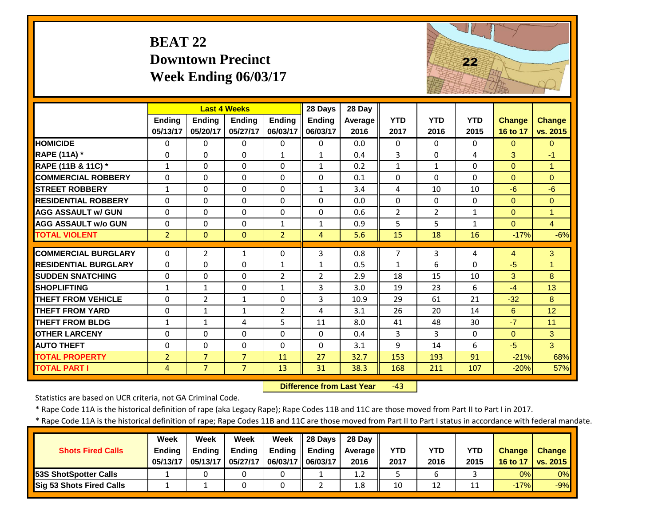# **BEAT 22 Downtown Precinct Week Ending 06/03/17**



|                             |                | <b>Last 4 Weeks</b> |                |                | 28 Days        | 28 Day  |                |                |              |               |                      |
|-----------------------------|----------------|---------------------|----------------|----------------|----------------|---------|----------------|----------------|--------------|---------------|----------------------|
|                             | Ending         | <b>Endina</b>       | <b>Endina</b>  | <b>Endina</b>  | <b>Ending</b>  | Average | <b>YTD</b>     | <b>YTD</b>     | <b>YTD</b>   | <b>Change</b> | <b>Change</b>        |
|                             | 05/13/17       | 05/20/17            | 05/27/17       | 06/03/17       | 06/03/17       | 2016    | 2017           | 2016           | 2015         | 16 to 17      | vs. 2015             |
| <b>HOMICIDE</b>             | $\Omega$       | 0                   | $\Omega$       | $\Omega$       | $\Omega$       | 0.0     | $\Omega$       | $\Omega$       | $\Omega$     | $\Omega$      | $\Omega$             |
| <b>RAPE (11A) *</b>         | $\Omega$       | $\Omega$            | $\Omega$       | $\mathbf{1}$   | $\mathbf{1}$   | 0.4     | 3              | $\Omega$       | 4            | 3             | $-1$                 |
| RAPE (11B & 11C) *          | $\mathbf{1}$   | 0                   | $\Omega$       | $\Omega$       | $\mathbf{1}$   | 0.2     | $\mathbf{1}$   | $\mathbf{1}$   | $\Omega$     | $\Omega$      | $\overline{1}$       |
| <b>COMMERCIAL ROBBERY</b>   | $\Omega$       | 0                   | $\Omega$       | $\Omega$       | $\Omega$       | 0.1     | $\Omega$       | $\Omega$       | $\Omega$     | $\Omega$      | $\Omega$             |
| <b>STREET ROBBERY</b>       | $\mathbf{1}$   | 0                   | $\Omega$       | $\Omega$       | $\mathbf{1}$   | 3.4     | 4              | 10             | 10           | $-6$          | $-6$                 |
| <b>RESIDENTIAL ROBBERY</b>  | $\Omega$       | 0                   | $\Omega$       | $\Omega$       | $\Omega$       | 0.0     | $\Omega$       | $\Omega$       | $\Omega$     | $\Omega$      | $\Omega$             |
| <b>AGG ASSAULT w/ GUN</b>   | $\Omega$       | 0                   | $\Omega$       | $\Omega$       | $\Omega$       | 0.6     | $\overline{2}$ | $\overline{2}$ | $\mathbf{1}$ | $\Omega$      | $\overline{1}$       |
| <b>AGG ASSAULT w/o GUN</b>  | $\Omega$       | 0                   | $\Omega$       | $\mathbf{1}$   | $\mathbf{1}$   | 0.9     | 5              | 5              | $\mathbf{1}$ | $\Omega$      | $\overline{4}$       |
| <b>TOTAL VIOLENT</b>        | $\overline{2}$ | $\Omega$            | $\Omega$       | $\overline{2}$ | $\overline{4}$ | 5.6     | 15             | 18             | 16           | $-17%$        | $-6%$                |
| <b>COMMERCIAL BURGLARY</b>  | $\Omega$       | $\overline{2}$      | $\mathbf{1}$   | $\Omega$       | 3              | 0.8     | 7              | 3              | 4            | 4             | 3                    |
| <b>RESIDENTIAL BURGLARY</b> | $\Omega$       | 0                   | $\Omega$       | $\mathbf{1}$   | $\mathbf{1}$   | 0.5     | $\mathbf{1}$   | 6              | $\Omega$     | $-5$          | $\blacktriangleleft$ |
| <b>SUDDEN SNATCHING</b>     | $\Omega$       | 0                   | $\Omega$       | $\overline{2}$ | $\overline{2}$ | 2.9     | 18             | 15             | 10           | 3             | 8                    |
| <b>SHOPLIFTING</b>          | 1              | $\mathbf{1}$        | $\Omega$       | $\mathbf{1}$   | 3              | 3.0     | 19             | 23             | 6            | $-4$          | 13                   |
| <b>THEFT FROM VEHICLE</b>   | $\Omega$       | $\overline{2}$      | $\mathbf{1}$   | $\Omega$       | 3              | 10.9    | 29             | 61             | 21           | $-32$         | 8                    |
| <b>THEFT FROM YARD</b>      | $\Omega$       | 1                   | $\mathbf{1}$   | $\overline{2}$ | 4              | 3.1     | 26             | 20             | 14           | 6             | 12                   |
| <b>THEFT FROM BLDG</b>      | $\mathbf{1}$   | $\mathbf{1}$        | 4              | 5              | 11             | 8.0     | 41             | 48             | 30           | $-7$          | 11                   |
| <b>OTHER LARCENY</b>        | $\Omega$       | 0                   | $\Omega$       | $\Omega$       | $\Omega$       | 0.4     | 3              | 3              | $\Omega$     | $\Omega$      | $\mathbf{3}$         |
| <b>AUTO THEFT</b>           | $\Omega$       | 0                   | 0              | $\Omega$       | $\Omega$       | 3.1     | 9              | 14             | 6            | $-5$          | 3                    |
| <b>TOTAL PROPERTY</b>       | $\overline{2}$ | $\overline{7}$      | $\overline{7}$ | 11             | 27             | 32.7    | 153            | 193            | 91           | $-21%$        | 68%                  |
| <b>TOTAL PART I</b>         | 4              | $\overline{7}$      | $\overline{7}$ | 13             | 31             | 38.3    | 168            | 211            | 107          | $-20%$        | 57%                  |
|                             |                |                     |                |                |                |         |                |                |              |               |                      |

 **Difference from Last Year** $-43$ 

Statistics are based on UCR criteria, not GA Criminal Code.

\* Rape Code 11A is the historical definition of rape (aka Legacy Rape); Rape Codes 11B and 11C are those moved from Part II to Part I in 2017.

| <b>Shots Fired Calls</b>        | Week<br><b>Endina</b><br>05/13/17 | Week<br><b>Ending</b><br>05/13/17 | Week<br><b>Ending</b><br>05/27/17 | Week<br><b>Ending</b><br>06/03/17 | 28 Days<br>Ending<br>06/03/17 | 28 Day<br>Average II<br>2016 | YTD<br>2017 | YTD<br>2016 | YTD<br>2015 | <b>Change</b><br>16 to 17 | <b>Change</b><br>vs. 2015 |
|---------------------------------|-----------------------------------|-----------------------------------|-----------------------------------|-----------------------------------|-------------------------------|------------------------------|-------------|-------------|-------------|---------------------------|---------------------------|
| <b>53S ShotSpotter Calls</b>    |                                   |                                   |                                   |                                   |                               | 1.2                          |             |             |             | 0%                        | 0%                        |
| <b>Sig 53 Shots Fired Calls</b> |                                   |                                   |                                   |                                   |                               | 1.8                          | 10          | 12          | ᆠ           | $-17%$                    | $-9%$                     |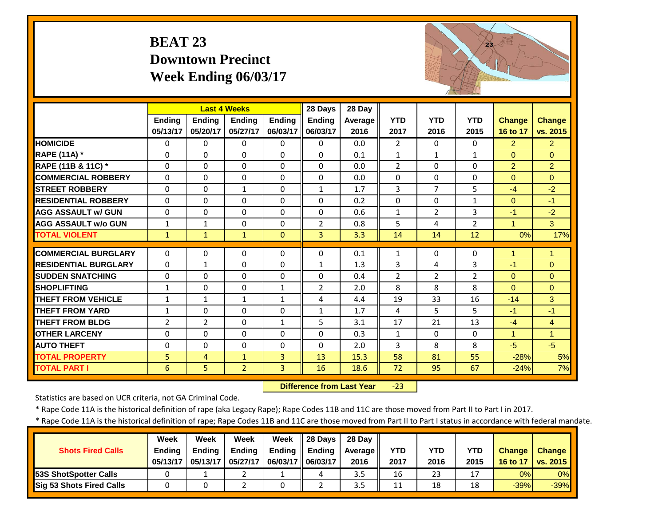# **BEAT 23 Downtown Precinct Week Ending 06/03/17**



|                             |                |                | <b>Last 4 Weeks</b> |               | 28 Days        | 28 Day         |                   |                |                |                      |                |
|-----------------------------|----------------|----------------|---------------------|---------------|----------------|----------------|-------------------|----------------|----------------|----------------------|----------------|
|                             | <b>Endina</b>  | <b>Endina</b>  | <b>Endina</b>       | <b>Endina</b> | <b>Ending</b>  | <b>Average</b> | <b>YTD</b>        | <b>YTD</b>     | <b>YTD</b>     | <b>Change</b>        | <b>Change</b>  |
|                             | 05/13/17       | 05/20/17       | 05/27/17            | 06/03/17      | 06/03/17       | 2016           | 2017              | 2016           | 2015           | 16 to 17             | vs. 2015       |
| <b>HOMICIDE</b>             | $\Omega$       | 0              | $\Omega$            | $\Omega$      | $\Omega$       | 0.0            | $\overline{2}$    | 0              | 0              | $\overline{2}$       | $\overline{2}$ |
| <b>RAPE (11A) *</b>         | $\Omega$       | 0              | $\Omega$            | $\Omega$      | $\Omega$       | 0.1            | $\mathbf{1}$      | $\mathbf{1}$   | $\mathbf{1}$   | $\Omega$             | $\Omega$       |
| RAPE (11B & 11C) *          | $\Omega$       | $\Omega$       | $\Omega$            | $\Omega$      | $\Omega$       | 0.0            | $\overline{2}$    | $\Omega$       | 0              | $\overline{2}$       | $\overline{2}$ |
| <b>COMMERCIAL ROBBERY</b>   | $\Omega$       | $\Omega$       | $\Omega$            | $\Omega$      | $\Omega$       | 0.0            | $\Omega$          | $\Omega$       | 0              | $\Omega$             | $\Omega$       |
| <b>STREET ROBBERY</b>       | $\Omega$       | 0              | $\mathbf{1}$        | $\Omega$      | $\mathbf{1}$   | 1.7            | 3                 | 7              | 5              | $-4$                 | $-2$           |
| <b>RESIDENTIAL ROBBERY</b>  | $\Omega$       | 0              | $\mathbf 0$         | $\Omega$      | $\Omega$       | 0.2            | $\Omega$          | $\Omega$       | $\mathbf{1}$   | $\Omega$             | $-1$           |
| <b>AGG ASSAULT W/ GUN</b>   | $\Omega$       | 0              | $\mathbf 0$         | $\Omega$      | $\Omega$       | 0.6            | $\mathbf{1}$      | $\overline{2}$ | 3              | $-1$                 | $-2$           |
| <b>AGG ASSAULT w/o GUN</b>  | $\mathbf{1}$   | 1              | $\Omega$            | $\Omega$      | $\overline{2}$ | 0.8            | 5                 | 4              | $\overline{2}$ | $\overline{1}$       | 3 <sup>1</sup> |
| <b>TOTAL VIOLENT</b>        | $\mathbf{1}$   | $\mathbf{1}$   | 1                   | $\Omega$      | 3              | 3.3            | 14                | 14             | 12             | 0%                   | 17%            |
| <b>COMMERCIAL BURGLARY</b>  | $\Omega$       | 0              | 0                   | 0             | $\Omega$       | 0.1            | $\mathbf{1}$      | $\Omega$       | 0              | 1                    | $\mathbf{1}$   |
| <b>RESIDENTIAL BURGLARY</b> | $\Omega$       | 1              | $\Omega$            | $\Omega$      | $\mathbf{1}$   | 1.3            | 3                 | 4              | 3              | $-1$                 | $\Omega$       |
| <b>SUDDEN SNATCHING</b>     | $\Omega$       | 0              | $\Omega$            | 0             | $\Omega$       | 0.4            | $\overline{2}$    | $\overline{2}$ | $\overline{2}$ | $\Omega$             | $\Omega$       |
| <b>SHOPLIFTING</b>          | 1              | 0              | $\Omega$            | $\mathbf{1}$  | $\overline{2}$ | 2.0            | 8                 | 8              | 8              | $\Omega$             | $\Omega$       |
| <b>THEFT FROM VEHICLE</b>   | $\mathbf{1}$   | 1              | $\mathbf{1}$        | $\mathbf{1}$  | 4              | 4.4            | 19                | 33             | 16             | $-14$                | 3              |
| <b>THEFT FROM YARD</b>      | $\mathbf{1}$   | 0              | $\Omega$            | $\Omega$      | $\mathbf{1}$   | 1.7            | 4                 | 5.             | 5              | $-1$                 | $-1$           |
| <b>THEFT FROM BLDG</b>      | $\overline{2}$ | $\overline{2}$ | $\Omega$            | $\mathbf{1}$  | 5              | 3.1            | 17                | 21             | 13             | $-4$                 | $\overline{4}$ |
| <b>OTHER LARCENY</b>        | $\Omega$       | $\Omega$       | $\Omega$            | $\Omega$      | $\Omega$       | 0.3            |                   | $\Omega$       |                | $\blacktriangleleft$ | $\mathbf{1}$   |
| <b>AUTO THEFT</b>           | $\Omega$       | $\Omega$       | $\Omega$            | $\Omega$      | $\Omega$       | 2.0            | $\mathbf{1}$<br>3 | 8              | $\Omega$<br>8  | $-5$                 | $-5$           |
|                             |                |                |                     |               |                |                |                   |                |                |                      |                |
| <b>TOTAL PROPERTY</b>       | 5              | 4              | $\mathbf{1}$        | 3             | 13             | 15.3           | 58                | 81             | 55             | $-28%$               | 5%             |
| <b>TOTAL PART I</b>         | 6              | 5              | $\overline{2}$      | 3             | 16             | 18.6           | 72                | 95             | 67             | $-24%$               | 7%             |

 **Difference from Last Year**‐23

Statistics are based on UCR criteria, not GA Criminal Code.

\* Rape Code 11A is the historical definition of rape (aka Legacy Rape); Rape Codes 11B and 11C are those moved from Part II to Part I in 2017.

|                                 | <b>Week</b>   | Week          | Week          | Week              | $\parallel$ 28 Days | 28 Dav  |            |      |            |               |                 |
|---------------------------------|---------------|---------------|---------------|-------------------|---------------------|---------|------------|------|------------|---------------|-----------------|
| <b>Shots Fired Calls</b>        | <b>Ending</b> | <b>Ending</b> | <b>Ending</b> | <b>Ending</b>     | Ending              | Average | <b>YTD</b> | YTD  | <b>YTD</b> | <b>Change</b> | Change          |
|                                 | 05/13/17      | 05/13/17      | 05/27/17      | 06/03/17 06/03/17 |                     | 2016    | 2017       | 2016 | 2015       | 16 to 17      | <b>VS. 2015</b> |
| <b>53S ShotSpotter Calls</b>    |               |               |               |                   | 4                   | 3.5     | 16         | 23   |            | 0%            | 0%              |
| <b>Sig 53 Shots Fired Calls</b> |               |               |               |                   |                     | 3.5     | 11         | 18   | 18         | $-39%$        | $-39%$          |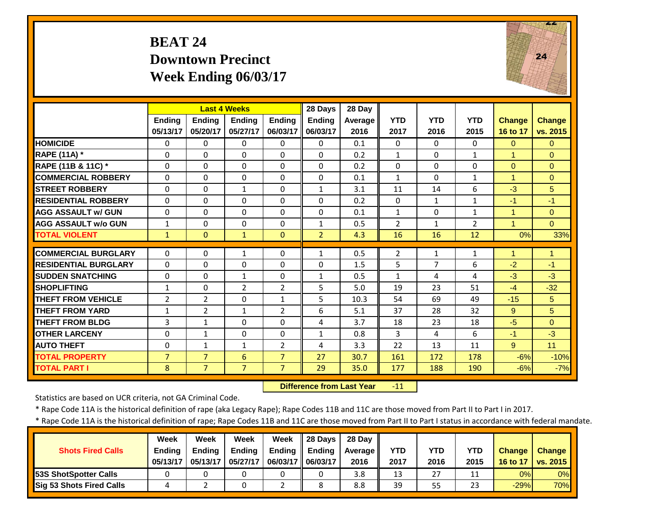#### **BEAT 24 Downtown Precinct Week Ending 06/03/17**



|                             |                |                | <b>Last 4 Weeks</b>      |                | 28 Days        | 28 Day  |                |              |                |                      |                 |
|-----------------------------|----------------|----------------|--------------------------|----------------|----------------|---------|----------------|--------------|----------------|----------------------|-----------------|
|                             | <b>Endina</b>  | Ending         | <b>Endina</b>            | <b>Endina</b>  | <b>Endina</b>  | Average | <b>YTD</b>     | <b>YTD</b>   | <b>YTD</b>     | <b>Change</b>        | <b>Change</b>   |
|                             | 05/13/17       | 05/20/17       | 05/27/17                 | 06/03/17       | 06/03/17       | 2016    | 2017           | 2016         | 2015           | 16 to 17             | vs. 2015        |
| <b>HOMICIDE</b>             | $\Omega$       | $\Omega$       | $\Omega$                 | $\Omega$       | $\Omega$       | 0.1     | $\Omega$       | $\Omega$     | 0              | $\Omega$             | $\Omega$        |
| <b>RAPE (11A) *</b>         | $\Omega$       | $\Omega$       | $\Omega$                 | $\Omega$       | $\Omega$       | 0.2     | $\mathbf{1}$   | $\Omega$     | $\mathbf{1}$   | $\overline{1}$       | $\Omega$        |
| RAPE (11B & 11C) *          | $\mathbf 0$    | $\overline{0}$ | $\Omega$                 | $\Omega$       | 0              | 0.2     | $\Omega$       | $\Omega$     | $\Omega$       | $\Omega$             | $\Omega$        |
| <b>COMMERCIAL ROBBERY</b>   | $\Omega$       | $\Omega$       | $\Omega$                 | $\Omega$       | $\Omega$       | 0.1     | $\mathbf{1}$   | $\Omega$     | $\mathbf{1}$   | $\blacktriangleleft$ | $\Omega$        |
| <b>STREET ROBBERY</b>       | $\Omega$       | $\Omega$       | $\mathbf{1}$             | $\Omega$       | $\mathbf{1}$   | 3.1     | 11             | 14           | 6              | $-3$                 | $5\overline{)}$ |
| <b>RESIDENTIAL ROBBERY</b>  | $\Omega$       | $\Omega$       | $\Omega$                 | $\Omega$       | $\Omega$       | 0.2     | $\Omega$       | $\mathbf{1}$ | $\mathbf{1}$   | $-1$                 | $-1$            |
| <b>AGG ASSAULT w/ GUN</b>   | $\Omega$       | $\Omega$       | $\Omega$                 | $\Omega$       | $\Omega$       | 0.1     | $\mathbf{1}$   | $\Omega$     | $\mathbf{1}$   | 1                    | $\Omega$        |
| <b>AGG ASSAULT w/o GUN</b>  | $\mathbf{1}$   | 0              | $\Omega$                 | 0              | $\mathbf{1}$   | 0.5     | $\overline{2}$ | $\mathbf{1}$ | $\overline{2}$ |                      | $\overline{0}$  |
| <b>TOTAL VIOLENT</b>        | $\mathbf{1}$   | $\Omega$       | 1                        | $\Omega$       | $\overline{2}$ | 4.3     | 16             | 16           | 12             | 0%                   | 33%             |
| <b>COMMERCIAL BURGLARY</b>  | $\Omega$       | $\Omega$       | $\mathbf{1}$             | 0              | $\mathbf{1}$   | 0.5     | 2              | $\mathbf{1}$ | $\mathbf{1}$   | 1                    | 1               |
| <b>RESIDENTIAL BURGLARY</b> | $\Omega$       | $\Omega$       | $\Omega$                 | $\Omega$       | $\Omega$       | 1.5     | 5              | 7            | 6              | $-2$                 | $-1$            |
| <b>SUDDEN SNATCHING</b>     | $\Omega$       | 0              | $\mathbf{1}$             | 0              | $\mathbf{1}$   | 0.5     | $\mathbf{1}$   | 4            | 4              | $-3$                 | $-3$            |
| <b>SHOPLIFTING</b>          | $\mathbf{1}$   | $\Omega$       | $\overline{2}$           | $\overline{2}$ | 5              | 5.0     | 19             | 23           | 51             | $-4$                 | $-32$           |
| <b>THEFT FROM VEHICLE</b>   | 2              | $\overline{2}$ | $\Omega$                 | $\mathbf{1}$   | 5              | 10.3    | 54             | 69           | 49             | $-15$                | 5               |
| <b>THEFT FROM YARD</b>      | $\mathbf{1}$   | $\overline{2}$ |                          | $\overline{2}$ |                | 5.1     | 37             |              | 32             |                      | 5               |
| <b>THEFT FROM BLDG</b>      |                |                | $\mathbf{1}$<br>$\Omega$ |                | 6              | 3.7     | 18             | 28<br>23     | 18             | 9<br>$-5$            |                 |
|                             | 3              | $\mathbf{1}$   |                          | $\Omega$       | 4              |         |                |              |                |                      | $\Omega$        |
| <b>OTHER LARCENY</b>        | $\Omega$       | $\mathbf{1}$   | $\Omega$                 | $\Omega$       | $\mathbf{1}$   | 0.8     | 3              | 4            | 6              | $-1$                 | $-3$            |
| <b>AUTO THEFT</b>           | 0              | $\mathbf{1}$   | $\mathbf{1}$             | $\overline{2}$ | 4              | 3.3     | 22             | 13           | 11             | 9                    | 11              |
| <b>TOTAL PROPERTY</b>       | $\overline{7}$ | $\overline{7}$ | 6                        | $\overline{7}$ | 27             | 30.7    | 161            | 172          | 178            | $-6%$                | $-10%$          |
| <b>TOTAL PART I</b>         | 8              | $\overline{7}$ | $\overline{7}$           | $\overline{7}$ | 29             | 35.0    | 177            | 188          | 190            | $-6%$                | $-7%$           |

 **Difference from Last Year**‐11

Statistics are based on UCR criteria, not GA Criminal Code.

\* Rape Code 11A is the historical definition of rape (aka Legacy Rape); Rape Codes 11B and 11C are those moved from Part II to Part I in 2017.

|                                 | Week          | Week          | Week          | Week                | $\parallel$ 28 Days | 28 Dav     |            |      |            |               |               |
|---------------------------------|---------------|---------------|---------------|---------------------|---------------------|------------|------------|------|------------|---------------|---------------|
| <b>Shots Fired Calls</b>        | <b>Ending</b> | <b>Ending</b> | <b>Ending</b> | <b>Ending</b>       | <b>Ending</b>       | Average II | <b>YTD</b> | YTD  | <b>YTD</b> | <b>Change</b> | <b>Change</b> |
|                                 | 05/13/17      | 05/13/17      | 05/27/17      | 06/03/17   06/03/17 |                     | 2016       | 2017       | 2016 | 2015       | 16 to 17      | vs. 2015      |
| <b>53S ShotSpotter Calls</b>    |               |               |               |                     |                     | 3.8        | 13         | 27   | 11         | 0%            | 0%            |
| <b>Sig 53 Shots Fired Calls</b> |               |               |               |                     |                     | 8.8        | 39         | 55   | 23         | $-29%$        | 70%           |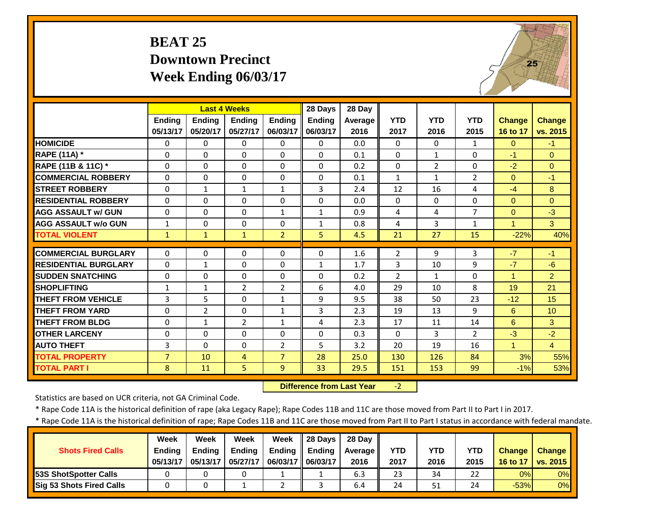#### **BEAT 25 Downtown Precinct Week Ending 06/03/17**



|                             |                |                | <b>Last 4 Weeks</b> |                | 28 Days       | 28 Day  |                |                |                |                |                |
|-----------------------------|----------------|----------------|---------------------|----------------|---------------|---------|----------------|----------------|----------------|----------------|----------------|
|                             | <b>Endina</b>  | <b>Endina</b>  | <b>Endina</b>       | <b>Ending</b>  | <b>Endina</b> | Average | <b>YTD</b>     | <b>YTD</b>     | <b>YTD</b>     | <b>Change</b>  | <b>Change</b>  |
|                             | 05/13/17       | 05/20/17       | 05/27/17            | 06/03/17       | 06/03/17      | 2016    | 2017           | 2016           | 2015           | 16 to 17       | vs. 2015       |
| <b>HOMICIDE</b>             | 0              | 0              | $\Omega$            | 0              | 0             | 0.0     | 0              | $\Omega$       | $\mathbf{1}$   | $\mathbf{0}$   | $-1$           |
| <b>RAPE (11A) *</b>         | $\Omega$       | $\Omega$       | $\Omega$            | $\Omega$       | $\Omega$      | 0.1     | $\Omega$       | $\mathbf{1}$   | $\Omega$       | $-1$           | $\Omega$       |
| RAPE (11B & 11C) *          | $\Omega$       | 0              | $\Omega$            | $\Omega$       | $\Omega$      | 0.2     | $\Omega$       | $\overline{2}$ | 0              | $-2$           | $\Omega$       |
| <b>COMMERCIAL ROBBERY</b>   | $\Omega$       | $\Omega$       | $\Omega$            | $\Omega$       | $\Omega$      | 0.1     | $\mathbf{1}$   | $\mathbf{1}$   | $\overline{2}$ | $\Omega$       | $-1$           |
| <b>STREET ROBBERY</b>       | $\Omega$       | $\mathbf{1}$   | $\mathbf{1}$        | $\mathbf{1}$   | 3             | 2.4     | 12             | 16             | 4              | $-4$           | 8              |
| <b>RESIDENTIAL ROBBERY</b>  | $\Omega$       | $\Omega$       | $\Omega$            | $\Omega$       | $\Omega$      | 0.0     | $\Omega$       | $\Omega$       | $\Omega$       | $\Omega$       | $\Omega$       |
| <b>AGG ASSAULT w/ GUN</b>   | $\Omega$       | $\Omega$       | $\Omega$            | $\mathbf{1}$   | $\mathbf{1}$  | 0.9     | 4              | 4              | $\overline{7}$ | $\Omega$       | $-3$           |
| <b>AGG ASSAULT w/o GUN</b>  | $\mathbf{1}$   | $\Omega$       | $\Omega$            | 0              | $\mathbf{1}$  | 0.8     | 4              | 3              | $\mathbf{1}$   | $\overline{1}$ | $\mathbf{3}$   |
| <b>TOTAL VIOLENT</b>        | $\mathbf{1}$   | $\mathbf{1}$   | $\mathbf{1}$        | $\overline{2}$ | 5             | 4.5     | 21             | 27             | 15             | $-22%$         | 40%            |
| <b>COMMERCIAL BURGLARY</b>  | $\Omega$       | 0              | $\Omega$            | 0              | $\Omega$      | 1.6     | 2              | 9              | 3              | $-7$           | $-1$           |
| <b>RESIDENTIAL BURGLARY</b> | $\Omega$       | $\mathbf{1}$   | $\Omega$            | 0              | $\mathbf{1}$  | 1.7     | 3              | 10             | 9              | $-7$           | $-6$           |
| <b>SUDDEN SNATCHING</b>     | 0              | $\Omega$       | 0                   | $\Omega$       | $\Omega$      | 0.2     | $\overline{2}$ | $\mathbf{1}$   | $\Omega$       | $\overline{1}$ | $\overline{2}$ |
| <b>SHOPLIFTING</b>          | 1              | 1              | $\overline{2}$      | 2              | 6             | 4.0     | 29             | 10             | 8              | 19             | 21             |
| <b>THEFT FROM VEHICLE</b>   | 3              | 5              | $\Omega$            | 1              | 9             | 9.5     | 38             | 50             | 23             | $-12$          | 15             |
| <b>THEFT FROM YARD</b>      | $\Omega$       | $\overline{2}$ | $\Omega$            | $\mathbf{1}$   | 3             | 2.3     | 19             | 13             | 9              | 6              | 10             |
| <b>THEFT FROM BLDG</b>      | $\Omega$       | 1              | $\overline{2}$      | $\mathbf{1}$   | 4             | 2.3     | 17             | 11             | 14             | 6              | 3              |
| <b>OTHER LARCENY</b>        | $\Omega$       | $\Omega$       | $\Omega$            | $\Omega$       | $\Omega$      | 0.3     | $\Omega$       | 3              | $\overline{2}$ | $-3$           | $-2$           |
| <b>AUTO THEFT</b>           | 3              | $\Omega$       | $\Omega$            | $\overline{2}$ | 5             | 3.2     | 20             | 19             | 16             | $\mathbf{1}$   | $\overline{4}$ |
| <b>TOTAL PROPERTY</b>       | $\overline{7}$ | 10             | 4                   | $\overline{7}$ | 28            | 25.0    | 130            | 126            | 84             | 3%             | 55%            |
| <b>TOTAL PART I</b>         | 8              | 11             | 5                   | 9              | 33            | 29.5    | 151            | 153            | 99             | $-1%$          | 53%            |

 **Difference from Last Year**‐2

Statistics are based on UCR criteria, not GA Criminal Code.

\* Rape Code 11A is the historical definition of rape (aka Legacy Rape); Rape Codes 11B and 11C are those moved from Part II to Part I in 2017.

|                                 | <b>Week</b>   | Week          | Week          | Week              | $\parallel$ 28 Days | 28 Dav  |            |      |            |               |                 |
|---------------------------------|---------------|---------------|---------------|-------------------|---------------------|---------|------------|------|------------|---------------|-----------------|
| <b>Shots Fired Calls</b>        | <b>Ending</b> | <b>Ending</b> | <b>Ending</b> | Ending            | Ending              | Average | <b>YTD</b> | YTD  | <b>YTD</b> | <b>Change</b> | Change          |
|                                 | 05/13/17      | 05/13/17      | 05/27/17      | 06/03/17 06/03/17 |                     | 2016    | 2017       | 2016 | 2015       | 16 to 17      | <b>VS. 2015</b> |
| <b>53S ShotSpotter Calls</b>    |               |               |               |                   |                     | 6.3     | 23         | 34   | 22         | 0%            | 0%              |
| <b>Sig 53 Shots Fired Calls</b> |               |               |               |                   |                     | 6.4     | 24         | 51   | 24         | $-53%$        | 0%              |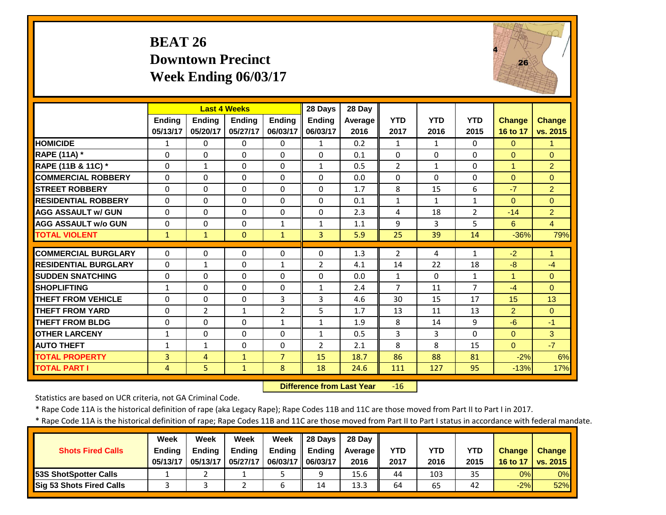#### **BEAT 26 Downtown Precinct Week Ending 06/03/17**



|                             |               | <b>Last 4 Weeks</b> |               |                | 28 Days        | 28 Day         |                |              |                |               |                |
|-----------------------------|---------------|---------------------|---------------|----------------|----------------|----------------|----------------|--------------|----------------|---------------|----------------|
|                             | <b>Ending</b> | <b>Endina</b>       | <b>Endina</b> | <b>Endina</b>  | <b>Ending</b>  | <b>Average</b> | <b>YTD</b>     | <b>YTD</b>   | <b>YTD</b>     | <b>Change</b> | <b>Change</b>  |
|                             | 05/13/17      | 05/20/17            | 05/27/17      | 06/03/17       | 06/03/17       | 2016           | 2017           | 2016         | 2015           | 16 to 17      | vs. 2015       |
| <b>HOMICIDE</b>             | $\mathbf{1}$  | 0                   | $\Omega$      | $\Omega$       | $\mathbf{1}$   | 0.2            | $\mathbf{1}$   | $\mathbf{1}$ | $\Omega$       | $\Omega$      | $\mathbf{1}$   |
| <b>RAPE (11A) *</b>         | $\Omega$      | $\Omega$            | $\Omega$      | $\Omega$       | $\Omega$       | 0.1            | $\Omega$       | $\Omega$     | $\Omega$       | $\Omega$      | $\Omega$       |
| RAPE (11B & 11C) *          | $\Omega$      | $\mathbf{1}$        | $\Omega$      | 0              | $\mathbf{1}$   | 0.5            | $\overline{2}$ | $\mathbf{1}$ | $\Omega$       | $\mathbf{1}$  | $\overline{2}$ |
| <b>COMMERCIAL ROBBERY</b>   | $\Omega$      | 0                   | $\Omega$      | $\Omega$       | $\Omega$       | 0.0            | $\Omega$       | $\Omega$     | $\Omega$       | $\Omega$      | $\Omega$       |
| <b>STREET ROBBERY</b>       | $\Omega$      | $\Omega$            | $\Omega$      | $\Omega$       | $\Omega$       | 1.7            | 8              | 15           | 6              | $-7$          | 2              |
| <b>RESIDENTIAL ROBBERY</b>  | $\Omega$      | 0                   | $\Omega$      | $\Omega$       | $\Omega$       | 0.1            | $\mathbf{1}$   | 1            | $\mathbf{1}$   | $\Omega$      | $\Omega$       |
| <b>AGG ASSAULT w/ GUN</b>   | $\mathbf{0}$  | 0                   | $\Omega$      | $\Omega$       | $\Omega$       | 2.3            | 4              | 18           | $\overline{2}$ | $-14$         | $\overline{2}$ |
| <b>AGG ASSAULT w/o GUN</b>  | $\mathbf{0}$  | 0                   | $\Omega$      | 1              | 1              | 1.1            | 9              | 3            | 5              | 6             | $\overline{4}$ |
| <b>TOTAL VIOLENT</b>        | 1             | $\mathbf{1}$        | $\Omega$      | $\mathbf{1}$   | 3              | 5.9            | 25             | 39           | 14             | $-36%$        | 79%            |
|                             |               |                     |               |                |                |                |                |              |                |               |                |
| <b>COMMERCIAL BURGLARY</b>  | $\mathbf{0}$  | 0                   | $\Omega$      | 0              | $\Omega$       | 1.3            | 2              | 4            | $\mathbf{1}$   | $-2$          | 1              |
| <b>RESIDENTIAL BURGLARY</b> | $\mathbf{0}$  | 1                   | $\Omega$      | $\mathbf{1}$   | $\overline{2}$ | 4.1            | 14             | 22           | 18             | $-8$          | $-4$           |
| <b>SUDDEN SNATCHING</b>     | $\Omega$      | 0                   | $\Omega$      | $\Omega$       | $\Omega$       | 0.0            | $\mathbf{1}$   | $\Omega$     | $\mathbf{1}$   | 1             | $\Omega$       |
| <b>SHOPLIFTING</b>          | 1             | 0                   | $\Omega$      | $\Omega$       | $\mathbf{1}$   | 2.4            | $\overline{7}$ | 11           | $\overline{7}$ | $-4$          | $\Omega$       |
| <b>THEFT FROM VEHICLE</b>   | $\Omega$      | 0                   | $\Omega$      | 3              | 3              | 4.6            | 30             | 15           | 17             | 15            | 13             |
| <b>THEFT FROM YARD</b>      | $\Omega$      | $\overline{2}$      | $\mathbf{1}$  | $\overline{2}$ | 5              | 1.7            | 13             | 11           | 13             | 2             | $\Omega$       |
| <b>THEFT FROM BLDG</b>      | $\mathbf{0}$  | 0                   | $\Omega$      | $\mathbf{1}$   | $\mathbf{1}$   | 1.9            | 8              | 14           | 9              | $-6$          | $-1$           |
| <b>OTHER LARCENY</b>        | $\mathbf{1}$  | 0                   | $\Omega$      | $\Omega$       | $\mathbf{1}$   | 0.5            | 3              | 3            | $\Omega$       | $\Omega$      | $\mathbf{3}$   |
| <b>AUTO THEFT</b>           | $\mathbf{1}$  | $\mathbf{1}$        | $\Omega$      | $\Omega$       | $\overline{2}$ | 2.1            | 8              | 8            | 15             | $\Omega$      | $-7$           |
| <b>TOTAL PROPERTY</b>       | 3             | 4                   | $\mathbf{1}$  | $\overline{7}$ | 15             | 18.7           | 86             | 88           | 81             | $-2%$         | 6%             |
| <b>TOTAL PART I</b>         | 4             | 5                   | $\mathbf{1}$  | 8              | 18             | 24.6           | 111            | 127          | 95             | $-13%$        | 17%            |

 **Difference from Last Year**‐16

Statistics are based on UCR criteria, not GA Criminal Code.

\* Rape Code 11A is the historical definition of rape (aka Legacy Rape); Rape Codes 11B and 11C are those moved from Part II to Part I in 2017.

|                               | <b>Week</b>   | Week          | Week          | Week                | 28 Days | 28 Dav  |            |      |      |               |                 |
|-------------------------------|---------------|---------------|---------------|---------------------|---------|---------|------------|------|------|---------------|-----------------|
| <b>Shots Fired Calls</b>      | <b>Ending</b> | <b>Ending</b> | <b>Ending</b> | Ending              | Ending  | Average | <b>YTD</b> | YTD  | YTD  | <b>Change</b> | <b>Change</b>   |
|                               | 05/13/17      | 05/13/17      | 05/27/17      | 06/03/17   06/03/17 |         | 2016    | 2017       | 2016 | 2015 | 16 to 17      | <b>VS. 2015</b> |
| <b>153S ShotSpotter Calls</b> |               |               |               |                     |         | 15.6    | 44         | 103  | 35   | 0%            | 0%              |
| Sig 53 Shots Fired Calls      |               |               |               |                     | 14      | 13.3    | 64         | 65   | 42   | $-2%$         | 52%             |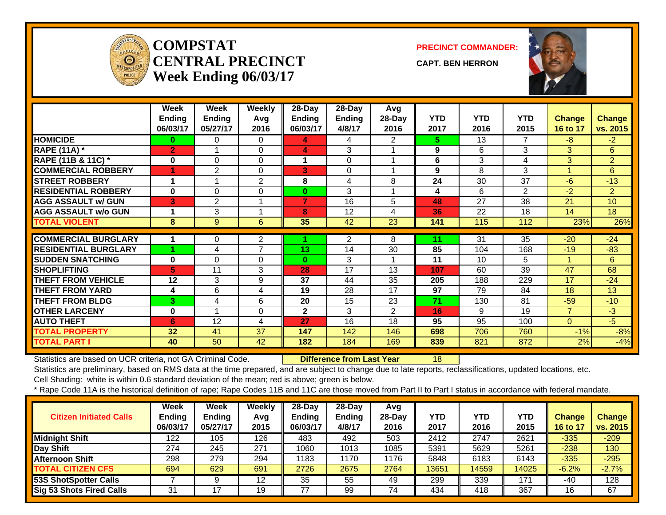

#### **COMPSTATCENTRAL PRECINCTWeek Ending 06/03/17**

**PRECINCT COMMANDER:**

**CAPT. BEN HERRON**



|                             | Week<br><b>Ending</b><br>06/03/17 | Week<br><b>Ending</b><br>05/27/17 | <b>Weekly</b><br>Avg<br>2016 | 28-Day<br><b>Ending</b><br>06/03/17 | 28-Day<br><b>Ending</b><br>4/8/17 | Avg<br>28-Day<br>2016 | <b>YTD</b><br>2017 | <b>YTD</b><br>2016 | <b>YTD</b><br>2015 | Change<br>16 to 17 | <b>Change</b><br>vs. 2015 |
|-----------------------------|-----------------------------------|-----------------------------------|------------------------------|-------------------------------------|-----------------------------------|-----------------------|--------------------|--------------------|--------------------|--------------------|---------------------------|
| <b>HOMICIDE</b>             | 0                                 | 0                                 | 0                            | 4                                   | 4                                 | 2                     | 5.                 | 13                 | 7                  | $-8$               | $-2$                      |
| <b>RAPE (11A) *</b>         | $\overline{2}$                    |                                   | $\Omega$                     | 4                                   | 3                                 |                       | 9                  | 6                  | 3                  | 3                  | 6                         |
| RAPE (11B & 11C) *          | 0                                 | $\Omega$                          | $\Omega$                     | 1                                   | 0                                 |                       | 6                  | 3                  | 4                  | 3                  | $\overline{2}$            |
| <b>COMMERCIAL ROBBERY</b>   | 1                                 | 2                                 | 0                            | 3                                   | $\Omega$                          | 4                     | 9                  | 8                  | 3                  | 1                  | 6                         |
| <b>STREET ROBBERY</b>       | 1                                 |                                   | $\overline{c}$               | 8                                   | 4                                 | 8                     | 24                 | 30                 | 37                 | $-6$               | $-13$                     |
| <b>RESIDENTIAL ROBBERY</b>  | 0                                 | $\Omega$                          | $\Omega$                     | $\bf{0}$                            | 3                                 |                       | 4                  | 6                  | $\overline{2}$     | $-2$               | $\overline{2}$            |
| <b>AGG ASSAULT w/ GUN</b>   | 3                                 | $\overline{2}$                    | 1                            | $\overline{7}$                      | 16                                | 5                     | 48                 | 27                 | 38                 | 21                 | 10                        |
| <b>AGG ASSAULT w/o GUN</b>  | 1                                 | 3                                 | 1                            | 8                                   | 12                                | 4                     | 36                 | 22                 | 18                 | 14                 | 18                        |
| <b>TOTAL VIOLENT</b>        | 8                                 | 9                                 | 6                            | 35                                  | 42                                | 23                    | 141                | 115                | 112                | 23%                | 26%                       |
|                             |                                   |                                   |                              |                                     |                                   |                       |                    |                    |                    |                    |                           |
| <b>COMMERCIAL BURGLARY</b>  | 1                                 | 0                                 | 2                            |                                     | $\overline{2}$                    | 8                     | 11                 | 31                 | 35                 | $-20$              | $-24$                     |
| <b>RESIDENTIAL BURGLARY</b> |                                   | 4                                 | $\overline{7}$               | 13 <sub>1</sub>                     | 14                                | 30                    | 85                 | 104                | 168                | $-19$              | $-83$                     |
| <b>SUDDEN SNATCHING</b>     | $\mathbf 0$                       | 0                                 | $\Omega$                     | $\bf{0}$                            | 3                                 |                       | 11                 | 10                 | 5                  |                    | 6                         |
| <b>SHOPLIFTING</b>          | 5                                 | 11                                | 3                            | 28                                  | 17                                | 13                    | 107                | 60                 | 39                 | 47                 | 68                        |
| <b>THEFT FROM VEHICLE</b>   | 12                                | 3                                 | 9                            | 37                                  | 44                                | 35                    | 205                | 188                | 229                | 17                 | $-24$                     |
| <b>THEFT FROM YARD</b>      | 4                                 | 6                                 | 4                            | 19                                  | 28                                | 17                    | 97                 | 79                 | 84                 | 18                 | 13                        |
| <b>THEFT FROM BLDG</b>      | 3.                                | 4                                 | 6                            | 20                                  | 15                                | 23                    | 71                 | 130                | 81                 | $-59$              | $-10$                     |
| <b>OTHER LARCENY</b>        | 0                                 | 4                                 | 0                            | $\mathbf{2}$                        | 3                                 | $\overline{2}$        | 16                 | 9                  | 19                 | $\overline{7}$     | $-3$                      |
| <b>AUTO THEFT</b>           | 6                                 | 12                                | 4                            | 27                                  | 16                                | 18                    | 95                 | 95                 | 100                | 0                  | $-5$                      |
| <b>TOTAL PROPERTY</b>       | 32                                | 41                                | 37                           | 147                                 | 142                               | 146                   | 698                | 706                | 760                | $-1%$              | $-8%$                     |
| <b>TOTAL PART I</b>         | 40                                | 50                                | 42                           | 182                                 | 184                               | 169                   | 839                | 821                | 872                | 2%                 | $-4%$                     |

Statistics are based on UCR criteria, not GA Criminal Code. **Difference from Last Year** 18

Statistics are preliminary, based on RMS data at the time prepared, and are subject to change due to late reports, reclassifications, updated locations, etc.

Cell Shading: white is within 0.6 standard deviation of the mean; red is above; green is below.

| <b>Citizen Initiated Calls</b>  | Week<br><b>Ending</b><br>06/03/17 | <b>Week</b><br><b>Ending</b><br>05/27/17 | Weekly<br>Avg<br>2015 | $28$ -Day<br><b>Ending</b><br>06/03/17 | $28-Dav$<br><b>Ending</b><br>4/8/17 | Avg<br>$28$ -Day<br>2016 | <b>YTD</b><br>2017 | <b>YTD</b><br>2016 | YTD<br>2015 | Change<br>16 to 17 | <b>Change</b><br>vs. 2015 |
|---------------------------------|-----------------------------------|------------------------------------------|-----------------------|----------------------------------------|-------------------------------------|--------------------------|--------------------|--------------------|-------------|--------------------|---------------------------|
| <b>Midnight Shift</b>           | 122                               | 105                                      | 126                   | 483                                    | 492                                 | 503                      | 2412               | 2747               | 2621        | $-335$             | $-209$                    |
| Day Shift                       | 274                               | 245                                      | 271                   | 1060                                   | 1013                                | 1085                     | 5391               | 5629               | 5261        | $-238$             | 130                       |
| <b>Afternoon Shift</b>          | 298                               | 279                                      | 294                   | 1183                                   | 1170                                | 1176                     | 5848               | 6183               | 6143        | $-335$             | $-295$                    |
| <b>TOTAL CITIZEN CFS</b>        | 694                               | 629                                      | 691                   | 2726                                   | 2675                                | 2764                     | 13651              | 14559              | 14025       | $-6.2%$            | $-2.7%$                   |
| <b>53S ShotSpotter Calls</b>    |                                   |                                          | 12                    | 35                                     | 55                                  | 49                       | 299                | 339                | 171         | -40                | 128                       |
| <b>Sig 53 Shots Fired Calls</b> | 31                                | 7                                        | 19                    | 77                                     | 99                                  | 74                       | 434                | 418                | 367         | 16                 | 67                        |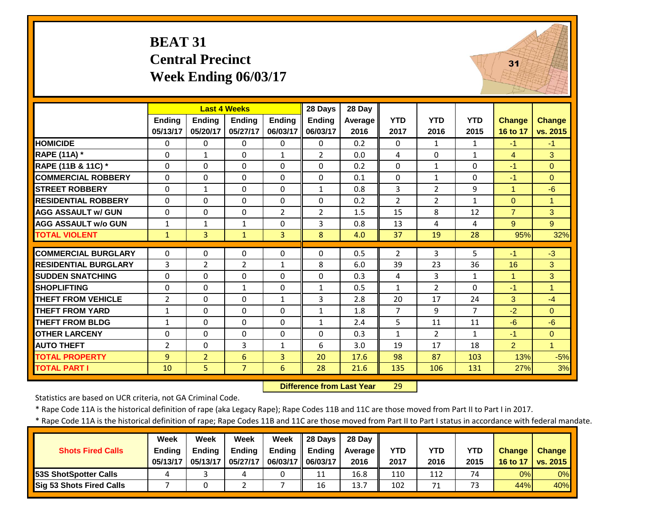#### **BEAT 31 Central Precinct Week Ending 06/03/17**



|                             |                |                | <b>Last 4 Weeks</b> |                | 28 Days        | 28 Day  |                |                |                |                |                      |
|-----------------------------|----------------|----------------|---------------------|----------------|----------------|---------|----------------|----------------|----------------|----------------|----------------------|
|                             | <b>Ending</b>  | Ending         | <b>Ending</b>       | <b>Ending</b>  | Ending         | Average | <b>YTD</b>     | <b>YTD</b>     | <b>YTD</b>     | <b>Change</b>  | Change               |
|                             | 05/13/17       | 05/20/17       | 05/27/17            | 06/03/17       | 06/03/17       | 2016    | 2017           | 2016           | 2015           | 16 to 17       | vs. 2015             |
| <b>HOMICIDE</b>             | $\Omega$       | $\Omega$       | $\Omega$            | $\Omega$       | 0              | 0.2     | $\Omega$       | $\mathbf{1}$   | $\mathbf{1}$   | $-1$           | $-1$                 |
| <b>RAPE (11A) *</b>         | $\Omega$       | $\mathbf{1}$   | $\Omega$            | $\mathbf{1}$   | $\overline{2}$ | 0.0     | 4              | $\Omega$       | $\mathbf{1}$   | $\overline{4}$ | $\mathbf{3}$         |
| RAPE (11B & 11C) *          | 0              | $\Omega$       | $\Omega$            | $\Omega$       | $\Omega$       | 0.2     | $\Omega$       | $\mathbf{1}$   | $\Omega$       | $-1$           | $\Omega$             |
| <b>COMMERCIAL ROBBERY</b>   | $\Omega$       | $\Omega$       | 0                   | $\Omega$       | $\Omega$       | 0.1     | $\Omega$       | $\mathbf{1}$   | $\Omega$       | $-1$           | $\Omega$             |
| <b>STREET ROBBERY</b>       | $\Omega$       | $\mathbf{1}$   | $\Omega$            | $\Omega$       | $\mathbf{1}$   | 0.8     | 3              | $\overline{2}$ | 9              | $\mathbf{1}$   | $-6$                 |
| <b>RESIDENTIAL ROBBERY</b>  | $\Omega$       | $\Omega$       | $\Omega$            | $\Omega$       | $\Omega$       | 0.2     | $\overline{2}$ | $\overline{2}$ | $\mathbf{1}$   | $\Omega$       | $\blacktriangleleft$ |
| <b>AGG ASSAULT w/ GUN</b>   | 0              | $\Omega$       | 0                   | $\overline{2}$ | $\overline{2}$ | 1.5     | 15             | 8              | 12             | $\overline{7}$ | 3                    |
| <b>AGG ASSAULT w/o GUN</b>  | $\mathbf{1}$   | $\mathbf{1}$   | 1                   | $\Omega$       | 3              | 0.8     | 13             | 4              | 4              | 9              | $9^{\circ}$          |
| <b>TOTAL VIOLENT</b>        | $\mathbf{1}$   | 3              | $\mathbf{1}$        | 3              | 8              | 4.0     | 37             | 19             | 28             | 95%            | 32%                  |
| <b>COMMERCIAL BURGLARY</b>  | $\Omega$       | $\Omega$       | $\Omega$            | $\Omega$       | $\Omega$       | 0.5     | 2              | 3              | 5.             | $-1$           | $-3$                 |
| <b>RESIDENTIAL BURGLARY</b> | 3              | $\overline{2}$ | $\overline{2}$      | $\mathbf{1}$   | 8              | 6.0     | 39             | 23             | 36             | 16             | 3                    |
| <b>SUDDEN SNATCHING</b>     | $\Omega$       | $\Omega$       | $\Omega$            | $\Omega$       | $\Omega$       | 0.3     | 4              | 3              | $\mathbf{1}$   | 1              | 3                    |
| <b>SHOPLIFTING</b>          | $\Omega$       | $\Omega$       | $\mathbf{1}$        | $\Omega$       | $\mathbf{1}$   | 0.5     | $\mathbf{1}$   | $\overline{2}$ | $\Omega$       | $-1$           | $\blacktriangleleft$ |
| THEFT FROM VEHICLE          | $\overline{2}$ | $\Omega$       | $\Omega$            | 1              | 3              | 2.8     | 20             | 17             | 24             | 3              | $-4$                 |
| <b>THEFT FROM YARD</b>      | $\mathbf{1}$   | $\Omega$       | $\Omega$            | $\Omega$       | $\mathbf{1}$   | 1.8     | $\overline{7}$ | 9              | $\overline{7}$ | $-2$           | $\Omega$             |
| <b>THEFT FROM BLDG</b>      | $\mathbf{1}$   | $\Omega$       | $\Omega$            | $\Omega$       | $\mathbf{1}$   | 2.4     | 5              | 11             | 11             | $-6$           | $-6$                 |
| <b>OTHER LARCENY</b>        | 0              | $\Omega$       | 0                   | $\mathbf 0$    | 0              | 0.3     | $\mathbf{1}$   | $\overline{2}$ | $\mathbf{1}$   | $-1$           | $\overline{0}$       |
| <b>AUTO THEFT</b>           | $\overline{2}$ | $\Omega$       | 3                   | $\mathbf{1}$   | 6              | 3.0     | 19             | 17             | 18             | $\overline{2}$ | $\blacktriangleleft$ |
| <b>TOTAL PROPERTY</b>       | 9              | $\overline{2}$ | 6                   | 3              | 20             | 17.6    | 98             | 87             | 103            | 13%            | $-5%$                |
| <b>TOTAL PART I</b>         | 10             | 5.             | $\overline{7}$      | 6              | 28             | 21.6    | 135            | 106            | 131            | 27%            | 3%                   |
|                             |                |                |                     |                |                |         |                |                |                |                |                      |

 **Difference from Last Year**29

Statistics are based on UCR criteria, not GA Criminal Code.

\* Rape Code 11A is the historical definition of rape (aka Legacy Rape); Rape Codes 11B and 11C are those moved from Part II to Part I in 2017.

|                                 | <b>Week</b>   | Week          | Week          | Week              | $\parallel$ 28 Days | 28 Dav  |            |      |            |               |                 |
|---------------------------------|---------------|---------------|---------------|-------------------|---------------------|---------|------------|------|------------|---------------|-----------------|
| <b>Shots Fired Calls</b>        | <b>Ending</b> | <b>Ending</b> | <b>Ending</b> | <b>Ending</b>     | Ending              | Average | <b>YTD</b> | YTD  | <b>YTD</b> | <b>Change</b> | <b>Change</b>   |
|                                 | 05/13/17      | 05/13/17      | 05/27/17      | 06/03/17 06/03/17 |                     | 2016    | 2017       | 2016 | 2015       | 16 to 17      | <b>VS. 2015</b> |
| <b>53S ShotSpotter Calls</b>    |               |               |               |                   | 11                  | 16.8    | 110        | 112  | 74         | 0%            | 0%              |
| <b>Sig 53 Shots Fired Calls</b> |               |               |               |                   | 16                  | 13.7    | 102        | 71   |            | 44%           | 40%             |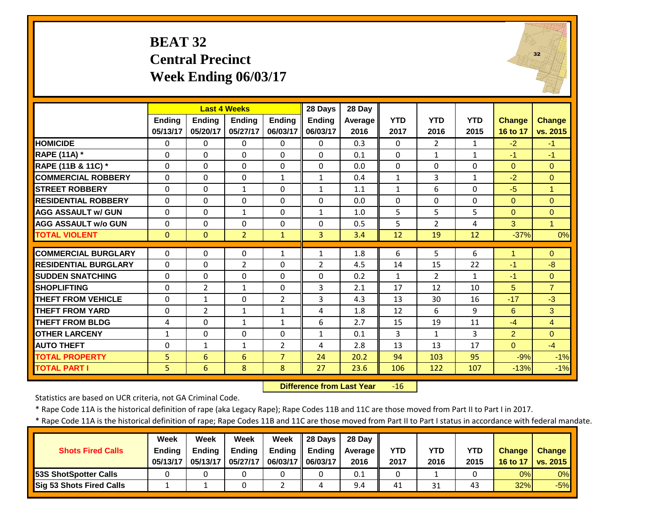#### **BEAT 32 Central Precinct Week Ending 06/03/17**



|                             |               |                | <b>Last 4 Weeks</b> |                | 28 Days        | 28 Day  |              |                |              |                |                      |
|-----------------------------|---------------|----------------|---------------------|----------------|----------------|---------|--------------|----------------|--------------|----------------|----------------------|
|                             | <b>Ending</b> | <b>Endina</b>  | <b>Endina</b>       | <b>Endina</b>  | <b>Ending</b>  | Average | <b>YTD</b>   | <b>YTD</b>     | <b>YTD</b>   | <b>Change</b>  | Change               |
|                             | 05/13/17      | 05/20/17       | 05/27/17            | 06/03/17       | 06/03/17       | 2016    | 2017         | 2016           | 2015         | 16 to 17       | vs. 2015             |
| <b>HOMICIDE</b>             | $\Omega$      | 0              | $\mathbf{0}$        | $\Omega$       | $\Omega$       | 0.3     | $\Omega$     | $\overline{2}$ | $\mathbf{1}$ | $-2$           | $-1$                 |
| <b>RAPE (11A)</b> *         | $\Omega$      | $\Omega$       | $\Omega$            | $\Omega$       | $\Omega$       | 0.1     | $\Omega$     | $\mathbf{1}$   | $\mathbf{1}$ | $-1$           | $-1$                 |
| RAPE (11B & 11C) *          | 0             | $\Omega$       | $\Omega$            | $\mathbf 0$    | $\Omega$       | 0.0     | $\mathbf 0$  | $\Omega$       | 0            | $\overline{0}$ | $\mathbf{0}$         |
| <b>COMMERCIAL ROBBERY</b>   | $\Omega$      | $\Omega$       | $\Omega$            | $\mathbf{1}$   | $\mathbf{1}$   | 0.4     | $\mathbf{1}$ | 3              | $\mathbf{1}$ | $-2$           | $\Omega$             |
| <b>STREET ROBBERY</b>       | $\Omega$      | $\Omega$       | $\mathbf{1}$        | $\Omega$       | $\mathbf{1}$   | 1.1     | $\mathbf{1}$ | 6              | $\Omega$     | $-5$           | $\overline{1}$       |
| <b>RESIDENTIAL ROBBERY</b>  | $\Omega$      | $\Omega$       | $\Omega$            | $\Omega$       | $\Omega$       | 0.0     | $\Omega$     | $\Omega$       | 0            | $\Omega$       | $\Omega$             |
| <b>AGG ASSAULT w/ GUN</b>   | $\Omega$      | $\Omega$       | 1                   | $\Omega$       | $\mathbf{1}$   | 1.0     | 5            | 5              | 5            | $\Omega$       | $\Omega$             |
| <b>AGG ASSAULT w/o GUN</b>  | $\Omega$      | $\Omega$       | $\Omega$            | $\Omega$       | $\Omega$       | 0.5     | 5            | $\overline{2}$ | 4            | 3              | $\blacktriangleleft$ |
| <b>TOTAL VIOLENT</b>        | $\mathbf{0}$  | $\Omega$       | $\overline{2}$      | $\mathbf{1}$   | 3              | 3.4     | 12           | 19             | 12           | $-37%$         | 0%                   |
| <b>COMMERCIAL BURGLARY</b>  | 0             | $\Omega$       | 0                   | 1              | 1              | 1.8     | 6            | 5              | 6            | 1              | $\Omega$             |
| <b>RESIDENTIAL BURGLARY</b> | $\Omega$      | $\Omega$       | $\overline{2}$      | $\Omega$       | $\overline{2}$ | 4.5     | 14           | 15             | 22           | $-1$           | $-8$                 |
| <b>SUDDEN SNATCHING</b>     | $\Omega$      | $\Omega$       | $\Omega$            | $\Omega$       | $\Omega$       | 0.2     | 1            | $\overline{2}$ | $\mathbf{1}$ | $-1$           | $\Omega$             |
| <b>SHOPLIFTING</b>          | $\Omega$      | $\overline{2}$ | $\mathbf{1}$        | $\Omega$       | 3              | 2.1     | 17           | 12             | 10           | 5              | $\overline{7}$       |
| <b>THEFT FROM VEHICLE</b>   | $\Omega$      | 1              | $\Omega$            | 2              | 3              | 4.3     | 13           | 30             | 16           | $-17$          | $-3$                 |
| <b>THEFT FROM YARD</b>      | 0             | $\overline{2}$ | 1                   | $\mathbf{1}$   | 4              | 1.8     | 12           | 6              | 9            | 6              | 3                    |
| <b>THEFT FROM BLDG</b>      | 4             | $\Omega$       | $\mathbf{1}$        | $\mathbf{1}$   | 6              | 2.7     | 15           | 19             | 11           | $-4$           | $\overline{4}$       |
| <b>OTHER LARCENY</b>        | $\mathbf{1}$  | $\Omega$       | $\Omega$            | $\Omega$       | $\mathbf{1}$   | 0.1     | 3            | $\mathbf{1}$   | 3            | $\overline{2}$ | $\Omega$             |
| <b>AUTO THEFT</b>           | 0             | $\mathbf{1}$   | $\mathbf{1}$        | $\overline{2}$ | 4              | 2.8     | 13           | 13             | 17           | $\Omega$       | $-4$                 |
|                             |               | 6              |                     | $\overline{7}$ |                |         | 94           |                | 95           | $-9%$          | $-1%$                |
| <b>TOTAL PROPERTY</b>       | 5             |                | 6                   |                | 24             | 20.2    |              | 103            |              |                |                      |
| <b>TOTAL PART I</b>         | 5             | 6              | 8                   | 8              | 27             | 23.6    | 106          | 122            | 107          | $-13%$         | $-1%$                |

 **Difference from Last Year** $-16$ 

Statistics are based on UCR criteria, not GA Criminal Code.

\* Rape Code 11A is the historical definition of rape (aka Legacy Rape); Rape Codes 11B and 11C are those moved from Part II to Part I in 2017.

|                                 | <b>Week</b>   | Week          | Week          | Week              | $\parallel$ 28 Days | 28 Dav  |            |      |            |               |                   |
|---------------------------------|---------------|---------------|---------------|-------------------|---------------------|---------|------------|------|------------|---------------|-------------------|
| <b>Shots Fired Calls</b>        | <b>Ending</b> | <b>Ending</b> | <b>Ending</b> | Ending            | Ending              | Average | <b>YTD</b> | YTD  | <b>YTD</b> | <b>Change</b> | <b>Change</b>     |
|                                 | 05/13/17      | 05/13/17      | 05/27/17      | 06/03/17 06/03/17 |                     | 2016    | 2017       | 2016 | 2015       | 16 to 17      | $\sqrt{vs. 2015}$ |
| <b>53S ShotSpotter Calls</b>    |               |               |               |                   |                     | 0.1     | 0          |      |            | 0%            | 0%                |
| <b>Sig 53 Shots Fired Calls</b> |               |               |               |                   |                     | 9.4     | 41         | 31   | 43         | 32%           | $-5%$             |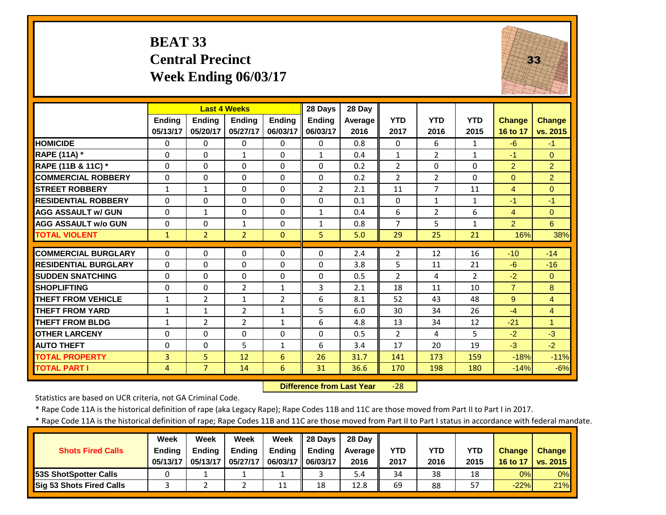#### **BEAT 33 Central Precinct Week Ending 06/03/17**



|                             |                | <b>Last 4 Weeks</b> |                |                | 28 Days       | 28 Day         |                |                |                |                |                |
|-----------------------------|----------------|---------------------|----------------|----------------|---------------|----------------|----------------|----------------|----------------|----------------|----------------|
|                             | <b>Ending</b>  | Ending              | <b>Endina</b>  | <b>Endina</b>  | <b>Endina</b> | <b>Average</b> | <b>YTD</b>     | <b>YTD</b>     | <b>YTD</b>     | <b>Change</b>  | <b>Change</b>  |
|                             | 05/13/17       | 05/20/17            | 05/27/17       | 06/03/17       | 06/03/17      | 2016           | 2017           | 2016           | 2015           | 16 to 17       | vs. 2015       |
| <b>HOMICIDE</b>             | $\Omega$       | 0                   | $\Omega$       | 0              | $\Omega$      | 0.8            | $\Omega$       | 6              | $\mathbf{1}$   | $-6$           | $-1$           |
| RAPE (11A) *                | $\Omega$       | 0                   | $\mathbf{1}$   | $\Omega$       | $\mathbf{1}$  | 0.4            | $\mathbf{1}$   | $\overline{2}$ | $\mathbf{1}$   | $-1$           | $\Omega$       |
| RAPE (11B & 11C) *          | $\Omega$       | 0                   | $\Omega$       | $\Omega$       | $\Omega$      | 0.2            | $\overline{2}$ | $\Omega$       | $\Omega$       | 2              | $\overline{2}$ |
| <b>COMMERCIAL ROBBERY</b>   | $\Omega$       | 0                   | $\Omega$       | $\Omega$       | $\Omega$      | 0.2            | $\overline{2}$ | $\overline{2}$ | $\Omega$       | $\Omega$       | $\overline{2}$ |
| <b>STREET ROBBERY</b>       | $\mathbf{1}$   | $\mathbf{1}$        | $\Omega$       | $\Omega$       | 2             | 2.1            | 11             | 7              | 11             | $\overline{4}$ | $\Omega$       |
| <b>RESIDENTIAL ROBBERY</b>  | $\Omega$       | 0                   | $\Omega$       | $\Omega$       | $\Omega$      | 0.1            | $\Omega$       | $\mathbf{1}$   | $\mathbf{1}$   | $-1$           | $-1$           |
| <b>AGG ASSAULT W/ GUN</b>   | $\Omega$       | 1                   | 0              | $\Omega$       | 1             | 0.4            | 6              | $\overline{2}$ | 6              | 4              | $\Omega$       |
| <b>AGG ASSAULT w/o GUN</b>  | $\Omega$       | 0                   | 1              | 0              | 1             | 0.8            | 7              | 5              | $\mathbf{1}$   | 2              | 6              |
| <b>TOTAL VIOLENT</b>        | $\mathbf{1}$   | $\overline{2}$      | $\overline{2}$ | $\Omega$       | 5.            | 5.0            | 29             | 25             | 21             | 16%            | 38%            |
| <b>COMMERCIAL BURGLARY</b>  | $\Omega$       | 0                   | $\Omega$       | $\Omega$       | 0             | 2.4            | $\overline{2}$ | 12             | 16             | $-10$          | $-14$          |
| <b>RESIDENTIAL BURGLARY</b> | $\Omega$       | 0                   | 0              | 0              | $\Omega$      | 3.8            | 5              | 11             | 21             | $-6$           | $-16$          |
| <b>SUDDEN SNATCHING</b>     | $\Omega$       | 0                   | $\Omega$       | 0              | $\Omega$      | 0.5            | $\overline{2}$ | 4              | $\overline{2}$ | $-2$           | $\Omega$       |
| <b>SHOPLIFTING</b>          | $\Omega$       | 0                   | $\overline{2}$ | $\mathbf{1}$   | 3             | 2.1            | 18             | 11             | 10             | $\overline{7}$ | 8              |
| <b>THEFT FROM VEHICLE</b>   | $\mathbf{1}$   | $\overline{2}$      | $\mathbf{1}$   | $\overline{2}$ | 6             | 8.1            | 52             | 43             | 48             | 9              | $\overline{4}$ |
| <b>THEFT FROM YARD</b>      | 1              | $\mathbf{1}$        | $\overline{2}$ | $\mathbf{1}$   | 5             | 6.0            | 30             | 34             | 26             | $-4$           | $\overline{4}$ |
| <b>THEFT FROM BLDG</b>      | $\mathbf{1}$   | $\overline{2}$      | $\overline{2}$ | $\mathbf{1}$   | 6             | 4.8            | 13             | 34             | 12             | $-21$          | $\mathbf{1}$   |
| <b>OTHER LARCENY</b>        | $\Omega$       | 0                   | $\Omega$       | $\Omega$       | $\Omega$      | 0.5            | $\overline{2}$ | 4              | 5              | $-2$           | $-3$           |
| <b>AUTO THEFT</b>           | $\Omega$       | 0                   | 5              | $\mathbf{1}$   | 6             | 3.4            | 17             | 20             | 19             | $-3$           | $-2$           |
| <b>TOTAL PROPERTY</b>       | 3              | 5                   | 12             | 6              | 26            | 31.7           | 141            | 173            | 159            | $-18%$         | $-11%$         |
| <b>TOTAL PART I</b>         | $\overline{4}$ | $\overline{7}$      | 14             | 6              | 31            | 36.6           | 170            | 198            | 180            | $-14%$         | $-6%$          |

 **Difference from Last Year** $-28$ 

Statistics are based on UCR criteria, not GA Criminal Code.

\* Rape Code 11A is the historical definition of rape (aka Legacy Rape); Rape Codes 11B and 11C are those moved from Part II to Part I in 2017.

|                               | Week          | Week          | Week          | Week                | Il 28 Davs    | 28 Dav     |            |      |            |               |                 |
|-------------------------------|---------------|---------------|---------------|---------------------|---------------|------------|------------|------|------------|---------------|-----------------|
| <b>Shots Fired Calls</b>      | <b>Ending</b> | <b>Ending</b> | <b>Ending</b> | Ending              | <b>Ending</b> | Average II | <b>YTD</b> | YTD  | <b>YTD</b> | <b>Change</b> | <b>Change</b>   |
|                               | 05/13/17      | 05/13/17      | 05/27/17      | 06/03/17   06/03/17 |               | 2016       | 2017       | 2016 | 2015       | 16 to 17      | <b>vs. 2015</b> |
| <b>153S ShotSpotter Calls</b> |               |               |               |                     |               | 5.4        | 34         | 38   | 18         | 0%            | 0%              |
| Sig 53 Shots Fired Calls      |               |               |               | 11                  | 18            | 12.8       | 69         | 88   | 57         | $-22%$        | 21%             |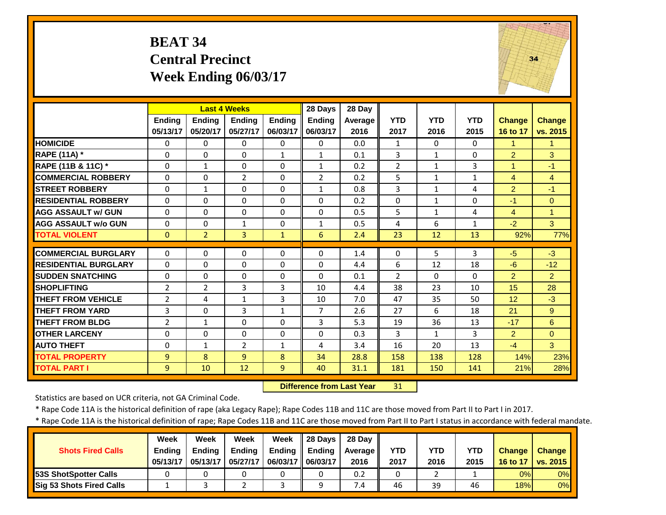#### **BEAT 34 Central Precinct Week Ending 06/03/17**



|                             |                | <b>Last 4 Weeks</b> |                |               | 28 Days        | 28 Day  |                |              |              |                |                      |
|-----------------------------|----------------|---------------------|----------------|---------------|----------------|---------|----------------|--------------|--------------|----------------|----------------------|
|                             | <b>Ending</b>  | <b>Endina</b>       | <b>Endina</b>  | <b>Endina</b> | <b>Ending</b>  | Average | <b>YTD</b>     | <b>YTD</b>   | <b>YTD</b>   | <b>Change</b>  | <b>Change</b>        |
|                             | 05/13/17       | 05/20/17            | 05/27/17       | 06/03/17      | 06/03/17       | 2016    | 2017           | 2016         | 2015         | 16 to 17       | vs. 2015             |
| <b>HOMICIDE</b>             | $\Omega$       | $\Omega$            | 0              | $\Omega$      | $\Omega$       | 0.0     | 1              | $\Omega$     | 0            | 1              | $\mathbf{1}$         |
| <b>RAPE (11A) *</b>         | $\Omega$       | $\Omega$            | $\Omega$       | $\mathbf{1}$  | $\mathbf{1}$   | 0.1     | 3              | $\mathbf{1}$ | 0            | $\overline{2}$ | 3                    |
| RAPE (11B & 11C) *          | 0              | $\mathbf{1}$        | $\Omega$       | $\Omega$      | $\mathbf{1}$   | 0.2     | $\overline{2}$ | $\mathbf{1}$ | 3            | $\mathbf{1}$   | $-1$                 |
| <b>COMMERCIAL ROBBERY</b>   | $\Omega$       | $\Omega$            | $\overline{2}$ | $\Omega$      | $\overline{2}$ | 0.2     | 5              | $\mathbf{1}$ | $\mathbf{1}$ | 4              | $\overline{4}$       |
| <b>STREET ROBBERY</b>       | $\Omega$       | $\mathbf{1}$        | $\Omega$       | $\Omega$      | $\mathbf{1}$   | 0.8     | 3              | $\mathbf{1}$ | 4            | $\overline{2}$ | $-1$                 |
| <b>RESIDENTIAL ROBBERY</b>  | $\Omega$       | $\Omega$            | $\Omega$       | $\Omega$      | $\Omega$       | 0.2     | $\Omega$       | 1            | $\Omega$     | $-1$           | $\Omega$             |
| <b>AGG ASSAULT w/ GUN</b>   | 0              | $\Omega$            | 0              | $\mathbf 0$   | $\Omega$       | 0.5     | 5              | $\mathbf{1}$ | 4            | 4              | $\blacktriangleleft$ |
| <b>AGG ASSAULT w/o GUN</b>  | $\Omega$       | $\Omega$            | 1              | $\Omega$      | $\mathbf{1}$   | 0.5     | 4              | 6            | $\mathbf{1}$ | $-2$           | 3 <sup>1</sup>       |
| <b>TOTAL VIOLENT</b>        | $\mathbf{0}$   | $\overline{2}$      | $\overline{3}$ | $\mathbf{1}$  | 6              | 2.4     | 23             | 12           | 13           | 92%            | 77%                  |
| <b>COMMERCIAL BURGLARY</b>  | $\Omega$       | $\Omega$            | $\Omega$       | $\Omega$      | $\Omega$       | 1.4     | $\Omega$       | 5.           | 3            | $-5$           | $-3$                 |
| <b>RESIDENTIAL BURGLARY</b> | $\Omega$       | $\Omega$            | $\Omega$       | $\Omega$      | $\Omega$       |         |                |              |              | $-6$           |                      |
|                             |                |                     |                |               |                | 4.4     | 6              | 12           | 18           |                | $-12$                |
| <b>SUDDEN SNATCHING</b>     | $\Omega$       | $\Omega$            | $\Omega$       | $\Omega$      | 0              | 0.1     | $\overline{2}$ | $\Omega$     | $\Omega$     | 2              | $\overline{2}$       |
| <b>SHOPLIFTING</b>          | $\overline{2}$ | $\overline{2}$      | 3              | 3             | 10             | 4.4     | 38             | 23           | 10           | 15             | 28                   |
| <b>THEFT FROM VEHICLE</b>   | $\overline{2}$ | 4                   | 1              | 3             | 10             | 7.0     | 47             | 35           | 50           | 12             | $-3$                 |
| <b>THEFT FROM YARD</b>      | 3              | $\Omega$            | 3              | 1             | $\overline{7}$ | 2.6     | 27             | 6            | 18           | 21             | 9                    |
| <b>THEFT FROM BLDG</b>      | 2              | $\mathbf{1}$        | $\Omega$       | $\Omega$      | 3              | 5.3     | 19             | 36           | 13           | $-17$          | 6                    |
| <b>OTHER LARCENY</b>        | $\Omega$       | $\Omega$            | $\Omega$       | 0             | 0              | 0.3     | 3              | $\mathbf{1}$ | 3            | $\overline{2}$ | $\Omega$             |
| <b>AUTO THEFT</b>           | $\Omega$       | $\mathbf{1}$        | $\overline{2}$ | $\mathbf{1}$  | 4              | 3.4     | 16             | 20           | 13           | $-4$           | 3                    |
| <b>TOTAL PROPERTY</b>       | 9              | 8                   | 9              | 8             | 34             | 28.8    | 158            | 138          | 128          | 14%            | 23%                  |
| <b>TOTAL PART I</b>         | 9              | 10                  | 12             | 9             | 40             | 31.1    | 181            | 150          | 141          | 21%            | 28%                  |

 **Difference from Last Year**31

Statistics are based on UCR criteria, not GA Criminal Code.

\* Rape Code 11A is the historical definition of rape (aka Legacy Rape); Rape Codes 11B and 11C are those moved from Part II to Part I in 2017.

|                               | <b>Week</b>   | Week          | Week          | Week                | 28 Days | 28 Dav  |            |      |            |               |               |
|-------------------------------|---------------|---------------|---------------|---------------------|---------|---------|------------|------|------------|---------------|---------------|
| <b>Shots Fired Calls</b>      | <b>Ending</b> | <b>Ending</b> | <b>Ending</b> | Ending              | Ending  | Average | <b>YTD</b> | YTD  | <b>YTD</b> | <b>Change</b> | <b>Change</b> |
|                               | 05/13/17      | 05/13/17      | 05/27/17      | 06/03/17   06/03/17 |         | 2016    | 2017       | 2016 | 2015       | 16 to 17      | vs. 2015      |
| <b>153S ShotSpotter Calls</b> |               |               |               |                     |         | 0.2     | $\Omega$   |      |            | 0%            | 0%            |
| Sig 53 Shots Fired Calls      |               |               |               |                     |         | 7.4     | 46         | 39   | 46         | 18%           | 0%            |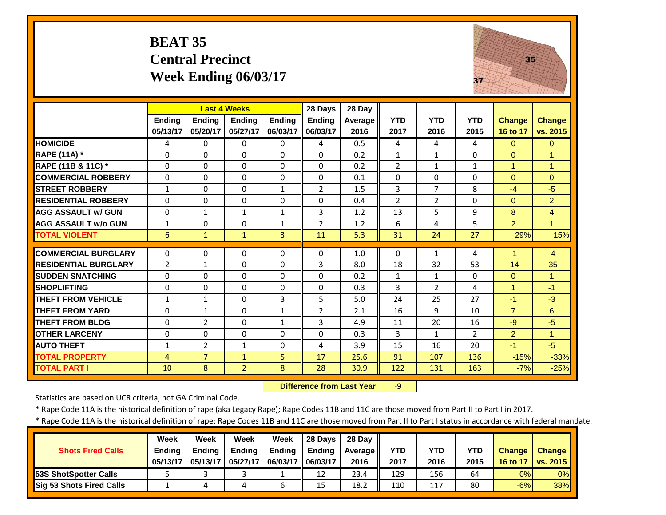#### **BEAT 35 Central Precinct Week Ending 06/03/17**



|                             |                |                | <b>Last 4 Weeks</b>  |              | 28 Days        | 28 Day  |                |                |              |                              |                      |
|-----------------------------|----------------|----------------|----------------------|--------------|----------------|---------|----------------|----------------|--------------|------------------------------|----------------------|
|                             | Ending         | <b>Ending</b>  | <b>Ending</b>        | Ending       | <b>Ending</b>  | Average | <b>YTD</b>     | <b>YTD</b>     | <b>YTD</b>   | <b>Change</b>                | <b>Change</b>        |
|                             | 05/13/17       | 05/20/17       | 05/27/17             | 06/03/17     | 06/03/17       | 2016    | 2017           | 2016           | 2015         | 16 to 17                     | vs. 2015             |
| <b>HOMICIDE</b>             | 4              | 0              | $\Omega$             | 0            | 4              | 0.5     | 4              | 4              | 4            | $\mathbf{0}$                 | $\Omega$             |
| RAPE (11A) *                | $\Omega$       | 0              | $\Omega$             | $\Omega$     | $\Omega$       | 0.2     | $\mathbf{1}$   | $\mathbf{1}$   | 0            | $\Omega$                     | $\blacktriangleleft$ |
| RAPE (11B & 11C) *          | $\Omega$       | $\Omega$       | $\Omega$             | $\Omega$     | $\Omega$       | 0.2     | $\overline{2}$ | $\mathbf{1}$   | $\mathbf{1}$ | $\mathbf{1}$                 | $\mathbf{1}$         |
| <b>COMMERCIAL ROBBERY</b>   | $\Omega$       | 0              | $\mathbf 0$          | $\Omega$     | 0              | 0.1     | $\Omega$       | $\Omega$       | 0            | $\mathbf{0}$                 | $\Omega$             |
| <b>STREET ROBBERY</b>       | $\mathbf{1}$   | $\Omega$       | 0                    | $\mathbf{1}$ | $\overline{2}$ | 1.5     | 3              | $\overline{7}$ | 8            | $-4$                         | $-5$                 |
| <b>RESIDENTIAL ROBBERY</b>  | $\Omega$       | 0              | $\Omega$             | $\Omega$     | $\Omega$       | 0.4     | $\overline{2}$ | $\overline{2}$ | $\Omega$     | $\mathbf{0}$                 | $\overline{2}$       |
| <b>AGG ASSAULT w/ GUN</b>   | $\Omega$       | 1              | $\mathbf{1}$         | $\mathbf{1}$ | 3              | 1.2     | 13             | 5              | 9            | 8                            | $\overline{4}$       |
| <b>AGG ASSAULT w/o GUN</b>  | $\mathbf{1}$   | 0              | $\Omega$             | 1            | $\overline{2}$ | 1.2     | 6              | 4              | 5            | $\overline{2}$               | $\blacktriangleleft$ |
| <b>TOTAL VIOLENT</b>        | 6              | $\mathbf{1}$   | $\mathbf{1}$         | 3            | 11             | 5.3     | 31             | 24             | 27           | 29%                          | 15%                  |
| <b>COMMERCIAL BURGLARY</b>  | $\Omega$       | 0              | $\Omega$             | 0            | 0              | 1.0     | $\Omega$       | $\mathbf{1}$   | 4            | $-1$                         | $-4$                 |
| <b>RESIDENTIAL BURGLARY</b> | $\overline{2}$ | $\mathbf{1}$   | $\mathbf 0$          | $\Omega$     | 3              | 8.0     | 18             | 32             | 53           | $-14$                        | $-35$                |
| <b>SUDDEN SNATCHING</b>     | $\Omega$       | $\Omega$       | $\Omega$             | $\Omega$     | $\Omega$       | 0.2     | $\mathbf{1}$   | $\mathbf{1}$   | $\Omega$     | $\mathbf{0}$                 | $\blacktriangleleft$ |
| <b>SHOPLIFTING</b>          |                | $\Omega$       |                      |              |                | 0.3     | 3              | $\overline{2}$ | 4            |                              |                      |
| <b>THEFT FROM VEHICLE</b>   | $\Omega$       | $\mathbf{1}$   | $\Omega$<br>$\Omega$ | 0<br>3       | $\Omega$<br>5  | 5.0     | 24             | 25             | 27           | $\blacktriangleleft$<br>$-1$ | $-1$<br>$-3$         |
| <b>THEFT FROM YARD</b>      | 1              |                |                      |              |                |         |                | 9              | 10           | $\overline{7}$               |                      |
|                             | $\Omega$       | $\mathbf{1}$   | $\Omega$             | $\mathbf{1}$ | $\overline{2}$ | 2.1     | 16             |                |              |                              | 6                    |
| <b>THEFT FROM BLDG</b>      | $\Omega$       | $\overline{2}$ | $\Omega$             | $\mathbf{1}$ | 3              | 4.9     | 11             | 20             | 16           | $-9$                         | $-5$                 |
| <b>OTHER LARCENY</b>        | 0              | $\Omega$       | $\Omega$             | $\Omega$     | $\Omega$       | 0.3     | 3              | $\mathbf{1}$   | 2            | $\overline{2}$               | $\blacktriangleleft$ |
| <b>AUTO THEFT</b>           | $\mathbf{1}$   | $\overline{2}$ | $\mathbf{1}$         | 0            | 4              | 3.9     | 15             | 16             | 20           | $-1$                         | $-5$                 |
| <b>TOTAL PROPERTY</b>       | 4              | $\overline{7}$ | $\mathbf{1}$         | 5            | 17             | 25.6    | 91             | 107            | 136          | $-15%$                       | $-33%$               |
| <b>TOTAL PART I</b>         | 10             | 8              | $\overline{2}$       | 8            | 28             | 30.9    | 122            | 131            | 163          | $-7%$                        | $-25%$               |

 **Difference from Last Year**‐9

Statistics are based on UCR criteria, not GA Criminal Code.

\* Rape Code 11A is the historical definition of rape (aka Legacy Rape); Rape Codes 11B and 11C are those moved from Part II to Part I in 2017.

|                                 | Week          | Week          | Week          | Week     | l 28 Davs     | 28 Dav II |      |      |            |               |                 |
|---------------------------------|---------------|---------------|---------------|----------|---------------|-----------|------|------|------------|---------------|-----------------|
| <b>Shots Fired Calls</b>        | <b>Ending</b> | <b>Endina</b> | <b>Ending</b> | Ending   | <b>Ending</b> | Average   | YTD  | YTD  | <b>YTD</b> | <b>Change</b> | <b>Change</b>   |
|                                 | 05/13/17      | 05/13/17      | 05/27/17      | 06/03/17 | 06/03/17      | 2016      | 2017 | 2016 | 2015       | 16 to 17      | <b>vs. 2015</b> |
| <b>153S ShotSpotter Calls</b>   |               |               |               |          | 12            | 23.4      | 129  | 156  | 64         | 0%            | 0%              |
| <b>Sig 53 Shots Fired Calls</b> |               |               |               |          | 15            | 18.2      | 110  | 117  | 80         | $-6%$         | 38%             |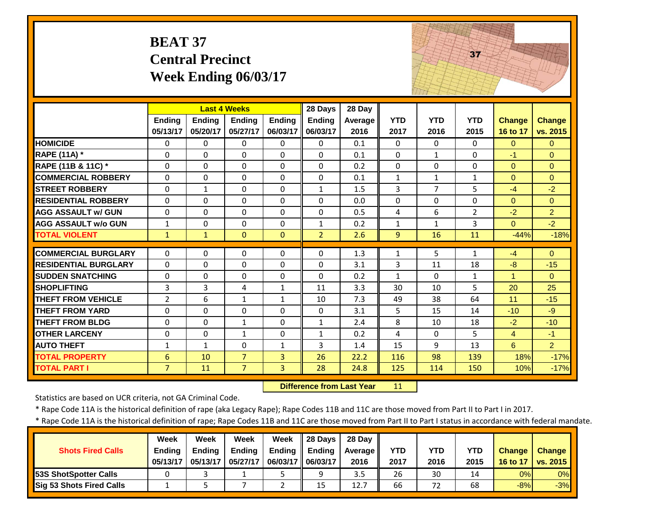# **BEAT 37 Central Precinct Week Ending 06/03/17**



|                             |                |               | <b>Last 4 Weeks</b> |               | 28 Days        | 28 Day         |                |                |                |                      |                |
|-----------------------------|----------------|---------------|---------------------|---------------|----------------|----------------|----------------|----------------|----------------|----------------------|----------------|
|                             | <b>Ending</b>  | <b>Endina</b> | <b>Endina</b>       | <b>Ending</b> | <b>Endina</b>  | <b>Average</b> | <b>YTD</b>     | <b>YTD</b>     | <b>YTD</b>     | <b>Change</b>        | <b>Change</b>  |
|                             | 05/13/17       | 05/20/17      | 05/27/17            | 06/03/17      | 06/03/17       | 2016           | 2017           | 2016           | 2015           | 16 to 17             | vs. 2015       |
| <b>HOMICIDE</b>             | $\Omega$       | 0             | $\Omega$            | $\Omega$      | $\Omega$       | 0.1            | $\Omega$       | $\Omega$       | $\Omega$       | $\Omega$             | $\Omega$       |
| <b>RAPE (11A) *</b>         | $\Omega$       | 0             | $\Omega$            | $\Omega$      | $\Omega$       | 0.1            | $\Omega$       | $\mathbf{1}$   | $\Omega$       | $-1$                 | $\Omega$       |
| RAPE (11B & 11C) *          | $\Omega$       | 0             | $\Omega$            | $\Omega$      | $\Omega$       | 0.2            | $\Omega$       | $\Omega$       | $\Omega$       | $\Omega$             | $\Omega$       |
| <b>COMMERCIAL ROBBERY</b>   | $\Omega$       | 0             | $\Omega$            | $\Omega$      | $\Omega$       | 0.1            | $\mathbf{1}$   | $\mathbf{1}$   | $\mathbf{1}$   | $\Omega$             | $\Omega$       |
| <b>STREET ROBBERY</b>       | $\Omega$       | $\mathbf{1}$  | $\Omega$            | $\Omega$      | $\mathbf{1}$   | 1.5            | 3              | $\overline{7}$ | 5              | $-4$                 | $-2$           |
| <b>RESIDENTIAL ROBBERY</b>  | $\Omega$       | 0             | $\Omega$            | $\Omega$      | $\Omega$       | 0.0            | $\mathbf{0}$   | 0              | $\Omega$       | $\Omega$             | $\Omega$       |
| <b>AGG ASSAULT w/ GUN</b>   | $\Omega$       | 0             | $\Omega$            | $\Omega$      | $\Omega$       | 0.5            | $\overline{4}$ | 6              | $\overline{2}$ | $-2$                 | $\overline{2}$ |
| <b>AGG ASSAULT w/o GUN</b>  | $\mathbf{1}$   | 0             | 0                   | $\Omega$      | 1              | 0.2            | $\mathbf{1}$   | $\mathbf{1}$   | 3              | $\Omega$             | $-2$           |
| <b>TOTAL VIOLENT</b>        | $\mathbf{1}$   | $\mathbf{1}$  | $\Omega$            | $\mathbf{0}$  | $\overline{2}$ | 2.6            | 9              | 16             | 11             | $-44%$               | $-18%$         |
|                             |                |               |                     |               |                |                |                |                |                |                      |                |
| <b>COMMERCIAL BURGLARY</b>  | $\Omega$       | 0             | $\Omega$            | $\Omega$      | $\Omega$       | 1.3            | $\mathbf{1}$   | 5              | $\mathbf{1}$   | $-4$                 | $\Omega$       |
| <b>RESIDENTIAL BURGLARY</b> | $\Omega$       | 0             | $\Omega$            | $\Omega$      | $\Omega$       | 3.1            | 3              | 11             | 18             | $-8$                 | $-15$          |
| <b>SUDDEN SNATCHING</b>     | $\Omega$       | 0             | $\Omega$            | $\Omega$      | $\Omega$       | 0.2            | $\mathbf{1}$   | $\Omega$       | $\mathbf{1}$   | $\blacktriangleleft$ | $\Omega$       |
| <b>SHOPLIFTING</b>          | $\overline{3}$ | 3             | 4                   | $\mathbf{1}$  | 11             | 3.3            | 30             | 10             | 5              | 20                   | 25             |
| <b>THEFT FROM VEHICLE</b>   | $\overline{2}$ | 6             | $\mathbf{1}$        | $\mathbf{1}$  | 10             | 7.3            | 49             | 38             | 64             | 11                   | $-15$          |
| <b>THEFT FROM YARD</b>      | $\Omega$       | 0             | 0                   | $\Omega$      | $\Omega$       | 3.1            | 5              | 15             | 14             | $-10$                | $-9$           |
| <b>THEFT FROM BLDG</b>      | $\Omega$       | 0             | $\mathbf{1}$        | $\Omega$      | $\mathbf{1}$   | 2.4            | 8              | 10             | 18             | $-2$                 | $-10$          |
| <b>OTHER LARCENY</b>        | $\Omega$       | 0             | $\mathbf{1}$        | $\Omega$      | $\mathbf{1}$   | 0.2            | 4              | 0              | 5              | $\overline{4}$       | $-1$           |
| <b>AUTO THEFT</b>           | $\mathbf{1}$   | $\mathbf{1}$  | $\Omega$            | $\mathbf{1}$  | 3              | 1.4            | 15             | 9              | 13             | 6                    | $\overline{2}$ |
| <b>TOTAL PROPERTY</b>       | 6              | 10            | $\overline{7}$      | 3             | 26             | 22.2           | 116            | 98             | 139            | 18%                  | $-17%$         |
| <b>TOTAL PART I</b>         | $\overline{7}$ | 11            | $\overline{7}$      | 3             | 28             | 24.8           | 125            | 114            | 150            | 10%                  | $-17%$         |

 **Difference from Last Year**11

Statistics are based on UCR criteria, not GA Criminal Code.

\* Rape Code 11A is the historical definition of rape (aka Legacy Rape); Rape Codes 11B and 11C are those moved from Part II to Part I in 2017.

|                                 | Week          | Week          | <b>Week</b>   | Week     | 28 Davs       | 28 Dav     |      |      |            |               |                 |
|---------------------------------|---------------|---------------|---------------|----------|---------------|------------|------|------|------------|---------------|-----------------|
| <b>Shots Fired Calls</b>        | <b>Ending</b> | <b>Ending</b> | <b>Ending</b> | Ending   | <b>Ending</b> | Average II | YTD  | YTD  | <b>YTD</b> | <b>Change</b> | <b>Change</b>   |
|                                 | 05/13/17      | 05/13/17      | 05/27/17      | 06/03/17 | 06/03/17      | 2016       | 2017 | 2016 | 2015       | 16 to 17      | <b>VS. 2015</b> |
| <b>53S ShotSpotter Calls</b>    |               |               |               |          |               | 3.5        | 26   | 30   | 14         | 0%            | 0%              |
| <b>Sig 53 Shots Fired Calls</b> |               |               |               |          | 15            | 12.7       | 66   | 72   | 68         | $-8%$         | $-3%$           |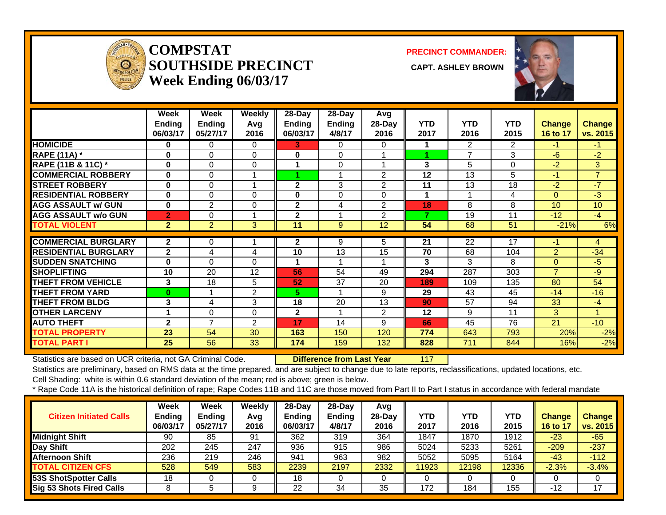

#### **COMPSTATSOUTHSIDE PRECINCT** CAPT. ASHLEY BROWN **Week Ending 06/03/17**

**PRECINCT COMMANDER:**



|                             | Week<br><b>Ending</b><br>06/03/17 | Week<br><b>Ending</b><br>05/27/17 | <b>Weekly</b><br>Avg<br>2016 | 28-Day<br><b>Ending</b><br>06/03/17 | 28-Day<br><b>Ending</b><br>4/8/17 | Avg<br>28-Day<br>2016 | <b>YTD</b><br>2017 | <b>YTD</b><br>2016 | <b>YTD</b><br>2015 | Change<br>16 to 17 | Change<br>vs. 2015 |
|-----------------------------|-----------------------------------|-----------------------------------|------------------------------|-------------------------------------|-----------------------------------|-----------------------|--------------------|--------------------|--------------------|--------------------|--------------------|
| <b>HOMICIDE</b>             | 0                                 | 0                                 | $\Omega$                     | 3.                                  | $\mathbf{0}$                      | 0                     | 1                  | $\overline{2}$     | $\overline{2}$     | $-1$               | $-1$               |
| <b>RAPE (11A)</b> *         | $\bf{0}$                          | 0                                 | $\mathbf 0$                  | $\bf{0}$                            | $\Omega$                          |                       |                    | $\overline{ }$     | 3                  | $-6$               | $-2$               |
| RAPE (11B & 11C) *          | $\bf{0}$                          | 0                                 | $\Omega$                     |                                     | $\Omega$                          |                       | 3                  | 5                  | $\Omega$           | $-2$               | 3                  |
| <b>COMMERCIAL ROBBERY</b>   | $\bf{0}$                          | 0                                 |                              |                                     |                                   | $\overline{2}$        | 12                 | 13                 | 5                  | $-1$               | $\overline{7}$     |
| <b>STREET ROBBERY</b>       | $\bf{0}$                          | 0                                 |                              | $\mathbf{2}$                        | 3                                 | $\overline{2}$        | 11                 | 13                 | 18                 | $-2$               | $-7$               |
| <b>RESIDENTIAL ROBBERY</b>  | $\bf{0}$                          | 0                                 | $\Omega$                     | $\bf{0}$                            | $\Omega$                          | 0                     | 1                  |                    | 4                  | $\Omega$           | $-3$               |
| <b>AGG ASSAULT w/ GUN</b>   | $\bf{0}$                          | $\overline{2}$                    | 0                            | $\mathbf 2$                         | 4                                 | $\overline{2}$        | 18                 | 8                  | 8                  | 10                 | 10                 |
| <b>AGG ASSAULT w/o GUN</b>  | $\overline{2}$                    | 0                                 |                              | 2                                   |                                   | $\overline{2}$        | 7                  | 19                 | 11                 | $-12$              | $-4$               |
| <b>TOTAL VIOLENT</b>        | $\overline{2}$                    | $\overline{2}$                    | 3                            | 11                                  | 9                                 | 12                    | 54                 | 68                 | 51                 | $-21%$             | 6%                 |
| <b>COMMERCIAL BURGLARY</b>  | $\mathbf{2}$                      | 0                                 |                              | 2                                   | 9                                 | 5                     | 21                 | 22                 | 17                 | $-1$               | 4                  |
| <b>RESIDENTIAL BURGLARY</b> | $\mathbf{2}$                      | 4                                 | 4                            | 10                                  | 13                                | 15                    | 70                 | 68                 | 104                | $\overline{2}$     | $-34$              |
| <b>SUDDEN SNATCHING</b>     | $\bf{0}$                          | 0                                 | 0                            |                                     |                                   |                       | 3                  | 3                  | 8                  | $\Omega$           | $-5$               |
| <b>SHOPLIFTING</b>          | 10                                | 20                                | 12                           | 56                                  | 54                                | 49                    |                    | 287                | 303                | $\overline{7}$     | $-9$               |
| <b>THEFT FROM VEHICLE</b>   | 3                                 | 18                                |                              | 52                                  | 37                                | 20                    | 294<br>189         | 109                | 135                | 80                 | 54                 |
|                             | $\bf{0}$                          |                                   | 5                            | 5.                                  |                                   | 9                     | 29                 |                    |                    | $-14$              |                    |
| <b>THEFT FROM YARD</b>      |                                   |                                   | $\overline{2}$               |                                     |                                   |                       |                    | 43                 | 45                 |                    | $-16$              |
| <b>THEFT FROM BLDG</b>      | 3                                 | 4                                 | 3                            | 18                                  | 20                                | 13                    | 90                 | 57                 | 94                 | 33                 | $-4$               |
| <b>OTHER LARCENY</b>        | 1                                 | 0                                 | 0                            | $\mathbf{2}$                        |                                   | $\overline{2}$        | 12                 | 9                  | 11                 | 3                  |                    |
| <b>AUTO THEFT</b>           | $\overline{2}$                    | $\overline{7}$                    | 2                            | 17                                  | 14                                | 9                     | 66                 | 45                 | 76                 | 21                 | $-10$              |
| <b>TOTAL PROPERTY</b>       | 23                                | 54                                | 30                           | 163                                 | 150                               | 120                   | 774                | 643                | 793                | 20%                | $-2%$              |
| <b>TOTAL PART I</b>         | 25                                | 56                                | 33                           | 174                                 | 159                               | 132                   | 828                | 711                | 844                | 16%                | $-2%$              |

Statistics are based on UCR criteria, not GA Criminal Code. **Difference from Last Year** 117

Statistics are preliminary, based on RMS data at the time prepared, and are subject to change due to late reports, reclassifications, updated locations, etc.

Cell Shading: white is within 0.6 standard deviation of the mean; red is above; green is below.

| <b>Citizen Initiated Calls</b>  | <b>Week</b><br><b>Ending</b><br>06/03/17 | <b>Week</b><br><b>Ending</b><br>05/27/17 | Weekly<br>Avg<br>2016 | $28$ -Dav<br><b>Ending</b><br>06/03/17 | $28-Dav$<br><b>Ending</b><br>4/8/17 | Avg<br>$28$ -Day<br>2016 | YTD<br>2017 | <b>YTD</b><br>2016 | <b>YTD</b><br>2015 | Change<br>16 to 17 | <b>Change</b><br>vs. 2015 |
|---------------------------------|------------------------------------------|------------------------------------------|-----------------------|----------------------------------------|-------------------------------------|--------------------------|-------------|--------------------|--------------------|--------------------|---------------------------|
| <b>Midnight Shift</b>           | 90                                       | 85                                       | -91                   | 362                                    | 319                                 | 364                      | 1847        | 1870               | 1912               | $-23$              | $-65$                     |
| Day Shift                       | 202                                      | 245                                      | 247                   | 936                                    | 915                                 | 986                      | 5024        | 5233               | 5261               | $-209$             | $-237$                    |
| <b>Afternoon Shift</b>          | 236                                      | 219                                      | 246                   | 941                                    | 963                                 | 982                      | 5052        | 5095               | 5164               | $-43$              | $-112$                    |
| <b>TOTAL CITIZEN CFS</b>        | 528                                      | 549                                      | 583                   | 2239                                   | 2197                                | 2332                     | 11923       | 12198              | 12336              | $-2.3%$            | $-3.4%$                   |
| <b>53S ShotSpotter Calls</b>    | 18                                       |                                          |                       | 18                                     |                                     |                          |             |                    |                    |                    |                           |
| <b>Sig 53 Shots Fired Calls</b> |                                          |                                          | a                     | 22                                     | 34                                  | 35                       | 172         | 184                | 155                | $-12$              | 17                        |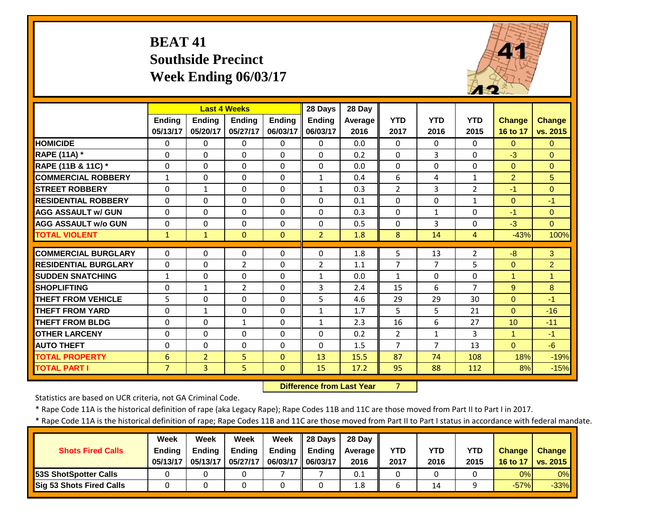# **BEAT 41 Southside Precinct Week Ending 06/03/17**



|                             |                |                | <b>Last 4 Weeks</b> |              | 28 Days       | 28 Day  |                |              |                |                |                 |
|-----------------------------|----------------|----------------|---------------------|--------------|---------------|---------|----------------|--------------|----------------|----------------|-----------------|
|                             | <b>Endina</b>  | <b>Ending</b>  | <b>Endina</b>       | Ending       | <b>Ending</b> | Average | <b>YTD</b>     | <b>YTD</b>   | <b>YTD</b>     | <b>Change</b>  | <b>Change</b>   |
|                             | 05/13/17       | 05/20/17       | 05/27/17            | 06/03/17     | 06/03/17      | 2016    | 2017           | 2016         | 2015           | 16 to 17       | vs. 2015        |
| <b>HOMICIDE</b>             | $\Omega$       | $\Omega$       | $\Omega$            | $\mathbf{0}$ | $\Omega$      | 0.0     | $\Omega$       | $\Omega$     | 0              | $\Omega$       | $\Omega$        |
| <b>RAPE (11A) *</b>         | $\Omega$       | $\Omega$       | 0                   | $\Omega$     | $\Omega$      | 0.2     | $\Omega$       | 3            | $\Omega$       | $-3$           | $\Omega$        |
| RAPE (11B & 11C) *          | $\mathbf 0$    | $\Omega$       | $\Omega$            | $\Omega$     | $\Omega$      | 0.0     | $\Omega$       | $\Omega$     | $\Omega$       | $\mathbf{0}$   | $\Omega$        |
| <b>COMMERCIAL ROBBERY</b>   | $\mathbf{1}$   | $\Omega$       | $\Omega$            | $\Omega$     | $\mathbf{1}$  | 0.4     | 6              | 4            | $\mathbf{1}$   | $\overline{2}$ | $5\overline{)}$ |
| <b>STREET ROBBERY</b>       | $\Omega$       | $\mathbf{1}$   | $\Omega$            | $\Omega$     | $\mathbf{1}$  | 0.3     | $\overline{2}$ | 3            | $\overline{2}$ | $-1$           | $\Omega$        |
| <b>RESIDENTIAL ROBBERY</b>  | $\Omega$       | $\Omega$       | $\Omega$            | $\Omega$     | $\Omega$      | 0.1     | $\Omega$       | $\Omega$     | $\mathbf{1}$   | $\Omega$       | $-1$            |
| <b>AGG ASSAULT w/ GUN</b>   | $\Omega$       | $\Omega$       | $\Omega$            | $\Omega$     | $\Omega$      | 0.3     | $\Omega$       | $\mathbf{1}$ | $\Omega$       | $-1$           | $\Omega$        |
| <b>AGG ASSAULT w/o GUN</b>  | $\Omega$       | 0              | $\Omega$            | $\Omega$     | $\Omega$      | 0.5     | $\Omega$       | 3            | 0              | $-3$           | $\Omega$        |
| <b>TOTAL VIOLENT</b>        | $\mathbf{1}$   | $\mathbf{1}$   | $\Omega$            | $\Omega$     | 2             | 1.8     | 8              | 14           | 4              | $-43%$         | 100%            |
| <b>COMMERCIAL BURGLARY</b>  | $\Omega$       | $\Omega$       | $\mathbf 0$         | 0            | 0             | 1.8     | 5              | 13           | $\overline{2}$ | $-8$           | 3               |
| <b>RESIDENTIAL BURGLARY</b> | $\Omega$       | 0              | $\overline{2}$      | $\Omega$     | 2             | 1.1     | 7              | 7            | 5              | $\Omega$       | $\overline{2}$  |
| <b>SUDDEN SNATCHING</b>     | $\mathbf{1}$   | $\Omega$       | $\Omega$            | 0            | $\mathbf{1}$  | 0.0     | $\mathbf{1}$   | $\Omega$     | $\Omega$       | 1              | 1               |
| <b>SHOPLIFTING</b>          | $\Omega$       | $\mathbf{1}$   | $\overline{2}$      | $\Omega$     | 3             | 2.4     | 15             | 6            | $\overline{7}$ | 9              | 8               |
| <b>THEFT FROM VEHICLE</b>   | 5              | $\Omega$       | $\Omega$            | 0            | 5             | 4.6     | 29             | 29           | 30             | $\mathbf{0}$   | $-1$            |
| <b>THEFT FROM YARD</b>      | $\Omega$       | $\mathbf{1}$   | $\Omega$            | $\Omega$     | $\mathbf{1}$  | 1.7     | 5              | 5            | 21             | $\Omega$       | $-16$           |
| <b>THEFT FROM BLDG</b>      | $\Omega$       | $\Omega$       | $\mathbf{1}$        | $\Omega$     | $\mathbf{1}$  | 2.3     | 16             | 6            | 27             | 10             | $-11$           |
| <b>OTHER LARCENY</b>        | $\Omega$       | $\Omega$       | $\Omega$            | $\Omega$     | $\Omega$      | 0.2     | $\overline{2}$ | $\mathbf{1}$ | 3              | $\mathbf{1}$   | $-1$            |
| <b>AUTO THEFT</b>           | 0              | $\Omega$       | 0                   | $\Omega$     | $\Omega$      | 1.5     | $\overline{7}$ | 7            | 13             | $\Omega$       | $-6$            |
| <b>TOTAL PROPERTY</b>       | 6              | $\overline{2}$ | 5.                  | $\Omega$     | 13            | 15.5    | 87             | 74           | 108            | 18%            | $-19%$          |
| <b>TOTAL PART I</b>         | $\overline{7}$ | $\overline{3}$ | 5                   | $\Omega$     | 15            | 17.2    | 95             | 88           | 112            | 8%             | $-15%$          |

 **Difference from Last Year**

7

Statistics are based on UCR criteria, not GA Criminal Code.

\* Rape Code 11A is the historical definition of rape (aka Legacy Rape); Rape Codes 11B and 11C are those moved from Part II to Part I in 2017.

|                                 | <b>Week</b>   | Week          | Week          | Week              | $\parallel$ 28 Days | 28 Dav  |            |      |            |               |                   |
|---------------------------------|---------------|---------------|---------------|-------------------|---------------------|---------|------------|------|------------|---------------|-------------------|
| <b>Shots Fired Calls</b>        | <b>Ending</b> | <b>Ending</b> | <b>Ending</b> | Ending            | Ending              | Average | <b>YTD</b> | YTD  | <b>YTD</b> | <b>Change</b> | Change            |
|                                 | 05/13/17      | 05/13/17      | 05/27/17      | 06/03/17 06/03/17 |                     | 2016    | 2017       | 2016 | 2015       | 16 to 17      | $\sqrt{vs. 2015}$ |
| <b>53S ShotSpotter Calls</b>    |               |               |               |                   |                     | 0.1     | 0          |      |            | 0%            | 0%                |
| <b>Sig 53 Shots Fired Calls</b> |               |               |               |                   |                     | 1.8     | ь          | 14   | a          | $-57%$        | $-33%$            |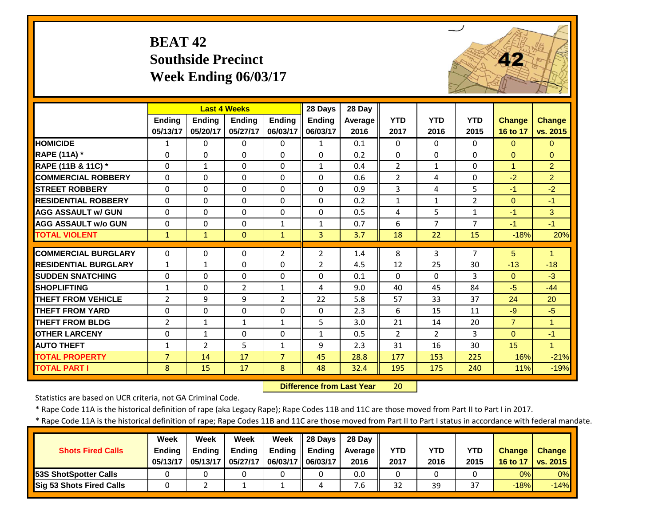# **BEAT 42 Southside Precinct Week Ending 06/03/17**



|                             |                | <b>Last 4 Weeks</b> |                |                | 28 Days        | 28 Day  |                |                |                |                      |                      |
|-----------------------------|----------------|---------------------|----------------|----------------|----------------|---------|----------------|----------------|----------------|----------------------|----------------------|
|                             | Ending         | <b>Ending</b>       | <b>Endina</b>  | <b>Ending</b>  | <b>Ending</b>  | Average | <b>YTD</b>     | <b>YTD</b>     | <b>YTD</b>     | <b>Change</b>        | <b>Change</b>        |
|                             | 05/13/17       | 05/20/17            | 05/27/17       | 06/03/17       | 06/03/17       | 2016    | 2017           | 2016           | 2015           | 16 to 17             | vs. 2015             |
| <b>HOMICIDE</b>             | 1              | 0                   | 0              | $\Omega$       | 1              | 0.1     | $\Omega$       | $\Omega$       | 0              | $\Omega$             | $\Omega$             |
| RAPE (11A) *                | $\Omega$       | 0                   | $\Omega$       | $\Omega$       | $\Omega$       | 0.2     | $\Omega$       | $\Omega$       | 0              | $\Omega$             | $\Omega$             |
| RAPE (11B & 11C) *          | $\Omega$       | $\mathbf{1}$        | $\Omega$       | $\Omega$       | $\mathbf{1}$   | 0.4     | $\overline{2}$ | $\mathbf{1}$   | 0              | $\blacktriangleleft$ | $\overline{2}$       |
| <b>COMMERCIAL ROBBERY</b>   | $\Omega$       | $\Omega$            | $\Omega$       | $\Omega$       | $\Omega$       | 0.6     | $\overline{2}$ | 4              | 0              | $-2$                 | $\overline{2}$       |
| <b>STREET ROBBERY</b>       | 0              | $\Omega$            | $\Omega$       | 0              | $\Omega$       | 0.9     | 3              | 4              | 5              | $-1$                 | $-2$                 |
| <b>RESIDENTIAL ROBBERY</b>  | $\Omega$       | $\Omega$            | $\Omega$       | $\Omega$       | $\Omega$       | 0.2     | $\mathbf{1}$   | $\mathbf{1}$   | $\overline{2}$ | $\Omega$             | $-1$                 |
| <b>AGG ASSAULT w/ GUN</b>   | $\Omega$       | $\Omega$            | $\Omega$       | $\Omega$       | $\Omega$       | 0.5     | 4              | 5              | $\mathbf{1}$   | $-1$                 | 3                    |
| <b>AGG ASSAULT w/o GUN</b>  | $\Omega$       | $\Omega$            | $\Omega$       | $\mathbf{1}$   | $\mathbf{1}$   | 0.7     | 6              | 7              | $\overline{7}$ | $-1$                 | $-1$                 |
| <b>TOTAL VIOLENT</b>        | $\mathbf{1}$   | $\mathbf{1}$        | $\Omega$       | $\mathbf{1}$   | $\overline{3}$ | 3.7     | 18             | 22             | 15             | $-18%$               | 20%                  |
| <b>COMMERCIAL BURGLARY</b>  | $\Omega$       | $\Omega$            | $\Omega$       | $\overline{2}$ | $\overline{2}$ | 1.4     | 8              | 3              | $\overline{7}$ | 5                    | $\blacktriangleleft$ |
| <b>RESIDENTIAL BURGLARY</b> | 1              | 1                   | $\Omega$       | $\Omega$       | $\overline{2}$ | 4.5     | 12             | 25             | 30             | $-13$                | $-18$                |
| <b>SUDDEN SNATCHING</b>     | $\Omega$       | $\Omega$            | $\Omega$       | $\Omega$       | $\Omega$       | 0.1     | $\Omega$       | $\Omega$       | 3              | $\Omega$             | $-3$                 |
| <b>SHOPLIFTING</b>          | $\mathbf{1}$   | $\Omega$            | $\overline{2}$ | $\mathbf{1}$   | 4              | 9.0     | 40             | 45             | 84             | $-5$                 | $-44$                |
| <b>THEFT FROM VEHICLE</b>   | $\overline{2}$ | 9                   | 9              | $\overline{2}$ | 22             | 5.8     | 57             | 33             | 37             | 24                   | 20                   |
| <b>THEFT FROM YARD</b>      | $\Omega$       | 0                   | $\Omega$       | $\Omega$       | $\Omega$       | 2.3     | 6              | 15             | 11             | $-9$                 | $-5$                 |
| <b>THEFT FROM BLDG</b>      | $\overline{2}$ | $\mathbf{1}$        | $\mathbf{1}$   | $\mathbf{1}$   | 5              | 3.0     | 21             | 14             | 20             | $\overline{7}$       | $\blacktriangleleft$ |
| <b>OTHER LARCENY</b>        | $\Omega$       | $\mathbf{1}$        | $\Omega$       | $\Omega$       | $\mathbf{1}$   | 0.5     | $\overline{2}$ | $\overline{2}$ | 3              | $\Omega$             | $-1$                 |
| <b>AUTO THEFT</b>           | $\mathbf{1}$   | $\overline{2}$      | 5              | $\mathbf{1}$   | 9              | 2.3     | 31             | 16             | 30             | 15                   | $\mathbf{1}$         |
| <b>TOTAL PROPERTY</b>       | $\overline{7}$ | 14                  | 17             | $\overline{7}$ | 45             | 28.8    | 177            | 153            | 225            | 16%                  | $-21%$               |
| <b>TOTAL PART I</b>         | 8              | 15                  | 17             | 8              | 48             | 32.4    | 195            | 175            | 240            | 11%                  | $-19%$               |
|                             |                |                     |                |                |                |         |                |                |                |                      |                      |

 **Difference from Last Year**20

Statistics are based on UCR criteria, not GA Criminal Code.

\* Rape Code 11A is the historical definition of rape (aka Legacy Rape); Rape Codes 11B and 11C are those moved from Part II to Part I in 2017.

| <b>Shots Fired Calls</b>        | Week<br><b>Endina</b><br>05/13/17 | Week<br><b>Ending</b><br>05/13/17 | Week<br><b>Ending</b><br>05/27/17 | Week<br><b>Ending</b><br>06/03/17 | 28 Days<br>Ending<br>06/03/17 | 28 Day<br>Average II<br>2016 | YTD<br>2017 | YTD<br>2016 | YTD<br>2015 | <b>Change</b><br>16 to 17 | <b>Change</b><br>vs. 2015 |
|---------------------------------|-----------------------------------|-----------------------------------|-----------------------------------|-----------------------------------|-------------------------------|------------------------------|-------------|-------------|-------------|---------------------------|---------------------------|
| <b>53S ShotSpotter Calls</b>    |                                   |                                   |                                   |                                   |                               | 0.0                          |             |             |             | 0%                        | 0%                        |
| <b>Sig 53 Shots Fired Calls</b> |                                   |                                   |                                   |                                   |                               | 7.b                          | 32          | 39          | 37          | $-18%$                    | $-14%$                    |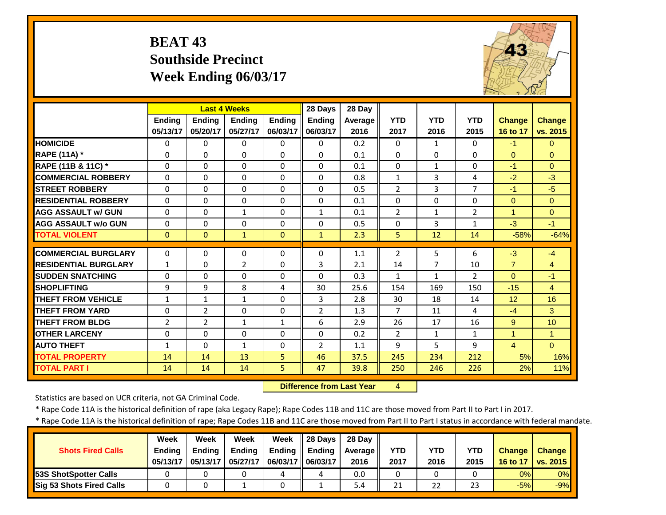#### **BEAT 43 Southside PrecinctWeek Ending 06/03/17**



|                             |                | <b>Last 4 Weeks</b> |               |               | 28 Days        | 28 Day  |                |              |                |                      |                |
|-----------------------------|----------------|---------------------|---------------|---------------|----------------|---------|----------------|--------------|----------------|----------------------|----------------|
|                             | <b>Ending</b>  | Ending              | <b>Endina</b> | <b>Endina</b> | <b>Ending</b>  | Average | <b>YTD</b>     | <b>YTD</b>   | <b>YTD</b>     | <b>Change</b>        | <b>Change</b>  |
|                             | 05/13/17       | 05/20/17            | 05/27/17      | 06/03/17      | 06/03/17       | 2016    | 2017           | 2016         | 2015           | 16 to 17             | vs. 2015       |
| <b>HOMICIDE</b>             | $\mathbf{0}$   | 0                   | $\Omega$      | $\Omega$      | $\Omega$       | 0.2     | $\Omega$       | $\mathbf{1}$ | $\Omega$       | $-1$                 | $\overline{0}$ |
| RAPE (11A) *                | $\Omega$       | $\Omega$            | $\Omega$      | $\Omega$      | $\Omega$       | 0.1     | $\Omega$       | $\Omega$     | $\Omega$       | $\Omega$             | $\Omega$       |
| RAPE (11B & 11C) *          | $\Omega$       | $\Omega$            | $\Omega$      | $\Omega$      | $\Omega$       | 0.1     | $\Omega$       | $\mathbf{1}$ | $\Omega$       | $-1$                 | $\Omega$       |
| <b>COMMERCIAL ROBBERY</b>   | $\Omega$       | $\Omega$            | $\Omega$      | $\Omega$      | $\Omega$       | 0.8     | $\mathbf{1}$   | 3            | 4              | $-2$                 | $-3$           |
| <b>STREET ROBBERY</b>       | $\Omega$       | 0                   | $\Omega$      | $\Omega$      | $\Omega$       | 0.5     | $\overline{2}$ | 3            | $\overline{7}$ | $-1$                 | $-5$           |
| <b>RESIDENTIAL ROBBERY</b>  | $\Omega$       | 0                   | $\Omega$      | $\Omega$      | $\Omega$       | 0.1     | $\Omega$       | $\Omega$     | $\Omega$       | $\Omega$             | $\Omega$       |
| <b>AGG ASSAULT W/ GUN</b>   | $\Omega$       | 0                   | $\mathbf{1}$  | $\Omega$      | $\mathbf{1}$   | 0.1     | $\overline{2}$ | $\mathbf{1}$ | $\overline{2}$ | $\mathbf{1}$         | $\Omega$       |
| <b>AGG ASSAULT w/o GUN</b>  | $\Omega$       | 0                   | $\Omega$      | $\Omega$      | $\Omega$       | 0.5     | $\Omega$       | 3            | $\mathbf{1}$   | $-3$                 | $-1$           |
| <b>TOTAL VIOLENT</b>        | $\mathbf{0}$   | $\Omega$            | 1             | $\Omega$      | $\mathbf{1}$   | 2.3     | 5              | 12           | 14             | $-58%$               | $-64%$         |
| <b>COMMERCIAL BURGLARY</b>  | $\Omega$       | 0                   | 0             | $\Omega$      | 0              | 1.1     | $\overline{2}$ | 5.           | 6              | $-3$                 | $-4$           |
| <b>RESIDENTIAL BURGLARY</b> | $\mathbf{1}$   | 0                   | 2             | $\Omega$      | 3              | 2.1     | 14             | 7            | 10             | $\overline{7}$       |                |
| <b>SUDDEN SNATCHING</b>     | $\Omega$       | $\Omega$            | $\Omega$      | $\Omega$      | $\Omega$       | 0.3     | 1              | $\mathbf{1}$ | $\overline{2}$ | $\Omega$             | 4<br>$-1$      |
| <b>SHOPLIFTING</b>          | 9              | 9                   | 8             | 4             | 30             | 25.6    | 154            | 169          | 150            | $-15$                | $\overline{4}$ |
| <b>THEFT FROM VEHICLE</b>   |                |                     |               |               | 3              | 2.8     |                | 18           |                |                      | 16             |
|                             | $\mathbf{1}$   | 1                   | $\mathbf{1}$  | $\Omega$      |                |         | 30             |              | 14             | 12                   |                |
| <b>THEFT FROM YARD</b>      | $\Omega$       | $\overline{2}$      | $\Omega$      | $\Omega$      | $\overline{2}$ | 1.3     | $\overline{7}$ | 11           | 4              | $-4$                 | 3              |
| <b>THEFT FROM BLDG</b>      | $\overline{2}$ | $\overline{2}$      | $\mathbf{1}$  | $\mathbf{1}$  | 6              | 2.9     | 26             | 17           | 16             | 9                    | 10             |
| <b>OTHER LARCENY</b>        | $\Omega$       | $\Omega$            | $\Omega$      | $\Omega$      | $\Omega$       | 0.2     | $\overline{2}$ | $\mathbf{1}$ | $\mathbf{1}$   | $\blacktriangleleft$ | $\mathbf{1}$   |
| <b>AUTO THEFT</b>           | $\mathbf{1}$   | $\Omega$            | $\mathbf{1}$  | $\Omega$      | $\overline{2}$ | 1.1     | 9              | 5            | 9              | $\overline{4}$       | $\overline{0}$ |
| <b>TOTAL PROPERTY</b>       | 14             | 14                  | 13            | 5.            | 46             | 37.5    | 245            | 234          | 212            | 5%                   | 16%            |
| <b>TOTAL PART I</b>         | 14             | 14                  | 14            | 5             | 47             | 39.8    | 250            | 246          | 226            | 2%                   | 11%            |

 **Difference from Last Year**

4

Statistics are based on UCR criteria, not GA Criminal Code.

\* Rape Code 11A is the historical definition of rape (aka Legacy Rape); Rape Codes 11B and 11C are those moved from Part II to Part I in 2017.

| <b>Shots Fired Calls</b>        | Week<br><b>Endina</b><br>05/13/17 | Week<br><b>Ending</b><br>05/13/17 | Week<br><b>Ending</b><br>05/27/17 | <b>Week</b><br><b>Ending</b><br>06/03/17 | 28 Davs<br>Ending<br>06/03/17 | 28 Day<br>Average II<br>2016 | YTD<br>2017 | YTD<br>2016 | YTD<br>2015 | <b>Change</b><br>16 to 17 | <b>Change</b><br><b>VS. 2015</b> |
|---------------------------------|-----------------------------------|-----------------------------------|-----------------------------------|------------------------------------------|-------------------------------|------------------------------|-------------|-------------|-------------|---------------------------|----------------------------------|
| <b>53S ShotSpotter Calls</b>    |                                   |                                   |                                   |                                          |                               | 0.0                          |             |             |             | 0%                        | 0%                               |
| <b>Sig 53 Shots Fired Calls</b> |                                   |                                   |                                   |                                          |                               | 5.4                          | 21          | 22          | 23          | $-5%$                     | $-9%$                            |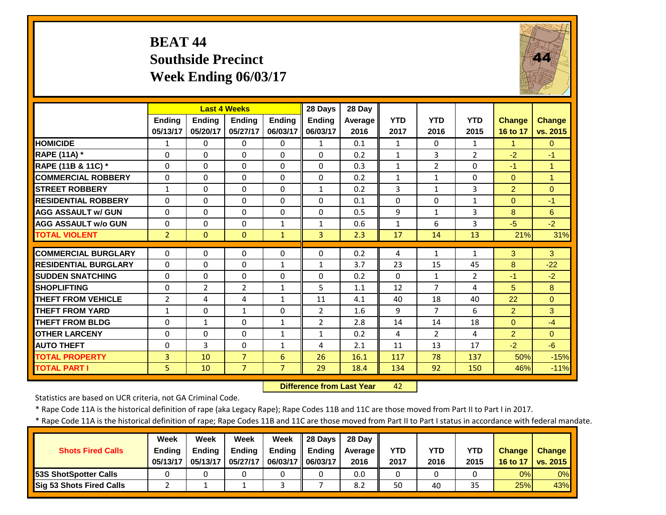#### **BEAT 44 Southside PrecinctWeek Ending 06/03/17**



|                             |                |                | <b>Last 4 Weeks</b> |                | 28 Days        | 28 Day         |              |                |                |                |                |
|-----------------------------|----------------|----------------|---------------------|----------------|----------------|----------------|--------------|----------------|----------------|----------------|----------------|
|                             | <b>Endina</b>  | <b>Ending</b>  | <b>Ending</b>       | <b>Endina</b>  | Ending         | <b>Average</b> | <b>YTD</b>   | <b>YTD</b>     | <b>YTD</b>     | Change         | <b>Change</b>  |
|                             | 05/13/17       | 05/20/17       | 05/27/17            | 06/03/17       | 06/03/17       | 2016           | 2017         | 2016           | 2015           | 16 to 17       | vs. 2015       |
| <b>HOMICIDE</b>             | $\mathbf{1}$   | 0              | $\Omega$            | $\Omega$       | $\mathbf{1}$   | 0.1            | $\mathbf{1}$ | $\Omega$       | $\mathbf{1}$   | $\mathbf{1}$   | $\Omega$       |
| <b>RAPE (11A)</b> *         | $\Omega$       | $\Omega$       | $\Omega$            | $\Omega$       | $\Omega$       | 0.2            | $\mathbf{1}$ | 3              | $\overline{2}$ | $-2$           | $-1$           |
| RAPE (11B & 11C) *          | $\mathbf 0$    | $\Omega$       | $\Omega$            | $\Omega$       | $\mathbf 0$    | 0.3            | $\mathbf{1}$ | $\overline{2}$ | $\Omega$       | $-1$           | $\overline{1}$ |
| <b>COMMERCIAL ROBBERY</b>   | $\mathbf{0}$   | $\Omega$       | $\Omega$            | $\Omega$       | $\Omega$       | 0.2            | $\mathbf{1}$ | $\mathbf{1}$   | $\Omega$       | $\Omega$       | $\overline{1}$ |
| <b>STREET ROBBERY</b>       | $\mathbf{1}$   | 0              | $\Omega$            | $\Omega$       | $\mathbf{1}$   | 0.2            | 3            | $\mathbf{1}$   | 3              | $\overline{2}$ | $\Omega$       |
| <b>RESIDENTIAL ROBBERY</b>  | $\Omega$       | 0              | $\Omega$            | $\Omega$       | $\Omega$       | 0.1            | $\Omega$     | $\Omega$       | $\mathbf{1}$   | $\Omega$       | $-1$           |
| <b>AGG ASSAULT w/ GUN</b>   | $\Omega$       | 0              | $\Omega$            | $\Omega$       | $\Omega$       | 0.5            | 9            | $\mathbf{1}$   | 3              | 8              | 6              |
| <b>AGG ASSAULT w/o GUN</b>  | $\Omega$       | 0              | $\Omega$            | $\mathbf{1}$   | $\mathbf{1}$   | 0.6            | $\mathbf{1}$ | 6              | 3              | $-5$           | $-2$           |
| <b>TOTAL VIOLENT</b>        | $\overline{2}$ | $\Omega$       | $\Omega$            | $\mathbf{1}$   | 3              | 2.3            | 17           | 14             | 13             | 21%            | 31%            |
| <b>COMMERCIAL BURGLARY</b>  | $\Omega$       | 0              | $\Omega$            | $\Omega$       | $\Omega$       | 0.2            | 4            | $\mathbf{1}$   | $\mathbf{1}$   | 3              | 3              |
| <b>RESIDENTIAL BURGLARY</b> | $\mathbf{0}$   | 0              | $\Omega$            | $\mathbf{1}$   | $\mathbf{1}$   | 3.7            | 23           | 15             | 45             | 8              | $-22$          |
| <b>SUDDEN SNATCHING</b>     | $\Omega$       | 0              | $\Omega$            | $\Omega$       | $\Omega$       | 0.2            | $\Omega$     | $\mathbf{1}$   | $\overline{2}$ | $-1$           | $-2$           |
| <b>SHOPLIFTING</b>          |                | $\overline{2}$ | $\overline{2}$      |                | 5              | 1.1            |              | 7              | 4              | 5              | 8              |
| <b>THEFT FROM VEHICLE</b>   | $\Omega$       |                | 4                   | $\mathbf{1}$   |                |                | 12           | 18             | 40             | 22             | $\Omega$       |
|                             | 2              | 4              |                     | $\mathbf{1}$   | 11             | 4.1            | 40           |                |                |                |                |
| <b>THEFT FROM YARD</b>      | $\mathbf{1}$   | 0              | $\mathbf{1}$        | $\Omega$       | $\overline{2}$ | 1.6            | 9            | 7              | 6              | 2              | 3              |
| <b>THEFT FROM BLDG</b>      | $\Omega$       | $\mathbf{1}$   | $\Omega$            | $\mathbf{1}$   | $\overline{2}$ | 2.8            | 14           | 14             | 18             | $\Omega$       | $-4$           |
| <b>OTHER LARCENY</b>        | $\Omega$       | 0              | $\Omega$            | $\mathbf{1}$   | $\mathbf{1}$   | 0.2            | 4            | $\overline{2}$ | 4              | $\overline{2}$ | $\Omega$       |
| <b>AUTO THEFT</b>           | $\Omega$       | 3              | $\Omega$            | $\mathbf{1}$   | 4              | 2.1            | 11           | 13             | 17             | $-2$           | $-6$           |
| <b>TOTAL PROPERTY</b>       | 3              | 10             | $\overline{7}$      | 6              | 26             | 16.1           | 117          | 78             | 137            | 50%            | $-15%$         |
| <b>TOTAL PART I</b>         | 5              | 10             | $\overline{7}$      | $\overline{7}$ | 29             | 18.4           | 134          | 92             | 150            | 46%            | $-11%$         |

 **Difference from Last Year**42

Statistics are based on UCR criteria, not GA Criminal Code.

\* Rape Code 11A is the historical definition of rape (aka Legacy Rape); Rape Codes 11B and 11C are those moved from Part II to Part I in 2017.

|                                 | <b>Week</b>   | Week          | Week          | Week              | $\parallel$ 28 Days | 28 Dav  |            |      |            |               |                   |
|---------------------------------|---------------|---------------|---------------|-------------------|---------------------|---------|------------|------|------------|---------------|-------------------|
| <b>Shots Fired Calls</b>        | <b>Ending</b> | <b>Ending</b> | <b>Ending</b> | Ending            | Ending              | Average | <b>YTD</b> | YTD  | <b>YTD</b> | <b>Change</b> | <b>Change</b>     |
|                                 | 05/13/17      | 05/13/17      | 05/27/17      | 06/03/17 06/03/17 |                     | 2016    | 2017       | 2016 | 2015       | 16 to 17      | $\sqrt{vs. 2015}$ |
| <b>53S ShotSpotter Calls</b>    |               |               |               |                   |                     | 0.0     | 0          |      |            | 0%            | 0%                |
| <b>Sig 53 Shots Fired Calls</b> |               |               |               |                   |                     | 8.2     | 50         | 40   | 35         | 25%           | 43%               |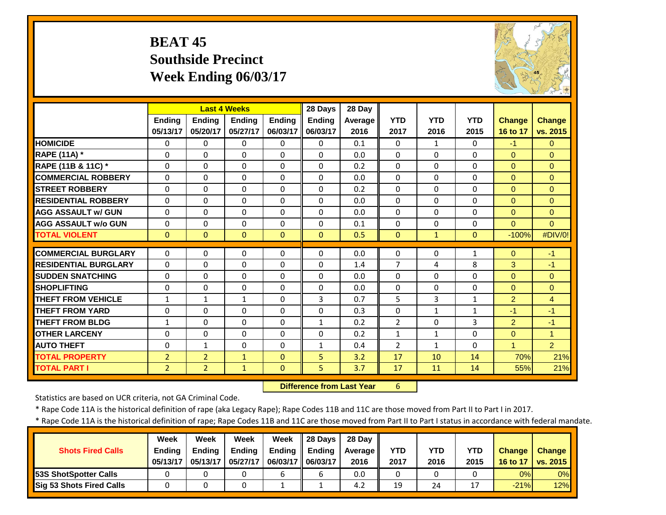#### **BEAT 45 Southside Precinct Week Ending 06/03/17**



|                             |                |                | <b>Last 4 Weeks</b> |               | 28 Days       | 28 Day  |                |              |              |                |                      |
|-----------------------------|----------------|----------------|---------------------|---------------|---------------|---------|----------------|--------------|--------------|----------------|----------------------|
|                             | <b>Ending</b>  | <b>Ending</b>  | <b>Ending</b>       | <b>Ending</b> | <b>Ending</b> | Average | <b>YTD</b>     | <b>YTD</b>   | <b>YTD</b>   | <b>Change</b>  | <b>Change</b>        |
|                             | 05/13/17       | 05/20/17       | 05/27/17            | 06/03/17      | 06/03/17      | 2016    | 2017           | 2016         | 2015         | 16 to 17       | vs. 2015             |
| <b>HOMICIDE</b>             | $\Omega$       | $\Omega$       | $\Omega$            | $\Omega$      | $\Omega$      | 0.1     | $\Omega$       | $\mathbf{1}$ | 0            | $-1$           | $\Omega$             |
| <b>RAPE (11A) *</b>         | $\Omega$       | $\Omega$       | $\Omega$            | $\Omega$      | $\Omega$      | 0.0     | $\Omega$       | $\Omega$     | $\Omega$     | $\Omega$       | $\Omega$             |
| RAPE (11B & 11C) *          | $\Omega$       | $\Omega$       | $\Omega$            | $\Omega$      | $\Omega$      | 0.2     | $\Omega$       | $\Omega$     | $\Omega$     | $\Omega$       | $\Omega$             |
| <b>COMMERCIAL ROBBERY</b>   | $\Omega$       | 0              | $\Omega$            | 0             | $\Omega$      | 0.0     | $\Omega$       | $\Omega$     | 0            | $\mathbf{0}$   | $\Omega$             |
| <b>STREET ROBBERY</b>       | $\Omega$       | 0              | $\mathbf 0$         | $\Omega$      | $\Omega$      | 0.2     | $\Omega$       | $\Omega$     | 0            | $\Omega$       | $\Omega$             |
| <b>RESIDENTIAL ROBBERY</b>  | $\Omega$       | $\Omega$       | $\Omega$            | 0             | $\Omega$      | 0.0     | $\Omega$       | $\Omega$     | 0            | $\mathbf{0}$   | $\Omega$             |
| <b>AGG ASSAULT W/ GUN</b>   | $\Omega$       | $\Omega$       | 0                   | $\Omega$      | $\Omega$      | 0.0     | $\Omega$       | $\Omega$     | 0            | $\Omega$       | $\Omega$             |
| <b>AGG ASSAULT w/o GUN</b>  | $\Omega$       | 0              | $\Omega$            | $\Omega$      | $\Omega$      | 0.1     | $\Omega$       | $\Omega$     | 0            | $\Omega$       | $\Omega$             |
| <b>TOTAL VIOLENT</b>        | $\mathbf{0}$   | $\Omega$       | $\mathbf{0}$        | $\Omega$      | $\Omega$      | 0.5     | $\mathbf{0}$   | $\mathbf{1}$ | $\Omega$     | $-100%$        | #DIV/0!              |
| <b>COMMERCIAL BURGLARY</b>  | $\Omega$       | 0              | $\mathbf 0$         | $\Omega$      | $\Omega$      | 0.0     | $\Omega$       | $\Omega$     | $\mathbf{1}$ | $\mathbf{0}$   | $-1$                 |
| <b>RESIDENTIAL BURGLARY</b> |                | $\Omega$       |                     |               | $\Omega$      | 1.4     | 7              |              |              |                | $-1$                 |
|                             | 0              |                | $\mathbf 0$         | 0             |               |         |                | 4            | 8            | 3              |                      |
| <b>SUDDEN SNATCHING</b>     | $\Omega$       | 0              | $\Omega$            | $\Omega$      | $\Omega$      | 0.0     | $\Omega$       | $\Omega$     | 0            | $\Omega$       | $\Omega$             |
| <b>SHOPLIFTING</b>          | $\Omega$       | 0              | $\Omega$            | $\Omega$      | $\Omega$      | 0.0     | $\Omega$       | $\Omega$     | 0            | $\Omega$       | $\Omega$             |
| <b>THEFT FROM VEHICLE</b>   | $\mathbf{1}$   | $\mathbf{1}$   | $\mathbf{1}$        | $\Omega$      | 3             | 0.7     | 5              | 3            | $\mathbf{1}$ | 2              | $\overline{4}$       |
| <b>THEFT FROM YARD</b>      | $\Omega$       | $\Omega$       | $\Omega$            | 0             | $\Omega$      | 0.3     | $\Omega$       | $\mathbf{1}$ | $\mathbf{1}$ | $-1$           | -1                   |
| <b>THEFT FROM BLDG</b>      | 1              | $\Omega$       | $\Omega$            | $\Omega$      | $\mathbf{1}$  | 0.2     | $\overline{2}$ | $\Omega$     | 3            | $\overline{2}$ | $-1$                 |
| <b>OTHER LARCENY</b>        | $\Omega$       | 0              | $\Omega$            | $\Omega$      | $\Omega$      | 0.2     | $\mathbf{1}$   | $\mathbf{1}$ | 0            | $\Omega$       | $\blacktriangleleft$ |
| <b>AUTO THEFT</b>           | 0              | $\mathbf{1}$   | 0                   | $\Omega$      | $\mathbf{1}$  | 0.4     | $\overline{2}$ | $\mathbf{1}$ | $\Omega$     | $\overline{1}$ | $\overline{2}$       |
| <b>TOTAL PROPERTY</b>       | $\overline{2}$ | $\overline{2}$ | $\mathbf{1}$        | $\Omega$      | 5             | 3.2     | 17             | 10           | 14           | 70%            | 21%                  |
| <b>TOTAL PART I</b>         | $\overline{2}$ | $\overline{2}$ | $\mathbf{1}$        | $\mathbf{0}$  | 5             | 3.7     | 17             | 11           | 14           | 55%            | 21%                  |

 **Difference from Last Year**

6

Statistics are based on UCR criteria, not GA Criminal Code.

\* Rape Code 11A is the historical definition of rape (aka Legacy Rape); Rape Codes 11B and 11C are those moved from Part II to Part I in 2017.

|                               | <b>Week</b>   | Week          | Week          | Week                | $\parallel$ 28 Davs | 28 Dav  |            |      |            |               |                 |
|-------------------------------|---------------|---------------|---------------|---------------------|---------------------|---------|------------|------|------------|---------------|-----------------|
| <b>Shots Fired Calls</b>      | <b>Ending</b> | <b>Ending</b> | <b>Ending</b> | <b>Ending</b>       | Ending              | Average | <b>YTD</b> | YTD  | <b>YTD</b> | <b>Change</b> | <b>Change</b>   |
|                               | 05/13/17      | 05/13/17      | 05/27/17      | 06/03/17   06/03/17 |                     | 2016    | 2017       | 2016 | 2015       | 16 to 17      | <b>vs. 2015</b> |
| <b>153S ShotSpotter Calls</b> |               |               |               |                     |                     | 0.0     | 0          |      |            | 0%            | 0%              |
| Sig 53 Shots Fired Calls      |               |               |               |                     |                     | 4.2     | 19         | 24   |            | $-21%$        | 12%             |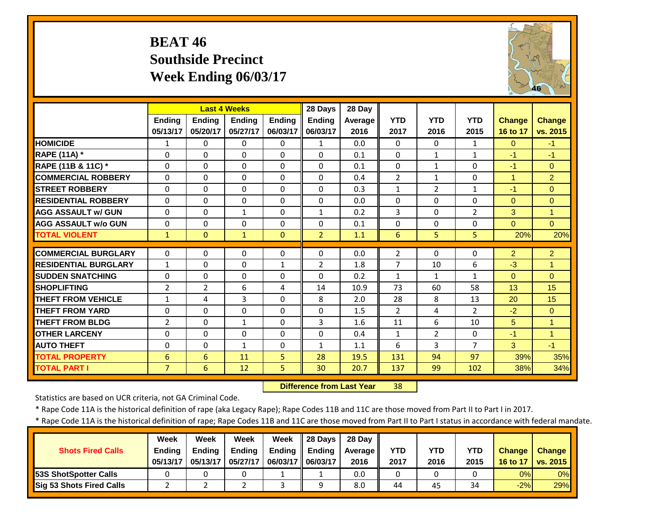#### **BEAT 46 Southside PrecinctWeek Ending 06/03/17**



|                             |                |                | <b>Last 4 Weeks</b> |               | 28 Days        | 28 Day  |                |                |                |                |                      |
|-----------------------------|----------------|----------------|---------------------|---------------|----------------|---------|----------------|----------------|----------------|----------------|----------------------|
|                             | <b>Ending</b>  | <b>Endina</b>  | <b>Endina</b>       | <b>Endina</b> | <b>Ending</b>  | Average | <b>YTD</b>     | <b>YTD</b>     | <b>YTD</b>     | <b>Change</b>  | <b>Change</b>        |
|                             | 05/13/17       | 05/20/17       | 05/27/17            | 06/03/17      | 06/03/17       | 2016    | 2017           | 2016           | 2015           | 16 to 17       | vs. 2015             |
| <b>HOMICIDE</b>             | 1              | 0              | $\Omega$            | $\Omega$      | $\mathbf{1}$   | 0.0     | $\Omega$       | $\Omega$       | $\mathbf{1}$   | $\Omega$       | $-1$                 |
| RAPE (11A) *                | $\Omega$       | 0              | $\Omega$            | $\Omega$      | $\Omega$       | 0.1     | $\Omega$       | $\mathbf{1}$   | $\mathbf{1}$   | $-1$           | $-1$                 |
| RAPE (11B & 11C) *          | $\Omega$       | 0              | $\Omega$            | $\Omega$      | $\Omega$       | 0.1     | $\Omega$       | 1              | $\Omega$       | $-1$           | $\Omega$             |
| <b>COMMERCIAL ROBBERY</b>   | $\Omega$       | 0              | $\Omega$            | $\Omega$      | $\Omega$       | 0.4     | $\overline{2}$ | $\mathbf{1}$   | $\Omega$       | $\mathbf{1}$   | $\overline{2}$       |
| <b>STREET ROBBERY</b>       | $\Omega$       | 0              | $\Omega$            | $\Omega$      | $\Omega$       | 0.3     | $\mathbf{1}$   | $\overline{2}$ | $\mathbf{1}$   | $-1$           | $\Omega$             |
| <b>RESIDENTIAL ROBBERY</b>  | $\Omega$       | 0              | $\Omega$            | $\Omega$      | $\Omega$       | 0.0     | $\Omega$       | $\Omega$       | $\Omega$       | $\mathbf{0}$   | $\Omega$             |
| <b>AGG ASSAULT W/ GUN</b>   | $\Omega$       | 0              | $\mathbf{1}$        | $\Omega$      | $\mathbf{1}$   | 0.2     | 3              | $\Omega$       | $\overline{2}$ | 3              | $\overline{1}$       |
| <b>AGG ASSAULT w/o GUN</b>  | $\Omega$       | 0              | $\Omega$            | $\Omega$      | $\Omega$       | 0.1     | $\Omega$       | $\Omega$       | $\Omega$       | $\Omega$       | $\Omega$             |
| <b>TOTAL VIOLENT</b>        | $\mathbf{1}$   | $\Omega$       | $\mathbf{1}$        | $\Omega$      | $\overline{2}$ | 1.1     | 6              | 5              | 5              | 20%            | 20%                  |
| <b>COMMERCIAL BURGLARY</b>  | $\Omega$       | 0              | 0                   | 0             | $\Omega$       | 0.0     | $\overline{2}$ | $\Omega$       | 0              | $\overline{2}$ | $\overline{2}$       |
| <b>RESIDENTIAL BURGLARY</b> | $\mathbf{1}$   | 0              | $\Omega$            | $\mathbf{1}$  | $\overline{2}$ | 1.8     | $\overline{7}$ | 10             | 6              | $-3$           | $\blacktriangleleft$ |
| <b>SUDDEN SNATCHING</b>     | $\Omega$       | 0              | $\Omega$            | $\Omega$      | $\Omega$       | 0.2     | $\mathbf{1}$   | $\mathbf{1}$   | $\mathbf{1}$   | $\Omega$       | $\Omega$             |
| <b>SHOPLIFTING</b>          | $\overline{2}$ | $\overline{2}$ | 6                   | 4             | 14             | 10.9    | 73             | 60             | 58             | 13             | 15                   |
| <b>THEFT FROM VEHICLE</b>   | $\mathbf{1}$   | 4              | 3                   | $\Omega$      | 8              | 2.0     | 28             | 8              | 13             | 20             | 15                   |
| <b>THEFT FROM YARD</b>      | $\Omega$       | 0              | $\Omega$            | $\Omega$      | $\Omega$       | 1.5     | $\overline{2}$ | 4              | $\overline{2}$ | $-2$           | $\Omega$             |
| <b>THEFT FROM BLDG</b>      | $\overline{2}$ | 0              | $\mathbf{1}$        | $\Omega$      | 3              | 1.6     | 11             | 6              | 10             | 5              | $\blacktriangleleft$ |
| <b>OTHER LARCENY</b>        | $\Omega$       | $\Omega$       | $\Omega$            | $\Omega$      | $\Omega$       | 0.4     | $\mathbf{1}$   | $\overline{2}$ | $\Omega$       | $-1$           | $\overline{1}$       |
| <b>AUTO THEFT</b>           | $\Omega$       | 0              | $\mathbf{1}$        | $\Omega$      | $\mathbf{1}$   | 1.1     | 6              | 3              | $\overline{7}$ | 3              | $-1$                 |
| <b>TOTAL PROPERTY</b>       | 6              | 6              | 11                  | 5             | 28             | 19.5    | 131            | 94             | 97             | 39%            | 35%                  |
| <b>TOTAL PART I</b>         | $\overline{7}$ | 6              | 12                  | 5             | 30             | 20.7    | 137            | 99             | 102            | 38%            | 34%                  |

 **Difference from Last Year**38

Statistics are based on UCR criteria, not GA Criminal Code.

\* Rape Code 11A is the historical definition of rape (aka Legacy Rape); Rape Codes 11B and 11C are those moved from Part II to Part I in 2017.

|                                 | <b>Week</b>   | Week          | Week          | Week              | $\parallel$ 28 Days | 28 Dav  |            |      |            |               |                 |
|---------------------------------|---------------|---------------|---------------|-------------------|---------------------|---------|------------|------|------------|---------------|-----------------|
| <b>Shots Fired Calls</b>        | <b>Ending</b> | <b>Ending</b> | <b>Ending</b> | Ending            | Ending              | Average | <b>YTD</b> | YTD  | <b>YTD</b> | <b>Change</b> | <b>Change</b>   |
|                                 | 05/13/17      | 05/13/17      | 05/27/17      | 06/03/17 06/03/17 |                     | 2016    | 2017       | 2016 | 2015       | 16 to 17      | <b>VS. 2015</b> |
| <b>53S ShotSpotter Calls</b>    |               |               |               |                   |                     | 0.0     | 0          |      |            | 0%            | 0%              |
| <b>Sig 53 Shots Fired Calls</b> |               |               |               |                   |                     | 8.0     | 44         | 45   | 34         | $-2%$         | 29%             |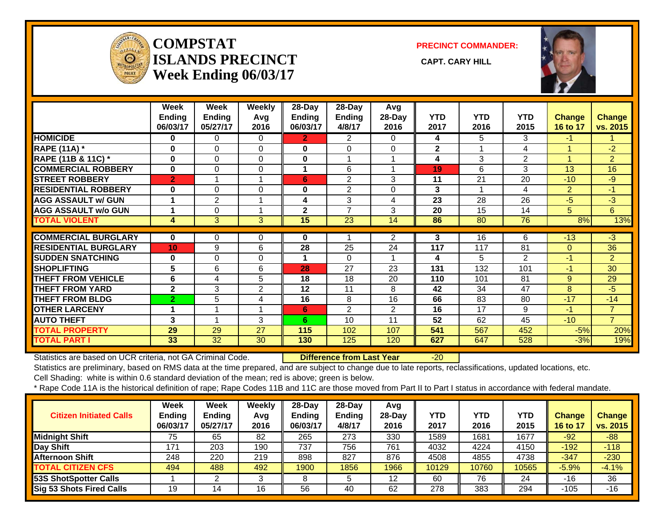

#### **COMPSTATISLANDS PRECINCT** CAPT. CARY HILL **Week Ending 06/03/17**

**PRECINCT COMMANDER:**



|                               | Week<br><b>Ending</b><br>06/03/17 | Week<br><b>Ending</b><br>05/27/17 | <b>Weekly</b><br>Avg<br>2016 | $28$ -Day<br>Ending<br>06/03/17 | 28-Day<br><b>Ending</b><br>4/8/17 | Avg<br>28-Day<br>2016 | <b>YTD</b><br>2017 | <b>YTD</b><br>2016 | <b>YTD</b><br>2015 | Change<br>16 to 17 | <b>Change</b><br>vs. 2015 |
|-------------------------------|-----------------------------------|-----------------------------------|------------------------------|---------------------------------|-----------------------------------|-----------------------|--------------------|--------------------|--------------------|--------------------|---------------------------|
| <b>HOMICIDE</b>               | 0                                 | 0                                 | 0                            | $\mathbf{2}$                    | 2                                 | 0                     | 4                  | 5.                 | 3                  | $\blacktriangle$ 1 |                           |
| <b>RAPE (11A)</b> *           | 0                                 | 0                                 | $\Omega$                     | $\bf{0}$                        | $\Omega$                          | $\Omega$              | $\overline{2}$     |                    | 4                  |                    | $-2$                      |
| <b>RAPE (11B &amp; 11C)</b> * | $\bf{0}$                          | 0                                 | $\Omega$                     | $\bf{0}$                        | 1                                 |                       | 4                  | 3                  | 2                  |                    | $\overline{2}$            |
| <b>COMMERCIAL ROBBERY</b>     | 0                                 | 0                                 | 0                            | 4                               | 6                                 |                       | 19                 | 6                  | 3                  | 13                 | 16                        |
| <b>STREET ROBBERY</b>         | $\overline{2}$                    |                                   |                              | 6                               | $\overline{2}$                    | 3                     | 11                 | 21                 | 20                 | $-10$              | $-9$                      |
| <b>RESIDENTIAL ROBBERY</b>    | $\bf{0}$                          | $\Omega$                          | $\Omega$                     | 0                               | $\overline{2}$                    | 0                     | 3                  |                    | 4                  | $\overline{2}$     | $-1$                      |
| <b>AGG ASSAULT w/ GUN</b>     | 1                                 | $\overline{2}$                    |                              | 4                               | 3                                 | 4                     | 23                 | 28                 | 26                 | $-5$               | $-3$                      |
| <b>AGG ASSAULT w/o GUN</b>    |                                   | 0                                 |                              | $\mathbf{2}$                    | 7                                 | 3                     | 20                 | 15                 | 14                 | 5                  | 6                         |
| <b>TOTAL VIOLENT</b>          | 4                                 | 3                                 | 3                            | 15                              | 23                                | 14                    | 86                 | 80                 | 76                 | 8%                 | 13%                       |
|                               |                                   |                                   |                              |                                 |                                   |                       |                    |                    |                    |                    |                           |
| <b>COMMERCIAL BURGLARY</b>    | $\bf{0}$                          | 0                                 | 0                            | 0                               |                                   | $\overline{2}$        | 3                  | 16                 | 6                  | $-13$              | $-3$                      |
| <b>RESIDENTIAL BURGLARY</b>   | 10 <sup>1</sup>                   | 9                                 | 6                            | 28                              | 25                                | 24                    | 117                | 117                | 81                 | $\overline{0}$     | 36                        |
| <b>SUDDEN SNATCHING</b>       | $\mathbf 0$                       | 0                                 | 0                            | 1                               | $\Omega$                          | 1                     | 4                  | 5                  | 2                  | $-1$               | $\overline{2}$            |
| <b>SHOPLIFTING</b>            | 5                                 | 6                                 | 6                            | 28                              | 27                                | 23                    | 131                | 132                | 101                | $-1$               | 30                        |
| <b>THEFT FROM VEHICLE</b>     | 6                                 | 4                                 | 5                            | 18                              | 18                                | 20                    | 110                | 101                | 81                 | 9                  | 29                        |
| <b>THEFT FROM YARD</b>        | $\mathbf{2}$                      | 3                                 | $\overline{2}$               | 12                              | 11                                | 8                     | 42                 | 34                 | 47                 | 8                  | $-5$                      |
| <b>THEFT FROM BLDG</b>        | $\overline{2}$                    | 5                                 | 4                            | 16                              | 8                                 | 16                    | 66                 | 83                 | 80                 | $-17$              | $-14$                     |
| <b>OTHER LARCENY</b>          | 1                                 |                                   |                              | 6                               | 2                                 | $\overline{2}$        | 16                 | 17                 | 9                  | $-1$               | $\overline{7}$            |
| <b>AUTO THEFT</b>             | 3                                 |                                   | 3                            | 6                               | 10                                | 11                    | 52                 | 62                 | 45                 | $-10$              | $\overline{7}$            |
| <b>TOTAL PROPERTY</b>         | 29                                | 29                                | 27                           | 115                             | 102                               | 107                   | 541                | 567                | 452                | $-5%$              | 20%                       |
| <b>TOTAL PART I</b>           | 33                                | 32                                | 30                           | 130                             | 125                               | 120                   | 627                | 647                | 528                | $-3%$              | 19%                       |

Statistics are based on UCR criteria, not GA Criminal Code. **Difference from Last Year** -20

Statistics are preliminary, based on RMS data at the time prepared, and are subject to change due to late reports, reclassifications, updated locations, etc. Cell Shading: white is within 0.6 standard deviation of the mean; red is above; green is below.

| <b>Citizen Initiated Calls</b>  | <b>Week</b><br><b>Ending</b><br>06/03/17 | <b>Week</b><br><b>Ending</b><br>05/27/17 | Weekly<br>Avg<br>2016 | $28$ -Day<br><b>Ending</b><br>06/03/17 | $28-Dav$<br><b>Ending</b><br>4/8/17 | Avg<br>$28$ -Day<br>2016 | YTD<br>2017 | <b>YTD</b><br>2016 | <b>YTD</b><br>2015 | <b>Change</b><br>16 to 17 | <b>Change</b><br>vs. 2015 |
|---------------------------------|------------------------------------------|------------------------------------------|-----------------------|----------------------------------------|-------------------------------------|--------------------------|-------------|--------------------|--------------------|---------------------------|---------------------------|
| <b>Midnight Shift</b>           | 75                                       | 65                                       | 82                    | 265                                    | 273                                 | 330                      | 1589        | 1681               | 1677               | $-92$                     | $-88$                     |
| Day Shift                       | 171                                      | 203                                      | 190                   | 737                                    | 756                                 | 761                      | 4032        | 4224               | 4150               | $-192$                    | $-118$                    |
| <b>Afternoon Shift</b>          | 248                                      | 220                                      | 219                   | 898                                    | 827                                 | 876                      | 4508        | 4855               | 4738               | $-347$                    | $-230$                    |
| <b>TOTAL CITIZEN CFS</b>        | 494                                      | 488                                      | 492                   | 1900                                   | 1856                                | 1966                     | 10129       | 10760              | 10565              | $-5.9%$                   | $-4.1%$                   |
| <b>53S ShotSpotter Calls</b>    |                                          |                                          |                       |                                        |                                     | 12                       | 60          | 76                 | 24                 | -16                       | 36                        |
| <b>Sig 53 Shots Fired Calls</b> | 19                                       | 14                                       | 16                    | 56                                     | 40                                  | 62                       | 278         | 383                | 294                | $-105$                    | -16                       |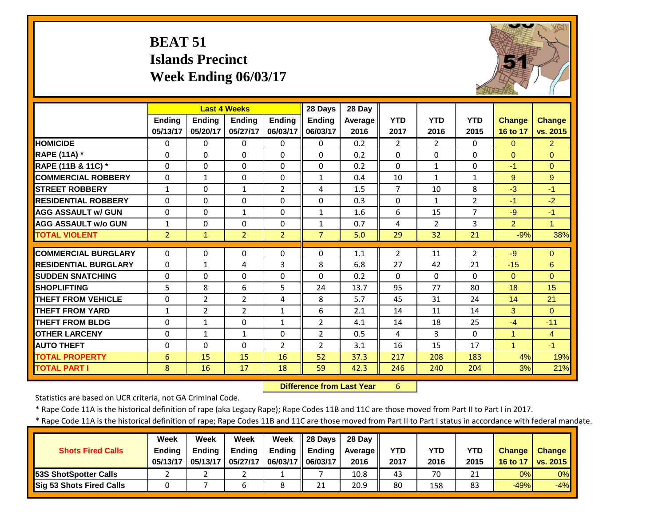# **BEAT 51 Islands Precinct Week Ending 06/03/17**



|                             |                |                | <b>Last 4 Weeks</b> |                | 28 Days        | 28 Day         |                |                |                |                      |                |
|-----------------------------|----------------|----------------|---------------------|----------------|----------------|----------------|----------------|----------------|----------------|----------------------|----------------|
|                             | <b>Endina</b>  | <b>Endina</b>  | <b>Endina</b>       | <b>Endina</b>  | <b>Endina</b>  | <b>Average</b> | <b>YTD</b>     | <b>YTD</b>     | <b>YTD</b>     | <b>Change</b>        | <b>Change</b>  |
|                             | 05/13/17       | 05/20/17       | 05/27/17            | 06/03/17       | 06/03/17       | 2016           | 2017           | 2016           | 2015           | 16 to 17             | vs. 2015       |
| <b>HOMICIDE</b>             | $\Omega$       | 0              | $\Omega$            | $\Omega$       | $\Omega$       | 0.2            | $\overline{2}$ | $\overline{2}$ | $\Omega$       | $\Omega$             | $\overline{2}$ |
| RAPE (11A) *                | $\Omega$       | 0              | $\Omega$            | $\Omega$       | $\Omega$       | 0.2            | $\Omega$       | $\Omega$       | $\Omega$       | $\Omega$             | $\Omega$       |
| RAPE (11B & 11C) *          | $\Omega$       | 0              | $\Omega$            | $\Omega$       | $\Omega$       | 0.2            | $\Omega$       | $\mathbf{1}$   | $\Omega$       | $-1$                 | $\Omega$       |
| <b>COMMERCIAL ROBBERY</b>   | $\Omega$       | $\mathbf{1}$   | $\Omega$            | $\Omega$       | 1              | 0.4            | 10             | $\mathbf{1}$   | $\mathbf{1}$   | 9                    | 9              |
| <b>STREET ROBBERY</b>       | $\mathbf{1}$   | 0              | $\mathbf{1}$        | $\overline{2}$ | 4              | 1.5            | $\overline{7}$ | 10             | 8              | $-3$                 | $-1$           |
| <b>RESIDENTIAL ROBBERY</b>  | $\Omega$       | 0              | $\Omega$            | $\Omega$       | $\Omega$       | 0.3            | $\Omega$       | $\mathbf{1}$   | $\overline{2}$ | $-1$                 | $-2$           |
| <b>AGG ASSAULT w/ GUN</b>   | $\Omega$       | 0              | $\mathbf{1}$        | $\Omega$       | $\mathbf{1}$   | 1.6            | 6              | 15             | $\overline{7}$ | $-9$                 | $-1$           |
| <b>AGG ASSAULT w/o GUN</b>  | 1              | 0              | 0                   | 0              | 1              | 0.7            | 4              | $\overline{2}$ | 3              | 2                    | $\mathbf{1}$   |
| <b>TOTAL VIOLENT</b>        | $\overline{2}$ | $\mathbf{1}$   | $\overline{2}$      | $\overline{2}$ | $\overline{7}$ | 5.0            | 29             | 32             | 21             | $-9%$                | 38%            |
| <b>COMMERCIAL BURGLARY</b>  | $\Omega$       | 0              | $\Omega$            | $\Omega$       | 0              | 1.1            | $\overline{2}$ | 11             | $\overline{2}$ | -9                   | $\Omega$       |
| <b>RESIDENTIAL BURGLARY</b> | $\Omega$       | $\mathbf{1}$   | 4                   | 3              | 8              | 6.8            | 27             | 42             | 21             | $-15$                | 6              |
| <b>SUDDEN SNATCHING</b>     |                |                |                     |                | 0              | 0.2            |                | $\Omega$       | $\Omega$       |                      | $\Omega$       |
|                             | $\Omega$       | 0              | 0                   | $\Omega$       |                |                | $\Omega$       |                |                | $\Omega$             |                |
| <b>SHOPLIFTING</b>          | 5              | 8              | 6                   | 5              | 24             | 13.7           | 95             | 77             | 80             | 18                   | 15             |
| <b>THEFT FROM VEHICLE</b>   | $\Omega$       | $\overline{2}$ | $\overline{2}$      | 4              | 8              | 5.7            | 45             | 31             | 24             | 14                   | 21             |
| <b>THEFT FROM YARD</b>      | $\mathbf{1}$   | $\overline{2}$ | $\overline{2}$      | $\mathbf{1}$   | 6              | 2.1            | 14             | 11             | 14             | 3                    | $\Omega$       |
| <b>THEFT FROM BLDG</b>      | $\Omega$       | $\mathbf{1}$   | $\Omega$            | $\mathbf{1}$   | $\overline{2}$ | 4.1            | 14             | 18             | 25             | $-4$                 | $-11$          |
| <b>OTHER LARCENY</b>        | $\Omega$       | $\mathbf{1}$   | $\mathbf{1}$        | $\Omega$       | $\overline{2}$ | 0.5            | 4              | 3              | $\Omega$       | $\blacktriangleleft$ | $\overline{4}$ |
| <b>AUTO THEFT</b>           | $\Omega$       | $\Omega$       | $\Omega$            | $\overline{2}$ | $\overline{2}$ | 3.1            | 16             | 15             | 17             | $\blacktriangleleft$ | $-1$           |
| <b>TOTAL PROPERTY</b>       | 6              | 15             | 15                  | 16             | 52             | 37.3           | 217            | 208            | 183            | 4%                   | 19%            |
| <b>TOTAL PART I</b>         | 8              | 16             | 17                  | 18             | 59             | 42.3           | 246            | 240            | 204            | 3%                   | 21%            |

 **Difference from Last Year**6

Statistics are based on UCR criteria, not GA Criminal Code.

\* Rape Code 11A is the historical definition of rape (aka Legacy Rape); Rape Codes 11B and 11C are those moved from Part II to Part I in 2017.

|                               | <b>Week</b>   | Week          | Week          | Week                | $\parallel$ 28 Davs | 28 Dav  |            |      |            |               |                 |
|-------------------------------|---------------|---------------|---------------|---------------------|---------------------|---------|------------|------|------------|---------------|-----------------|
| <b>Shots Fired Calls</b>      | <b>Ending</b> | <b>Ending</b> | <b>Ending</b> | <b>Ending</b>       | Ending              | Average | <b>YTD</b> | YTD  | <b>YTD</b> | <b>Change</b> | <b>Change</b>   |
|                               | 05/13/17      | 05/13/17      | 05/27/17      | 06/03/17   06/03/17 |                     | 2016    | 2017       | 2016 | 2015       | 16 to 17      | <b>vs. 2015</b> |
| <b>153S ShotSpotter Calls</b> |               |               |               |                     |                     | 10.8    | 43         | 70   | 21         | 0%            | 0%              |
| Sig 53 Shots Fired Calls      |               |               |               |                     | 21                  | 20.9    | 80         | 158  | 83         | $-49%$        | $-4%$           |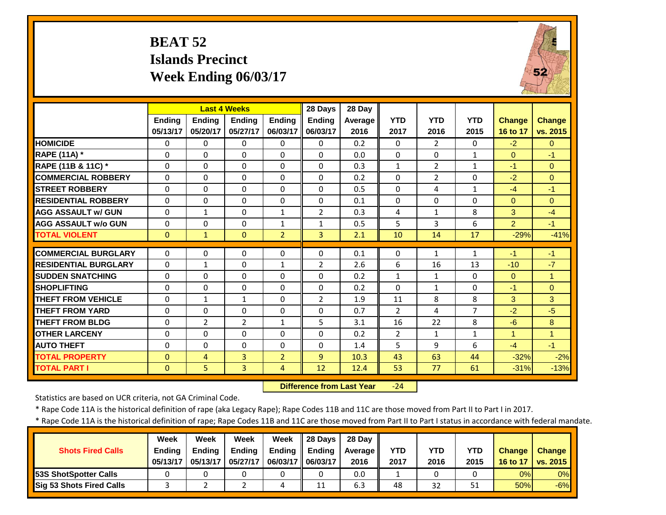# **BEAT 52 Islands Precinct Week Ending 06/03/17**



|                             |          | <b>Last 4 Weeks</b> |                |                | 28 Days        | 28 Day  |                |                |                |                |                |
|-----------------------------|----------|---------------------|----------------|----------------|----------------|---------|----------------|----------------|----------------|----------------|----------------|
|                             | Ending   | <b>Ending</b>       | Ending         | <b>Endina</b>  | <b>Ending</b>  | Average | <b>YTD</b>     | <b>YTD</b>     | <b>YTD</b>     | <b>Change</b>  | Change         |
|                             | 05/13/17 | 05/20/17            | 05/27/17       | 06/03/17       | 06/03/17       | 2016    | 2017           | 2016           | 2015           | 16 to 17       | vs. 2015       |
| <b>HOMICIDE</b>             | $\Omega$ | $\Omega$            | $\Omega$       | $\Omega$       | $\Omega$       | 0.2     | $\Omega$       | $\overline{2}$ | $\Omega$       | $-2$           | $\Omega$       |
| <b>RAPE (11A) *</b>         | $\Omega$ | $\Omega$            | $\Omega$       | $\Omega$       | $\Omega$       | 0.0     | $\Omega$       | $\Omega$       | $\mathbf{1}$   | $\Omega$       | $-1$           |
| RAPE (11B & 11C) *          | $\Omega$ | $\Omega$            | $\Omega$       | $\Omega$       | $\Omega$       | 0.3     | $1\,$          | $\overline{2}$ | $\mathbf{1}$   | $-1$           | $\Omega$       |
| <b>COMMERCIAL ROBBERY</b>   | $\Omega$ | 0                   | $\Omega$       | $\Omega$       | $\Omega$       | 0.2     | $\Omega$       | $\overline{2}$ | 0              | $-2$           | $\Omega$       |
| <b>STREET ROBBERY</b>       | $\Omega$ | 0                   | 0              | $\Omega$       | $\Omega$       | 0.5     | $\Omega$       | 4              | $\mathbf{1}$   | $-4$           | $-1$           |
| <b>RESIDENTIAL ROBBERY</b>  | $\Omega$ | $\Omega$            | $\Omega$       | 0              | $\Omega$       | 0.1     | $\Omega$       | $\Omega$       | 0              | $\Omega$       | $\Omega$       |
| <b>AGG ASSAULT W/ GUN</b>   | $\Omega$ | $\mathbf{1}$        | 0              | $\mathbf{1}$   | $\overline{2}$ | 0.3     | 4              | $\mathbf{1}$   | 8              | 3              | $-4$           |
| <b>AGG ASSAULT w/o GUN</b>  | $\Omega$ | 0                   | $\Omega$       | 1              | 1              | 0.5     | 5              | 3              | 6              | $\overline{2}$ | $-1$           |
| <b>TOTAL VIOLENT</b>        | $\Omega$ | $\mathbf{1}$        | $\Omega$       | $\overline{2}$ | 3              | 2.1     | 10             | 14             | 17             | $-29%$         | $-41%$         |
| <b>COMMERCIAL BURGLARY</b>  | 0        | 0                   | $\Omega$       | 0              | 0              | 0.1     | 0              | 1              | $\mathbf{1}$   | $-1$           | $-1$           |
| <b>RESIDENTIAL BURGLARY</b> | $\Omega$ | 1                   | $\Omega$       | $\mathbf{1}$   | $\overline{2}$ | 2.6     | 6              | 16             | 13             | $-10$          | $-7$           |
| <b>SUDDEN SNATCHING</b>     | $\Omega$ | $\Omega$            | $\Omega$       | 0              | 0              | 0.2     | $\mathbf{1}$   | $\mathbf{1}$   | $\Omega$       | $\Omega$       | $\mathbf{1}$   |
| <b>SHOPLIFTING</b>          | $\Omega$ | $\Omega$            | $\Omega$       | $\Omega$       | 0              | 0.2     | $\Omega$       | $\mathbf{1}$   | $\Omega$       | $-1$           | $\Omega$       |
| <b>THEFT FROM VEHICLE</b>   | $\Omega$ | $\mathbf{1}$        | 1              | 0              | $\overline{2}$ | 1.9     | 11             | 8              | 8              | 3              | 3              |
| <b>THEFT FROM YARD</b>      | $\Omega$ | $\Omega$            | $\Omega$       | 0              | $\Omega$       | 0.7     | $\overline{2}$ | 4              | $\overline{7}$ | $-2$           | $-5$           |
| <b>THEFT FROM BLDG</b>      | $\Omega$ | $\overline{2}$      | $\overline{2}$ | $\mathbf{1}$   | 5              | 3.1     | 16             | 22             | 8              | $-6$           | 8              |
| <b>OTHER LARCENY</b>        | $\Omega$ | 0                   | $\Omega$       | $\Omega$       | $\Omega$       | 0.2     | $\overline{2}$ | $\mathbf{1}$   | $\mathbf{1}$   | 1              | $\overline{1}$ |
| <b>AUTO THEFT</b>           | $\Omega$ | $\Omega$            | $\Omega$       | $\Omega$       | $\Omega$       | 1.4     | 5              | 9              | 6              | $-4$           | $-1$           |
| <b>TOTAL PROPERTY</b>       | $\Omega$ | 4                   | 3              | $\overline{2}$ | $\overline{9}$ | 10.3    | 43             | 63             | 44             | $-32%$         | $-2%$          |
| <b>TOTAL PART I</b>         | $\Omega$ | 5                   | $\overline{3}$ | $\overline{4}$ | 12             | 12.4    | 53             | 77             | 61             | $-31%$         | $-13%$         |
|                             |          |                     |                |                |                |         |                |                |                |                |                |

 **Difference from Last Year**‐24

Statistics are based on UCR criteria, not GA Criminal Code.

\* Rape Code 11A is the historical definition of rape (aka Legacy Rape); Rape Codes 11B and 11C are those moved from Part II to Part I in 2017.

|                               | <b>Week</b>   | Week          | Week          | Week                | 28 Days | 28 Dav  |            |      |            |               |               |
|-------------------------------|---------------|---------------|---------------|---------------------|---------|---------|------------|------|------------|---------------|---------------|
| <b>Shots Fired Calls</b>      | <b>Ending</b> | <b>Ending</b> | <b>Ending</b> | Ending              | Ending  | Average | <b>YTD</b> | YTD  | <b>YTD</b> | <b>Change</b> | <b>Change</b> |
|                               | 05/13/17      | 05/13/17      | 05/27/17      | 06/03/17   06/03/17 |         | 2016    | 2017       | 2016 | 2015       | 16 to 17      | vs. 2015      |
| <b>153S ShotSpotter Calls</b> |               |               |               |                     |         | 0.0     |            |      |            | 0%            | 0%            |
| Sig 53 Shots Fired Calls      |               |               |               |                     | ⊥⊥      | 6.3     | 48         | 32   | 51         | 50%           | $-6%$         |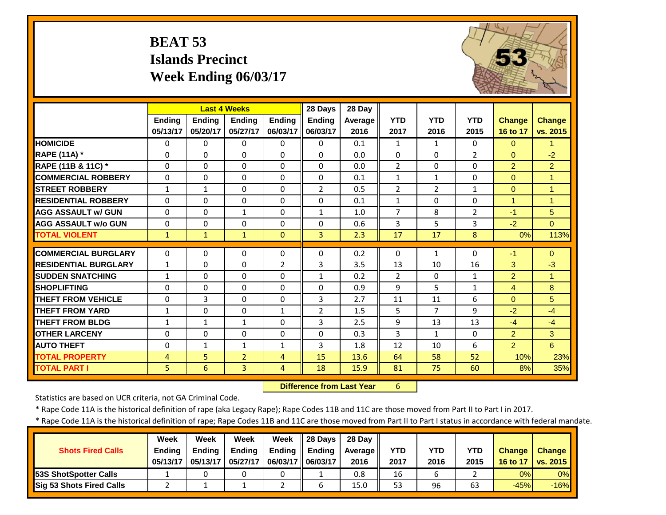# **BEAT 53 Islands Precinct Week Ending 06/03/17**



|                             |              | <b>Last 4 Weeks</b> |                |                | 28 Days        | 28 Day  |                |                |                |                |                      |
|-----------------------------|--------------|---------------------|----------------|----------------|----------------|---------|----------------|----------------|----------------|----------------|----------------------|
|                             | Ending       | <b>Ending</b>       | Ending         | Ending         | <b>Ending</b>  | Average | <b>YTD</b>     | <b>YTD</b>     | <b>YTD</b>     | <b>Change</b>  | <b>Change</b>        |
|                             | 05/13/17     | 05/20/17            | 05/27/17       | 06/03/17       | 06/03/17       | 2016    | 2017           | 2016           | 2015           | 16 to 17       | vs. 2015             |
| <b>HOMICIDE</b>             | $\Omega$     | 0                   | $\Omega$       | 0              | $\Omega$       | 0.1     | $\mathbf{1}$   | $\mathbf{1}$   | 0              | $\mathbf{0}$   | $\mathbf{1}$         |
| RAPE (11A) *                | $\Omega$     | 0                   | $\Omega$       | 0              | $\Omega$       | 0.0     | $\mathbf{0}$   | $\Omega$       | $\overline{2}$ | $\Omega$       | $-2$                 |
| RAPE (11B & 11C) *          | $\Omega$     | 0                   | $\Omega$       | $\Omega$       | $\Omega$       | 0.0     | $\overline{2}$ | $\Omega$       | $\Omega$       | $\overline{2}$ | $\overline{2}$       |
| <b>COMMERCIAL ROBBERY</b>   | $\Omega$     | 0                   | $\Omega$       | $\Omega$       | $\Omega$       | 0.1     | $\mathbf{1}$   | $\mathbf{1}$   | $\Omega$       | $\Omega$       | $\overline{1}$       |
| <b>STREET ROBBERY</b>       | $1\,$        | $\mathbf 1$         | $\Omega$       | $\Omega$       | $\overline{2}$ | 0.5     | $\overline{2}$ | $\overline{2}$ | $\mathbf{1}$   | $\mathbf{0}$   | $\overline{1}$       |
| <b>RESIDENTIAL ROBBERY</b>  | $\Omega$     | 0                   | $\Omega$       | $\Omega$       | $\Omega$       | 0.1     | $\mathbf{1}$   | $\Omega$       | $\Omega$       | $\overline{1}$ | $\blacktriangleleft$ |
| <b>AGG ASSAULT w/ GUN</b>   | $\Omega$     | 0                   | $\mathbf{1}$   | $\Omega$       | $\mathbf{1}$   | 1.0     | $\overline{7}$ | 8              | 2              | $-1$           | 5                    |
| <b>AGG ASSAULT w/o GUN</b>  | $\Omega$     | 0                   | $\Omega$       | $\Omega$       | $\Omega$       | 0.6     | 3              | 5              | 3              | $-2$           | $\Omega$             |
| <b>TOTAL VIOLENT</b>        | $\mathbf{1}$ | $\mathbf{1}$        | $\mathbf{1}$   | $\Omega$       | $\overline{3}$ | 2.3     | 17             | 17             | 8              | 0%             | 113%                 |
|                             |              |                     |                |                |                |         |                |                |                |                |                      |
| <b>COMMERCIAL BURGLARY</b>  | $\Omega$     | 0                   | $\Omega$       | $\Omega$       | $\Omega$       | 0.2     | $\Omega$       | $\mathbf{1}$   | $\Omega$       | $-1$           | $\Omega$             |
| <b>RESIDENTIAL BURGLARY</b> | $\mathbf{1}$ | 0                   | $\Omega$       | $\overline{2}$ | 3              | 3.5     | 13             | 10             | 16             | 3              | $-3$                 |
| <b>SUDDEN SNATCHING</b>     | 1            | 0                   | $\Omega$       | $\Omega$       | 1              | 0.2     | $\overline{2}$ | $\Omega$       | $\mathbf{1}$   | $\overline{2}$ | 1                    |
| <b>SHOPLIFTING</b>          | $\Omega$     | 0                   | $\Omega$       | $\Omega$       | $\Omega$       | 0.9     | 9              | 5              | $\mathbf{1}$   | 4              | 8                    |
| <b>THEFT FROM VEHICLE</b>   | $\Omega$     | 3                   | $\Omega$       | $\Omega$       | 3              | 2.7     | 11             | 11             | 6              | $\Omega$       | 5                    |
| <b>THEFT FROM YARD</b>      | 1            | 0                   | $\Omega$       | $\mathbf{1}$   | $\overline{2}$ | 1.5     | 5              | 7              | 9              | $-2$           | $-4$                 |
| <b>THEFT FROM BLDG</b>      | $\mathbf{1}$ | $\mathbf{1}$        | $\mathbf{1}$   | $\Omega$       | 3              | 2.5     | 9              | 13             | 13             | $-4$           | $-4$                 |
| <b>OTHER LARCENY</b>        | $\Omega$     | $\Omega$            | $\Omega$       | $\Omega$       | $\Omega$       | 0.3     | 3              | $\mathbf{1}$   | $\Omega$       | $\overline{2}$ | 3                    |
| <b>AUTO THEFT</b>           | $\Omega$     | $\mathbf{1}$        | $\mathbf{1}$   | $\mathbf{1}$   | 3              | 1.8     | 12             | 10             | 6              | $\overline{2}$ | 6                    |
| <b>TOTAL PROPERTY</b>       | 4            | 5                   | $\overline{2}$ | 4              | 15             | 13.6    | 64             | 58             | 52             | 10%            | 23%                  |
| <b>TOTAL PART I</b>         | 5            | 6                   | 3              | 4              | 18             | 15.9    | 81             | 75             | 60             | 8%             | 35%                  |

 **Difference from Last Year**6

Statistics are based on UCR criteria, not GA Criminal Code.

\* Rape Code 11A is the historical definition of rape (aka Legacy Rape); Rape Codes 11B and 11C are those moved from Part II to Part I in 2017.

|                                 | <b>Week</b>   | Week          | Week          | Week              | $\parallel$ 28 Days | 28 Dav  |            |      |            |               |                 |
|---------------------------------|---------------|---------------|---------------|-------------------|---------------------|---------|------------|------|------------|---------------|-----------------|
| <b>Shots Fired Calls</b>        | <b>Ending</b> | <b>Ending</b> | <b>Ending</b> | Ending            | Ending              | Average | <b>YTD</b> | YTD  | <b>YTD</b> | <b>Change</b> | <b>Change</b>   |
|                                 | 05/13/17      | 05/13/17      | 05/27/17      | 06/03/17 06/03/17 |                     | 2016    | 2017       | 2016 | 2015       | 16 to 17      | <b>VS. 2015</b> |
| <b>53S ShotSpotter Calls</b>    |               |               |               |                   |                     | 0.8     | 16         | ь    |            | 0%            | 0%              |
| <b>Sig 53 Shots Fired Calls</b> |               |               |               |                   |                     | 15.0    | 53         | 96   | 63         | $-45%$        | $-16%$          |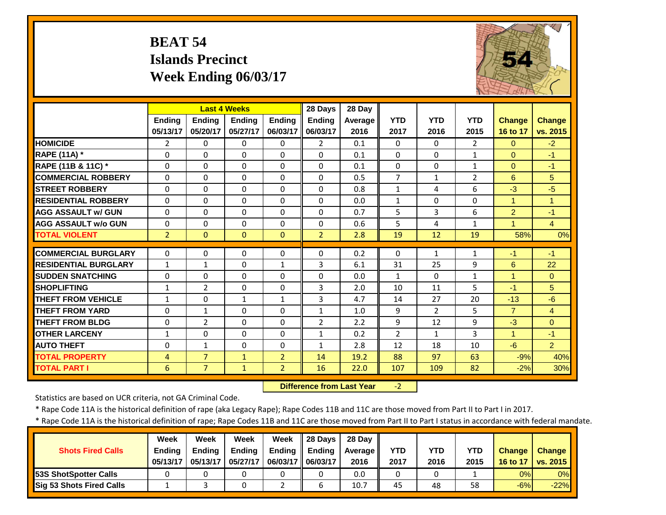# **BEAT 54 Islands Precinct Week Ending 06/03/17**



|                             |                | <b>Last 4 Weeks</b> |               |                | 28 Days        | 28 Day  |                |                |                |                      |                |
|-----------------------------|----------------|---------------------|---------------|----------------|----------------|---------|----------------|----------------|----------------|----------------------|----------------|
|                             | <b>Endina</b>  | <b>Endina</b>       | <b>Endina</b> | <b>Endina</b>  | <b>Ending</b>  | Average | <b>YTD</b>     | <b>YTD</b>     | <b>YTD</b>     | <b>Change</b>        | <b>Change</b>  |
|                             | 05/13/17       | 05/20/17            | 05/27/17      | 06/03/17       | 06/03/17       | 2016    | 2017           | 2016           | 2015           | 16 to 17             | vs. 2015       |
| <b>HOMICIDE</b>             | $\overline{2}$ | 0                   | 0             | $\Omega$       | $\overline{2}$ | 0.1     | $\Omega$       | 0              | $\overline{2}$ | $\Omega$             | $-2$           |
| <b>RAPE (11A)</b> *         | $\Omega$       | 0                   | 0             | $\Omega$       | $\Omega$       | 0.1     | $\mathbf{0}$   | 0              | $\mathbf{1}$   | $\Omega$             | $-1$           |
| RAPE (11B & 11C) *          | $\Omega$       | 0                   | $\Omega$      | $\Omega$       | $\Omega$       | 0.1     | $\mathbf{0}$   | $\Omega$       | $\mathbf{1}$   | $\Omega$             | $-1$           |
| <b>COMMERCIAL ROBBERY</b>   | $\Omega$       | 0                   | $\Omega$      | $\Omega$       | $\Omega$       | 0.5     | $\overline{7}$ | $\mathbf{1}$   | $\overline{2}$ | 6                    | 5              |
| <b>STREET ROBBERY</b>       | $\Omega$       | 0                   | $\Omega$      | $\Omega$       | $\Omega$       | 0.8     | $\mathbf{1}$   | 4              | 6              | $-3$                 | $-5$           |
| <b>RESIDENTIAL ROBBERY</b>  | $\Omega$       | 0                   | $\Omega$      | $\Omega$       | $\Omega$       | 0.0     | $\mathbf{1}$   | $\Omega$       | $\Omega$       | $\mathbf{1}$         | 1              |
| <b>AGG ASSAULT w/ GUN</b>   | $\Omega$       | 0                   | $\Omega$      | $\Omega$       | $\Omega$       | 0.7     | 5              | 3              | 6              | 2                    | $-1$           |
| <b>AGG ASSAULT w/o GUN</b>  | $\Omega$       | 0                   | $\Omega$      | $\Omega$       | $\Omega$       | 0.6     | 5              | 4              | $\mathbf{1}$   | 4                    | $\overline{4}$ |
| <b>TOTAL VIOLENT</b>        | $\overline{2}$ | $\overline{0}$      | $\mathbf{0}$  | $\Omega$       | $\overline{2}$ | 2.8     | 19             | 12             | 19             | 58%                  | 0%             |
| <b>COMMERCIAL BURGLARY</b>  | $\Omega$       | 0                   | 0             | $\mathbf 0$    | $\Omega$       | 0.2     | $\Omega$       | $\mathbf{1}$   | 1              | $-1$                 | $-1$           |
| <b>RESIDENTIAL BURGLARY</b> |                | $\mathbf{1}$        | $\Omega$      | $\mathbf{1}$   | 3              |         | 31             | 25             |                | 6                    | 22             |
|                             | $\mathbf{1}$   |                     |               |                |                | 6.1     |                |                | 9              |                      |                |
| <b>SUDDEN SNATCHING</b>     | $\Omega$       | 0                   | $\Omega$      | $\Omega$       | $\Omega$       | 0.0     | $\mathbf{1}$   | $\Omega$       | $\mathbf{1}$   | 1                    | $\Omega$       |
| <b>SHOPLIFTING</b>          | $\mathbf{1}$   | $\overline{2}$      | 0             | $\Omega$       | 3              | 2.0     | 10             | 11             | 5              | -1                   | 5              |
| <b>THEFT FROM VEHICLE</b>   | $\mathbf{1}$   | 0                   | $\mathbf{1}$  | $\mathbf{1}$   | 3              | 4.7     | 14             | 27             | 20             | $-13$                | $-6$           |
| <b>THEFT FROM YARD</b>      | $\Omega$       | $\mathbf{1}$        | $\Omega$      | $\Omega$       | $\mathbf{1}$   | 1.0     | 9              | $\overline{2}$ | 5              | $\overline{7}$       | $\overline{4}$ |
| <b>THEFT FROM BLDG</b>      | $\Omega$       | $\overline{2}$      | $\Omega$      | $\Omega$       | $\overline{2}$ | 2.2     | 9              | 12             | 9              | $-3$                 | $\Omega$       |
| <b>OTHER LARCENY</b>        | $\mathbf{1}$   | 0                   | $\Omega$      | $\Omega$       | $\mathbf{1}$   | 0.2     | $\overline{2}$ | $\mathbf{1}$   | 3              | $\blacktriangleleft$ | $-1$           |
| <b>AUTO THEFT</b>           | $\Omega$       | $\mathbf{1}$        | $\Omega$      | $\Omega$       | $\mathbf{1}$   | 2.8     | 12             | 18             | 10             | $-6$                 | $\overline{2}$ |
| <b>TOTAL PROPERTY</b>       | $\overline{4}$ | $\overline{7}$      | $\mathbf{1}$  | $\overline{2}$ | 14             | 19.2    | 88             | 97             | 63             | $-9%$                | 40%            |
| <b>TOTAL PART I</b>         | 6              | $\overline{7}$      | $\mathbf{1}$  | $\overline{2}$ | 16             | 22.0    | 107            | 109            | 82             | $-2%$                | 30%            |

 **Difference from Last Year**‐2

Statistics are based on UCR criteria, not GA Criminal Code.

\* Rape Code 11A is the historical definition of rape (aka Legacy Rape); Rape Codes 11B and 11C are those moved from Part II to Part I in 2017.

|                                 | <b>Week</b>   | Week          | Week          | Week                | $\parallel$ 28 Davs | 28 Dav  |            |      |            |               |               |
|---------------------------------|---------------|---------------|---------------|---------------------|---------------------|---------|------------|------|------------|---------------|---------------|
| <b>Shots Fired Calls</b>        | <b>Ending</b> | <b>Ending</b> | <b>Ending</b> | <b>Ending</b>       | Ending              | Average | <b>YTD</b> | YTD  | <b>YTD</b> | <b>Change</b> | <b>Change</b> |
|                                 | 05/13/17      | 05/13/17      | 05/27/17      | 06/03/17   06/03/17 |                     | 2016    | 2017       | 2016 | 2015       | 16 to 17      | vs. 2015      |
| <b>153S ShotSpotter Calls</b>   |               |               |               |                     |                     | 0.0     | 0          |      |            | 0%            | 0%            |
| <b>Sig 53 Shots Fired Calls</b> |               |               |               |                     |                     | 10.7    | 45         | 48   | 58         | $-6%$         | $-22%$        |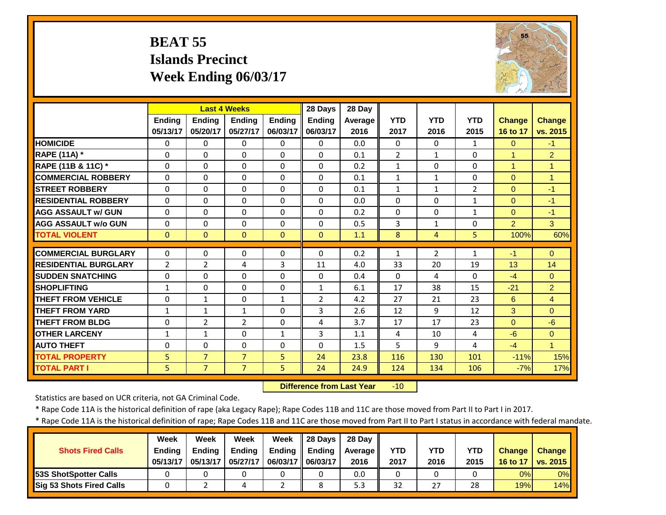### **BEAT 55 Islands Precinct Week Ending 06/03/17**



|                             |                | <b>Last 4 Weeks</b> |                |               | 28 Days        | 28 Day         |                |                |                |                      |                |
|-----------------------------|----------------|---------------------|----------------|---------------|----------------|----------------|----------------|----------------|----------------|----------------------|----------------|
|                             | <b>Ending</b>  | <b>Endina</b>       | <b>Endina</b>  | <b>Endina</b> | <b>Endina</b>  | <b>Average</b> | <b>YTD</b>     | <b>YTD</b>     | <b>YTD</b>     | <b>Change</b>        | <b>Change</b>  |
|                             | 05/13/17       | 05/20/17            | 05/27/17       | 06/03/17      | 06/03/17       | 2016           | 2017           | 2016           | 2015           | 16 to 17             | vs. 2015       |
| <b>HOMICIDE</b>             | $\Omega$       | 0                   | $\Omega$       | $\Omega$      | $\Omega$       | 0.0            | $\Omega$       | $\Omega$       | $\mathbf{1}$   | $\Omega$             | $-1$           |
| RAPE (11A) *                | $\Omega$       | 0                   | $\Omega$       | $\Omega$      | $\Omega$       | 0.1            | $\overline{2}$ | $\mathbf{1}$   | $\Omega$       | $\blacktriangleleft$ | $\overline{2}$ |
| RAPE (11B & 11C) *          | $\Omega$       | 0                   | $\Omega$       | $\Omega$      | $\Omega$       | 0.2            | $\mathbf{1}$   | $\Omega$       | $\Omega$       | $\overline{1}$       | $\mathbf{1}$   |
| <b>COMMERCIAL ROBBERY</b>   | $\Omega$       | 0                   | $\Omega$       | $\Omega$      | $\Omega$       | 0.1            | $\mathbf{1}$   | $\mathbf{1}$   | $\Omega$       | $\Omega$             | $\mathbf{1}$   |
| <b>STREET ROBBERY</b>       | $\Omega$       | 0                   | $\Omega$       | $\Omega$      | $\Omega$       | 0.1            | $\mathbf{1}$   | $\mathbf{1}$   | $\overline{2}$ | $\Omega$             | $-1$           |
| <b>RESIDENTIAL ROBBERY</b>  | $\Omega$       | 0                   | $\Omega$       | $\Omega$      | $\Omega$       | 0.0            | $\Omega$       | $\Omega$       | $\mathbf{1}$   | $\mathbf{0}$         | $-1$           |
| <b>AGG ASSAULT W/ GUN</b>   | $\Omega$       | 0                   | $\Omega$       | $\Omega$      | $\Omega$       | 0.2            | $\Omega$       | $\Omega$       | $\mathbf{1}$   | $\Omega$             | $-1$           |
| <b>AGG ASSAULT w/o GUN</b>  | $\Omega$       | 0                   | 0              | $\Omega$      | $\Omega$       | 0.5            | 3              | $\mathbf{1}$   | $\Omega$       | 2                    | 3 <sup>1</sup> |
| <b>TOTAL VIOLENT</b>        | $\mathbf{0}$   | $\Omega$            | $\Omega$       | $\mathbf{0}$  | $\Omega$       | 1.1            | 8              | 4              | 5              | 100%                 | 60%            |
| <b>COMMERCIAL BURGLARY</b>  |                |                     |                |               | $\Omega$       |                |                |                |                |                      |                |
|                             | $\Omega$       | 0                   | 0              | 0             |                | 0.2            | 1              | $\overline{2}$ | 1              | -1                   | $\Omega$       |
| <b>RESIDENTIAL BURGLARY</b> | $\overline{2}$ | $\overline{2}$      | 4              | 3             | 11             | 4.0            | 33             | 20             | 19             | 13                   | 14             |
| <b>SUDDEN SNATCHING</b>     | $\Omega$       | 0                   | 0              | $\Omega$      | $\Omega$       | 0.4            | $\Omega$       | 4              | $\Omega$       | $-4$                 | $\Omega$       |
| <b>SHOPLIFTING</b>          | 1              | 0                   | 0              | $\Omega$      | $\mathbf{1}$   | 6.1            | 17             | 38             | 15             | $-21$                | $\overline{2}$ |
| <b>THEFT FROM VEHICLE</b>   | $\Omega$       | $\mathbf{1}$        | 0              | $\mathbf{1}$  | $\overline{2}$ | 4.2            | 27             | 21             | 23             | 6                    | $\overline{4}$ |
| <b>THEFT FROM YARD</b>      | $\mathbf{1}$   | $\mathbf{1}$        | $\mathbf{1}$   | $\Omega$      | 3              | 2.6            | 12             | 9              | 12             | 3                    | $\Omega$       |
| <b>THEFT FROM BLDG</b>      | $\Omega$       | $\overline{2}$      | $\overline{2}$ | $\Omega$      | 4              | 3.7            | 17             | 17             | 23             | $\Omega$             | $-6$           |
| <b>OTHER LARCENY</b>        | $\mathbf{1}$   | $\mathbf{1}$        | $\Omega$       | $\mathbf{1}$  | 3              | 1.1            | 4              | 10             | 4              | $-6$                 | $\Omega$       |
| <b>AUTO THEFT</b>           | $\Omega$       | 0                   | $\Omega$       | $\Omega$      | $\Omega$       | 1.5            | 5              | 9              | 4              | $-4$                 | $\mathbf{1}$   |
| <b>TOTAL PROPERTY</b>       | 5              | $\overline{7}$      | $\overline{7}$ | 5             | 24             | 23.8           | 116            | 130            | 101            | $-11%$               | 15%            |
| <b>TOTAL PART I</b>         | 5              | $\overline{7}$      | $\overline{7}$ | 5             | 24             | 24.9           | 124            | 134            | 106            | $-7%$                | 17%            |

 **Difference from Last Year**‐10

Statistics are based on UCR criteria, not GA Criminal Code.

\* Rape Code 11A is the historical definition of rape (aka Legacy Rape); Rape Codes 11B and 11C are those moved from Part II to Part I in 2017.

|                                 | <b>Week</b>   | Week          | Week          | Week              | $\parallel$ 28 Days | 28 Dav  |            |      |            |               |                 |
|---------------------------------|---------------|---------------|---------------|-------------------|---------------------|---------|------------|------|------------|---------------|-----------------|
| <b>Shots Fired Calls</b>        | <b>Ending</b> | <b>Ending</b> | <b>Ending</b> | Ending            | Ending              | Average | <b>YTD</b> | YTD  | <b>YTD</b> | <b>Change</b> | <b>Change</b>   |
|                                 | 05/13/17      | 05/13/17      | 05/27/17      | 06/03/17 06/03/17 |                     | 2016    | 2017       | 2016 | 2015       | 16 to 17      | <b>VS. 2015</b> |
| <b>53S ShotSpotter Calls</b>    |               |               |               |                   |                     | 0.0     | 0          |      |            | 0%            | 0%              |
| <b>Sig 53 Shots Fired Calls</b> |               |               |               |                   |                     | 5.3     | 32         | 27   | 28         | 19%           | 14%             |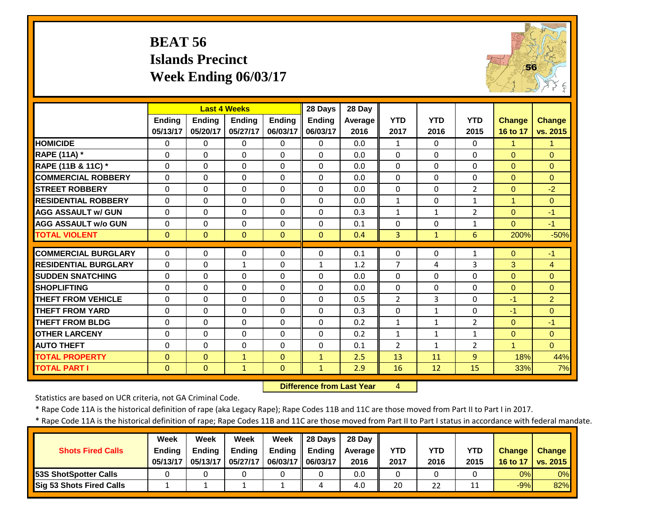# **BEAT 56 Islands Precinct Week Ending 06/03/17**



|                             |               | <b>Last 4 Weeks</b> |               |              | 28 Days       | 28 Day  |                |              |                |               |                |
|-----------------------------|---------------|---------------------|---------------|--------------|---------------|---------|----------------|--------------|----------------|---------------|----------------|
|                             | <b>Endina</b> | Ending              | <b>Endina</b> | Ending       | Ending        | Average | <b>YTD</b>     | <b>YTD</b>   | <b>YTD</b>     | <b>Change</b> | <b>Change</b>  |
|                             | 05/13/17      | 05/20/17            | 05/27/17      | 06/03/17     | 06/03/17      | 2016    | 2017           | 2016         | 2015           | 16 to 17      | vs. 2015       |
| <b>HOMICIDE</b>             | $\Omega$      | 0                   | $\Omega$      | $\Omega$     | $\Omega$      | 0.0     | $\mathbf{1}$   | $\Omega$     | $\Omega$       | 1             | 1              |
| <b>RAPE (11A)</b> *         | $\Omega$      | $\Omega$            | $\Omega$      | $\Omega$     | $\Omega$      | 0.0     | $\Omega$       | $\Omega$     | $\Omega$       | $\Omega$      | $\Omega$       |
| RAPE (11B & 11C) *          | $\Omega$      | 0                   | $\Omega$      | $\Omega$     | $\Omega$      | 0.0     | $\Omega$       | $\Omega$     | $\Omega$       | $\Omega$      | $\Omega$       |
| <b>COMMERCIAL ROBBERY</b>   | $\Omega$      | $\Omega$            | $\Omega$      | $\Omega$     | $\Omega$      | 0.0     | $\Omega$       | $\Omega$     | $\Omega$       | $\Omega$      | $\Omega$       |
| <b>STREET ROBBERY</b>       | $\Omega$      | $\Omega$            | $\Omega$      | $\Omega$     | $\Omega$      | 0.0     | $\mathbf 0$    | $\Omega$     | $\overline{2}$ | $\mathbf{0}$  | $-2$           |
| <b>RESIDENTIAL ROBBERY</b>  | $\Omega$      | $\Omega$            | $\Omega$      | $\Omega$     | $\Omega$      | 0.0     | $\mathbf{1}$   | $\Omega$     | $\mathbf{1}$   | $\mathbf{1}$  | $\Omega$       |
| <b>AGG ASSAULT w/ GUN</b>   | $\Omega$      | 0                   | $\Omega$      | $\Omega$     | $\Omega$      | 0.3     | $\mathbf{1}$   | $\mathbf{1}$ | $\overline{2}$ | $\Omega$      | $-1$           |
| <b>AGG ASSAULT w/o GUN</b>  | $\Omega$      | 0                   | $\Omega$      | $\Omega$     | $\Omega$      | 0.1     | $\Omega$       | $\Omega$     | $\mathbf{1}$   | $\Omega$      | $-1$           |
| <b>TOTAL VIOLENT</b>        | $\mathbf{0}$  | $\Omega$            | $\Omega$      | $\Omega$     | $\Omega$      | 0.4     | 3              | $\mathbf{1}$ | 6              | 200%          | $-50%$         |
| <b>COMMERCIAL BURGLARY</b>  | $\Omega$      | $\Omega$            | 0             | $\Omega$     | $\Omega$      | 0.1     | 0              | $\Omega$     | 1              | $\Omega$      | $-1$           |
| <b>RESIDENTIAL BURGLARY</b> | $\Omega$      | 0                   | 1             | $\Omega$     |               | 1.2     | $\overline{7}$ | 4            | 3              | 3             | 4              |
| <b>SUDDEN SNATCHING</b>     | $\Omega$      | 0                   | $\Omega$      | $\Omega$     | 1<br>$\Omega$ | 0.0     | $\Omega$       | $\Omega$     | 0              |               | $\Omega$       |
|                             |               |                     |               |              |               |         |                |              |                | $\mathbf{0}$  |                |
| <b>SHOPLIFTING</b>          | $\Omega$      | 0                   | $\Omega$      | $\Omega$     | $\Omega$      | 0.0     | $\Omega$       | $\Omega$     | $\Omega$       | $\Omega$      | $\Omega$       |
| <b>THEFT FROM VEHICLE</b>   | $\Omega$      | 0                   | $\Omega$      | $\Omega$     | $\Omega$      | 0.5     | $\overline{2}$ | 3            | 0              | $-1$          | $\overline{2}$ |
| <b>THEFT FROM YARD</b>      | $\Omega$      | 0                   | $\Omega$      | $\Omega$     | $\Omega$      | 0.3     | $\Omega$       | 1            | 0              | $-1$          | $\Omega$       |
| <b>THEFT FROM BLDG</b>      | $\Omega$      | 0                   | $\Omega$      | $\Omega$     | $\Omega$      | 0.2     | $\mathbf{1}$   | $\mathbf{1}$ | $\overline{2}$ | $\Omega$      | $-1$           |
| <b>OTHER LARCENY</b>        | $\Omega$      | $\Omega$            | $\Omega$      | $\Omega$     | $\Omega$      | 0.2     | $\mathbf{1}$   | $\mathbf{1}$ | $\mathbf{1}$   | $\Omega$      | $\Omega$       |
| <b>AUTO THEFT</b>           | $\Omega$      | 0                   | $\Omega$      | $\Omega$     | $\Omega$      | 0.1     | $\overline{2}$ | 1            | $\overline{2}$ | $\mathbf{1}$  | $\Omega$       |
| <b>TOTAL PROPERTY</b>       | $\Omega$      | $\Omega$            | $\mathbf{1}$  | $\Omega$     | $\mathbf{1}$  | 2.5     | 13             | 11           | 9              | 18%           | 44%            |
| <b>TOTAL PART I</b>         | $\mathbf{0}$  | $\overline{0}$      | $\mathbf{1}$  | $\mathbf{0}$ | $\mathbf{1}$  | 2.9     | 16             | 12           | 15             | 33%           | 7%             |

 **Difference from Last Year**

4

Statistics are based on UCR criteria, not GA Criminal Code.

\* Rape Code 11A is the historical definition of rape (aka Legacy Rape); Rape Codes 11B and 11C are those moved from Part II to Part I in 2017.

|                                 | <b>Week</b>   | Week          | Week          | Week              | $\parallel$ 28 Days | 28 Dav  |            |      |            |               |                 |
|---------------------------------|---------------|---------------|---------------|-------------------|---------------------|---------|------------|------|------------|---------------|-----------------|
| <b>Shots Fired Calls</b>        | <b>Ending</b> | <b>Ending</b> | <b>Ending</b> | Ending            | Ending              | Average | <b>YTD</b> | YTD  | <b>YTD</b> | <b>Change</b> | <b>Change</b>   |
|                                 | 05/13/17      | 05/13/17      | 05/27/17      | 06/03/17 06/03/17 |                     | 2016    | 2017       | 2016 | 2015       | 16 to 17      | <b>VS. 2015</b> |
| <b>53S ShotSpotter Calls</b>    |               |               |               |                   |                     | 0.0     | 0          |      |            | 0%            | 0%              |
| <b>Sig 53 Shots Fired Calls</b> |               |               |               |                   |                     | 4.0     | 20         | 22   | 11         | $-9%$         | 82%             |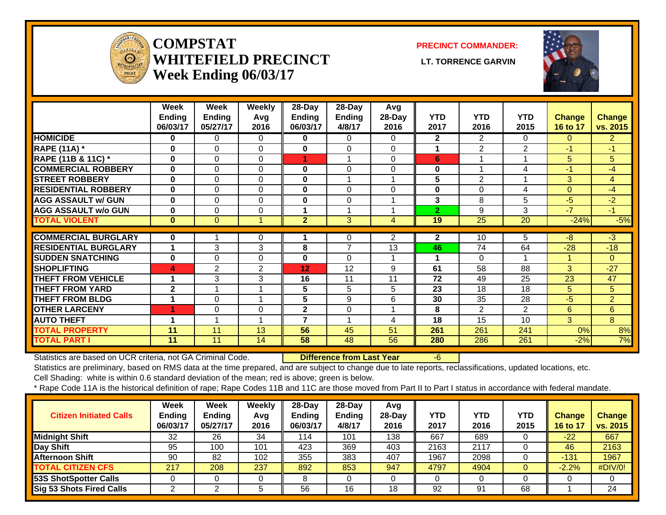

#### **COMPSTATWHITEFIELD PRECINCT LT. TORRENCE GARVINWeek Ending 06/03/17**

**PRECINCT COMMANDER:**



|                             | Week<br><b>Ending</b><br>06/03/17 | Week<br><b>Ending</b><br>05/27/17 | Weekly<br>Avg<br>2016 | 28-Day<br>Ending<br>06/03/17 | 28-Day<br><b>Ending</b><br>4/8/17 | Avg<br>28-Day<br>2016 | <b>YTD</b><br>2017 | <b>YTD</b><br>2016 | <b>YTD</b><br>2015 | Change<br>16 to 17 | <b>Change</b><br>vs. 2015 |
|-----------------------------|-----------------------------------|-----------------------------------|-----------------------|------------------------------|-----------------------------------|-----------------------|--------------------|--------------------|--------------------|--------------------|---------------------------|
| <b>HOMICIDE</b>             | 0                                 | 0                                 | $\Omega$              | 0                            | $\Omega$                          | 0                     | $\mathbf{2}$       | $\overline{2}$     | $\Omega$           | 0                  | $\overline{2}$            |
| <b>RAPE (11A) *</b>         | $\bf{0}$                          | $\Omega$                          | $\Omega$              | $\bf{0}$                     | $\Omega$                          | 0                     | 1                  | $\overline{2}$     | $\overline{2}$     | $-1$               | $-1$                      |
| RAPE (11B & 11C) *          | $\bf{0}$                          | $\Omega$                          | $\Omega$              | 1                            | 1                                 | $\Omega$              | 6                  |                    | 1                  | 5                  | 5                         |
| <b>COMMERCIAL ROBBERY</b>   | $\bf{0}$                          | 0                                 | $\Omega$              | $\bf{0}$                     | $\Omega$                          | 0                     | 0                  |                    | 4                  | $-1$               | $-4$                      |
| <b>STREET ROBBERY</b>       | $\bf{0}$                          | $\Omega$                          | $\Omega$              | $\mathbf{0}$                 | 1                                 |                       | 5                  | 2                  | 1                  | 3                  | $\overline{4}$            |
| <b>RESIDENTIAL ROBBERY</b>  | $\bf{0}$                          | 0                                 | 0                     | 0                            | $\Omega$                          | 0                     | 0                  | 0                  | 4                  | $\overline{0}$     | $-4$                      |
| <b>AGG ASSAULT w/ GUN</b>   | $\bf{0}$                          | $\Omega$                          | $\Omega$              | $\bf{0}$                     | $\Omega$                          |                       | 3                  | 8                  | 5                  | -5                 | $-2$                      |
| <b>AGG ASSAULT w/o GUN</b>  | 0                                 | $\Omega$                          | $\Omega$              |                              | 1                                 |                       | $\overline{2}$     | 9                  | 3                  | $-7$               | $-1$                      |
| <b>TOTAL VIOLENT</b>        | $\mathbf{0}$                      | $\Omega$                          |                       | $\overline{2}$               | 3                                 | 4                     | 19                 | 25                 | 20                 | $-24%$             | $-5%$                     |
|                             |                                   |                                   |                       |                              |                                   |                       |                    |                    |                    |                    |                           |
| <b>COMMERCIAL BURGLARY</b>  | $\bf{0}$                          |                                   | $\Omega$              |                              | $\Omega$                          | $\overline{2}$        | $\mathbf{2}$       | 10                 | 5                  | $-8$               | $-3$                      |
| <b>RESIDENTIAL BURGLARY</b> | 1                                 | 3                                 | 3                     | 8                            | $\overline{7}$                    | 13                    | 46                 | 74                 | 64                 | $-28$              | $-18$                     |
| <b>SUDDEN SNATCHING</b>     | $\bf{0}$                          | 0                                 | $\mathbf 0$           | 0                            | $\Omega$                          |                       | 1                  | 0                  | 1                  | 4                  | $\overline{0}$            |
| <b>SHOPLIFTING</b>          | $\blacktriangle$                  | 2                                 | $\overline{2}$        | 12                           | 12                                | 9                     | 61                 | 58                 | 88                 | 3                  | $-27$                     |
| <b>THEFT FROM VEHICLE</b>   | 1                                 | 3                                 | 3                     | 16                           | 11                                | 11                    | 72                 | 49                 | 25                 | 23                 | 47                        |
| <b>THEFT FROM YARD</b>      | $\overline{2}$                    |                                   |                       | 5                            | 5                                 | 5                     | 23                 | 18                 | 18                 | 5                  | 5                         |
| <b>THEFT FROM BLDG</b>      | 1                                 | $\Omega$                          |                       | 5                            | 9                                 | 6                     | 30                 | 35                 | 28                 | $-5$               | $\overline{2}$            |
| <b>OTHER LARCENY</b>        | 1                                 | $\Omega$                          | $\Omega$              | $\mathbf{2}$                 | $\Omega$                          |                       | 8                  | $\overline{2}$     | $\overline{2}$     | 6                  | 6                         |
| <b>AUTO THEFT</b>           | 4                                 |                                   |                       | $\overline{\phantom{a}}$     | 4                                 | 4                     | 18                 | 15                 | 10                 | 3                  | 8                         |
| <b>TOTAL PROPERTY</b>       | 11                                | 11                                | 13                    | 56                           | 45                                | 51                    | 261                | 261                | 241                | 0%                 | 8%                        |
| <b>TOTAL PART I</b>         | 11                                | 11                                | 14                    | 58                           | 48                                | 56                    | 280                | 286                | 261                | $-2%$              | 7%                        |

Statistics are based on UCR criteria, not GA Criminal Code. **Difference from Last Year** -6

Statistics are preliminary, based on RMS data at the time prepared, and are subject to change due to late reports, reclassifications, updated locations, etc. Cell Shading: white is within 0.6 standard deviation of the mean; red is above; green is below.

| <b>Citizen Initiated Calls</b>  | <b>Week</b><br><b>Ending</b><br>06/03/17 | <b>Week</b><br><b>Ending</b><br>05/27/17 | Weekly<br>Avg<br>2016 | $28$ -Day<br><b>Ending</b><br>06/03/17 | $28-Dav$<br><b>Ending</b><br>4/8/17 | Avg<br>$28$ -Day<br>2016 | YTD<br>2017 | <b>YTD</b><br>2016 | YTD<br>2015 | <b>Change</b><br>16 to 17 | <b>Change</b><br>vs. 2015 |
|---------------------------------|------------------------------------------|------------------------------------------|-----------------------|----------------------------------------|-------------------------------------|--------------------------|-------------|--------------------|-------------|---------------------------|---------------------------|
| Midnight Shift                  | 32                                       | 26                                       | 34                    | 114                                    | 101                                 | 138                      | 667         | 689                |             | $-22$                     | 667                       |
| Day Shift                       | 95                                       | 100                                      | 101                   | 423                                    | 369                                 | 403                      | 2163        | 2117               |             | 46                        | 2163                      |
| Afternoon Shift                 | 90                                       | 82                                       | 102                   | 355                                    | 383                                 | 407                      | 1967        | 2098               |             | $-131$                    | 1967                      |
| <b>TOTAL CITIZEN CFS</b>        | 217                                      | 208                                      | 237                   | 892                                    | 853                                 | 947                      | 4797        | 4904               |             | $-2.2%$                   | #DIV/0!                   |
| 53S ShotSpotter Calls           |                                          |                                          |                       |                                        |                                     |                          |             |                    |             |                           |                           |
| <b>Sig 53 Shots Fired Calls</b> |                                          |                                          |                       | 56                                     | 16                                  | 18                       | 92          | 91                 | 68          |                           | 24                        |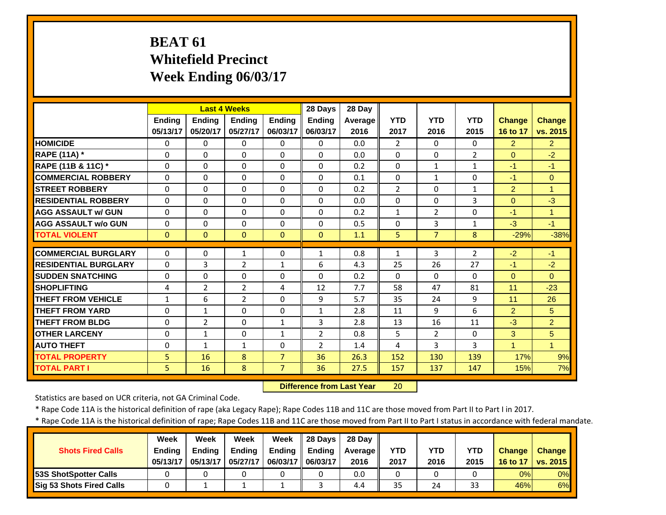# **BEAT 61 Whitefield Precinct Week Ending 06/03/17**

|                             |               | <b>Last 4 Weeks</b> |                |                | 28 Days        | 28 Day         |                |                |                |                      |                |
|-----------------------------|---------------|---------------------|----------------|----------------|----------------|----------------|----------------|----------------|----------------|----------------------|----------------|
|                             | <b>Ending</b> | <b>Ending</b>       | <b>Ending</b>  | <b>Ending</b>  | <b>Ending</b>  | <b>Average</b> | <b>YTD</b>     | <b>YTD</b>     | <b>YTD</b>     | <b>Change</b>        | <b>Change</b>  |
|                             | 05/13/17      | 05/20/17            | 05/27/17       | 06/03/17       | 06/03/17       | 2016           | 2017           | 2016           | 2015           | 16 to 17             | vs. 2015       |
| <b>HOMICIDE</b>             | $\Omega$      | $\Omega$            | $\Omega$       | $\Omega$       | $\Omega$       | 0.0            | $\overline{2}$ | 0              | 0              | $\overline{2}$       | $\overline{2}$ |
| <b>RAPE (11A) *</b>         | $\Omega$      | $\Omega$            | $\Omega$       | $\Omega$       | $\Omega$       | 0.0            | $\Omega$       | $\Omega$       | $\overline{2}$ | $\overline{0}$       | $-2$           |
| RAPE (11B & 11C) *          | $\Omega$      | $\Omega$            | $\Omega$       | $\Omega$       | $\Omega$       | 0.2            | $\Omega$       | $\mathbf{1}$   | 1              | $-1$                 | $-1$           |
| <b>COMMERCIAL ROBBERY</b>   | $\Omega$      | $\Omega$            | $\Omega$       | $\Omega$       | $\Omega$       | 0.1            | $\Omega$       | $\mathbf{1}$   | $\Omega$       | $-1$                 | $\Omega$       |
| <b>STREET ROBBERY</b>       | 0             | $\Omega$            | $\Omega$       | $\Omega$       | $\Omega$       | 0.2            | $\overline{2}$ | 0              | 1              | $\overline{2}$       | $\mathbf{1}$   |
| <b>RESIDENTIAL ROBBERY</b>  | $\Omega$      | $\Omega$            | $\Omega$       | $\Omega$       | $\Omega$       | 0.0            | $\Omega$       | 0              | 3              | $\Omega$             | $-3$           |
| <b>AGG ASSAULT w/ GUN</b>   | 0             | $\Omega$            | $\Omega$       | $\Omega$       | $\Omega$       | 0.2            | $\mathbf{1}$   | $\overline{2}$ | $\Omega$       | $-1$                 | $\mathbf{1}$   |
| <b>AGG ASSAULT w/o GUN</b>  | 0             | $\Omega$            | $\Omega$       | $\Omega$       | $\Omega$       | 0.5            | $\Omega$       | 3              | 1              | $-3$                 | $-1$           |
| <b>TOTAL VIOLENT</b>        | $\mathbf{0}$  | $\Omega$            | $\mathbf{0}$   | $\Omega$       | $\Omega$       | 1.1            | 5              | $\overline{7}$ | 8              | $-29%$               | $-38%$         |
| <b>COMMERCIAL BURGLARY</b>  | $\Omega$      | $\Omega$            | 1              | $\Omega$       | 1              | 0.8            | 1              | 3              | $\overline{2}$ | $-2$                 | $-1$           |
| <b>RESIDENTIAL BURGLARY</b> | $\Omega$      | 3                   | $\overline{2}$ | $\mathbf{1}$   | 6              | 4.3            | 25             | 26             | 27             | $-1$                 | $-2$           |
| <b>SUDDEN SNATCHING</b>     | 0             | $\Omega$            | $\Omega$       | $\Omega$       | $\Omega$       | 0.2            | $\Omega$       | $\Omega$       | $\Omega$       | $\Omega$             | $\Omega$       |
| <b>SHOPLIFTING</b>          |               | $\overline{2}$      | $\overline{2}$ |                | 12             | 7.7            | 58             | 47             | 81             | 11                   | $-23$          |
| <b>THEFT FROM VEHICLE</b>   | 4<br>1        | 6                   | $\overline{2}$ | 4<br>$\Omega$  | 9              | 5.7            | 35             | 24             | 9              | 11                   | 26             |
| <b>THEFT FROM YARD</b>      | 0             | $\mathbf{1}$        | $\Omega$       | $\Omega$       | $\mathbf{1}$   | 2.8            | 11             | 9              | 6              | 2                    | 5              |
| <b>THEFT FROM BLDG</b>      | 0             | $\overline{2}$      | $\Omega$       | 1              | 3              | 2.8            | 13             | 16             | 11             | $-3$                 | $\overline{2}$ |
| <b>OTHER LARCENY</b>        | $\Omega$      | $\mathbf{1}$        | $\Omega$       | 1              | $\overline{2}$ | 0.8            | 5              | $\overline{2}$ | 0              | 3                    | 5              |
| <b>AUTO THEFT</b>           | $\Omega$      | $\mathbf{1}$        | $\mathbf{1}$   | $\Omega$       | $\overline{2}$ | 1.4            | 4              | 3              | 3              | $\blacktriangleleft$ | $\mathbf{1}$   |
| <b>TOTAL PROPERTY</b>       | 5             | 16                  | 8              | $\overline{7}$ | 36             | 26.3           | 152            | 130            | 139            | 17%                  | 9%             |
|                             |               | 16                  |                | $\overline{7}$ | 36             |                |                |                | 147            |                      |                |
| <b>TOTAL PART I</b>         | 5             |                     | 8              |                |                | 27.5           | 157            | 137            |                | 15%                  | 7%             |

 **Difference from Last Year**20

Statistics are based on UCR criteria, not GA Criminal Code.

\* Rape Code 11A is the historical definition of rape (aka Legacy Rape); Rape Codes 11B and 11C are those moved from Part II to Part I in 2017.

| <b>Shots Fired Calls</b>        | Week<br><b>Endina</b><br>05/13/17 | Week<br><b>Ending</b><br>05/13/17 | <b>Week</b><br><b>Ending</b><br>05/27/17 | Week<br><b>Ending</b><br>06/03/17    06/03/17 | <b>128 Days</b><br>Ending | 28 Dav<br><b>Average</b><br>2016 | YTD<br>2017 | YTD<br>2016 | YTD<br>2015 | <b>Change</b><br>16 to 17 | <b>Change</b><br><b>vs. 2015</b> |
|---------------------------------|-----------------------------------|-----------------------------------|------------------------------------------|-----------------------------------------------|---------------------------|----------------------------------|-------------|-------------|-------------|---------------------------|----------------------------------|
| <b>53S ShotSpotter Calls</b>    |                                   |                                   |                                          |                                               |                           | 0.0                              |             |             |             | 0%                        | 0%                               |
| <b>Sig 53 Shots Fired Calls</b> |                                   |                                   |                                          |                                               |                           | 4.4                              | 35          | 24          | 33          | 46%                       | 6%                               |